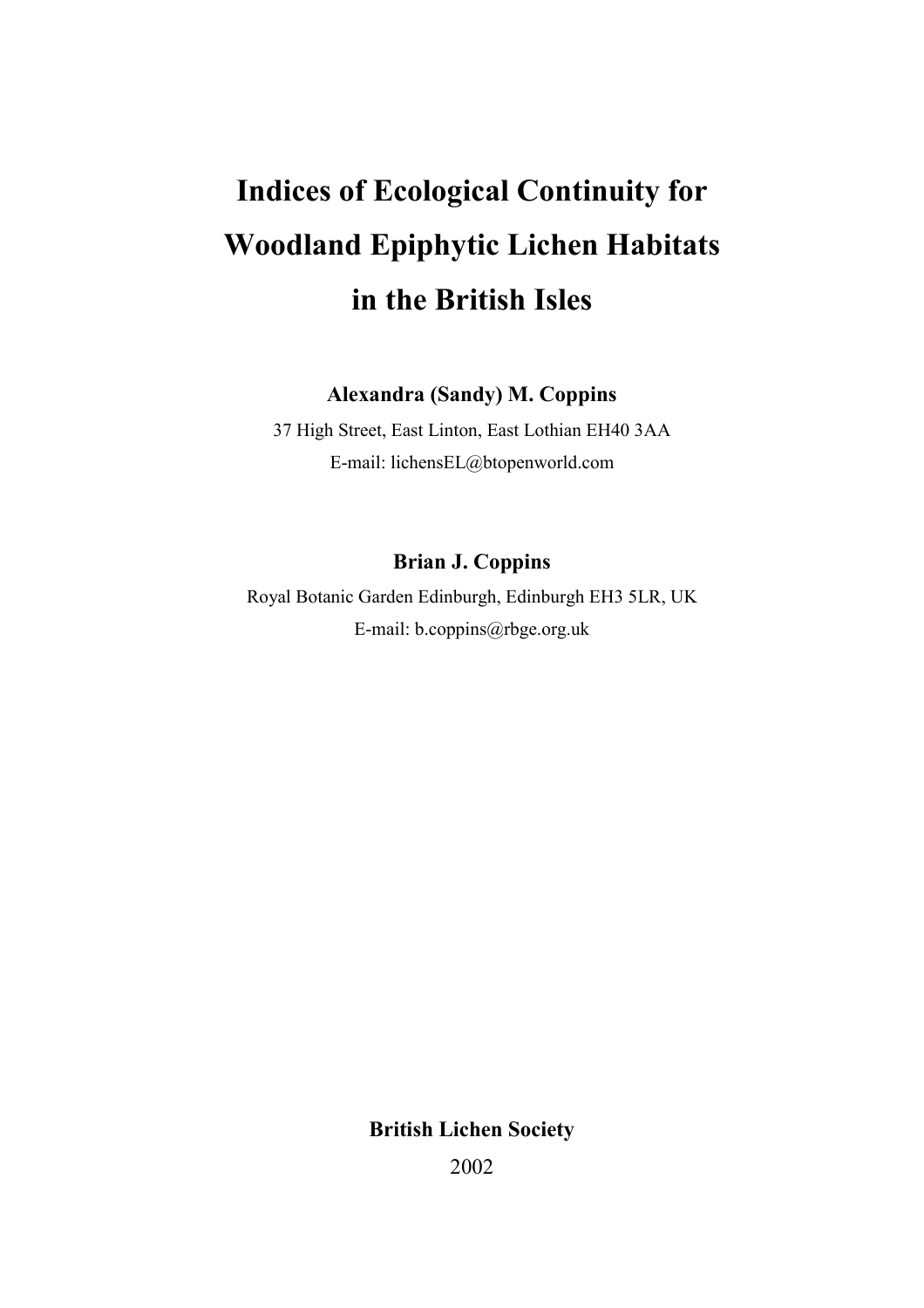# Indices of Ecological Continuity for Woodland Epiphytic Lichen Habitats in the British Isles

Alexandra (Sandy) M. Coppins

37 High Street, East Linton, East Lothian EH40 3AA E-mail: lichensEL@btopenworld.com

# Brian J. Coppins

Royal Botanic Garden Edinburgh, Edinburgh EH3 5LR, UK E-mail: b.coppins@rbge.org.uk

British Lichen Society

2002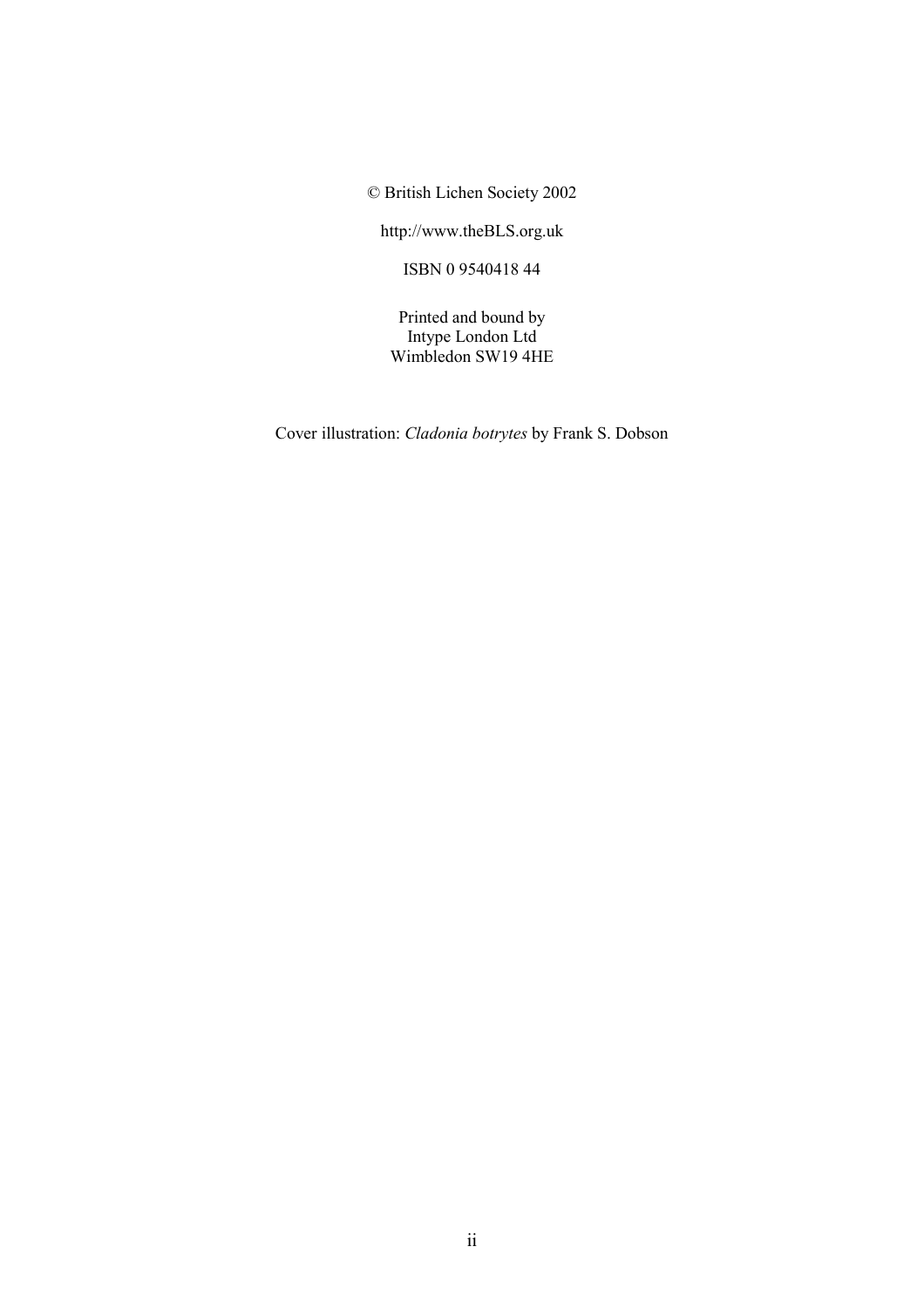© British Lichen Society 2002

http://www.theBLS.org.uk

ISBN 0 9540418 44

Printed and bound by Intype London Ltd Wimbledon SW19 4HE

Cover illustration: Cladonia botrytes by Frank S. Dobson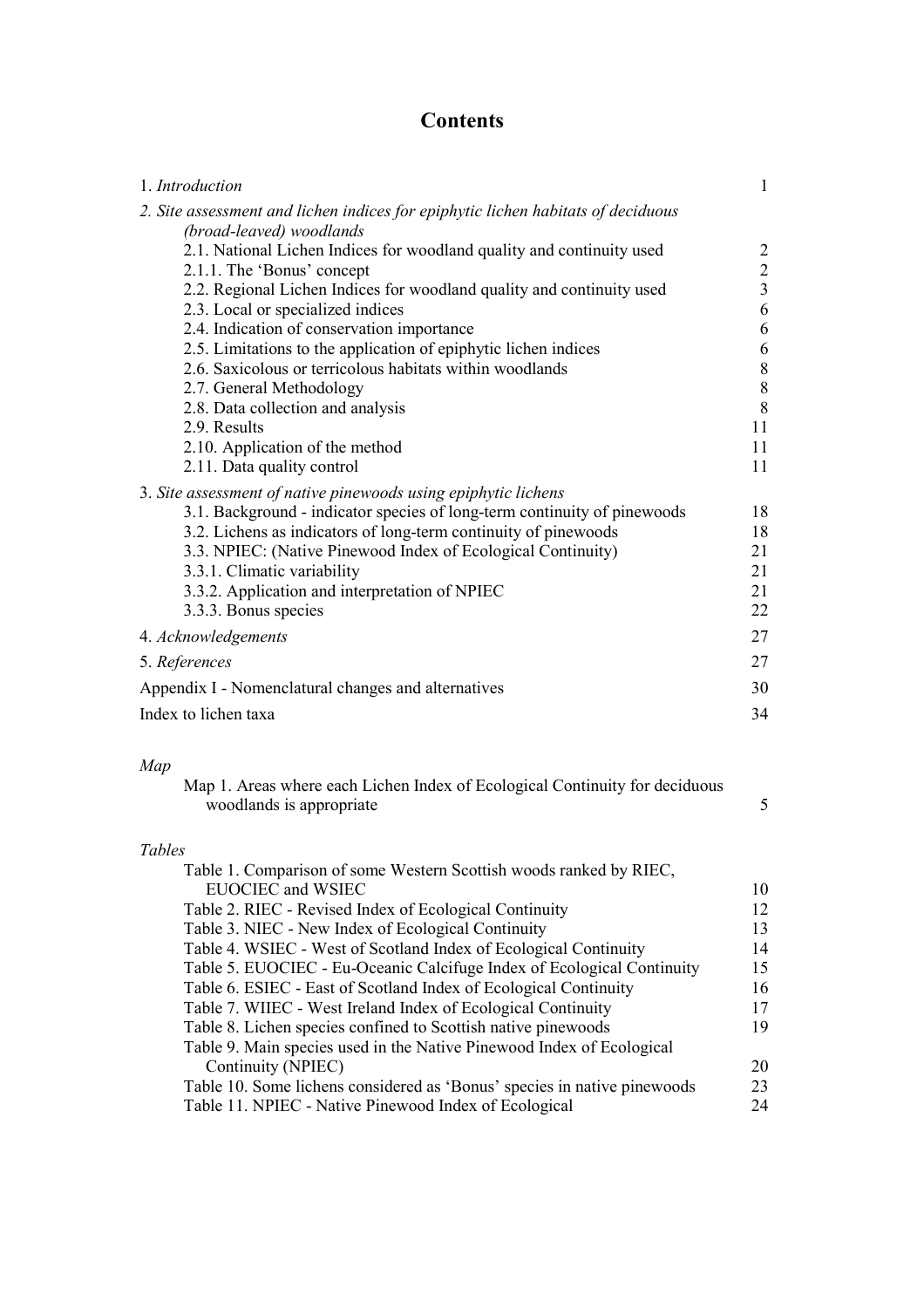# **Contents**

| 1. Introduction                                                                  | $\mathbf{1}$   |
|----------------------------------------------------------------------------------|----------------|
| 2. Site assessment and lichen indices for epiphytic lichen habitats of deciduous |                |
| (broad-leaved) woodlands                                                         |                |
| 2.1. National Lichen Indices for woodland quality and continuity used            | $\overline{2}$ |
| 2.1.1. The 'Bonus' concept                                                       | $\frac{2}{3}$  |
| 2.2. Regional Lichen Indices for woodland quality and continuity used            |                |
| 2.3. Local or specialized indices                                                | 6              |
| 2.4. Indication of conservation importance                                       | 6              |
| 2.5. Limitations to the application of epiphytic lichen indices                  | 6              |
| 2.6. Saxicolous or terricolous habitats within woodlands                         | 8              |
| 2.7. General Methodology                                                         | 8              |
| 2.8. Data collection and analysis                                                | 8              |
| 2.9. Results                                                                     | 11             |
| 2.10. Application of the method                                                  | 11             |
| 2.11. Data quality control                                                       | 11             |
| 3. Site assessment of native pinewoods using epiphytic lichens                   |                |
| 3.1. Background - indicator species of long-term continuity of pinewoods         | 18             |
| 3.2. Lichens as indicators of long-term continuity of pinewoods                  | 18             |
| 3.3. NPIEC: (Native Pinewood Index of Ecological Continuity)                     | 21             |
| 3.3.1. Climatic variability                                                      | 21             |
| 3.3.2. Application and interpretation of NPIEC                                   | 21             |
| 3.3.3. Bonus species                                                             | 22             |
| 4. Acknowledgements                                                              | 27             |
| 5. References                                                                    | 27             |
| Appendix I - Nomenclatural changes and alternatives                              | 30             |
| Index to lichen taxa                                                             | 34             |

# Map

| Map 1. Areas where each Lichen Index of Ecological Continuity for deciduous |  |
|-----------------------------------------------------------------------------|--|
| woodlands is appropriate                                                    |  |

# Tables

| Table 1. Comparison of some Western Scottish woods ranked by RIEC,       |    |
|--------------------------------------------------------------------------|----|
| <b>EUOCIEC</b> and WSIEC                                                 | 10 |
| Table 2. RIEC - Revised Index of Ecological Continuity                   | 12 |
| Table 3. NIEC - New Index of Ecological Continuity                       | 13 |
| Table 4. WSIEC - West of Scotland Index of Ecological Continuity         | 14 |
| Table 5. EUOCIEC - Eu-Oceanic Calcifuge Index of Ecological Continuity   | 15 |
| Table 6. ESIEC - East of Scotland Index of Ecological Continuity         | 16 |
| Table 7. WIIEC - West Ireland Index of Ecological Continuity             | 17 |
| Table 8. Lichen species confined to Scottish native pinewoods            | 19 |
| Table 9. Main species used in the Native Pinewood Index of Ecological    |    |
| Continuity (NPIEC)                                                       | 20 |
| Table 10. Some lichens considered as 'Bonus' species in native pinewoods | 23 |
| Table 11. NPIEC - Native Pinewood Index of Ecological                    | 24 |
|                                                                          |    |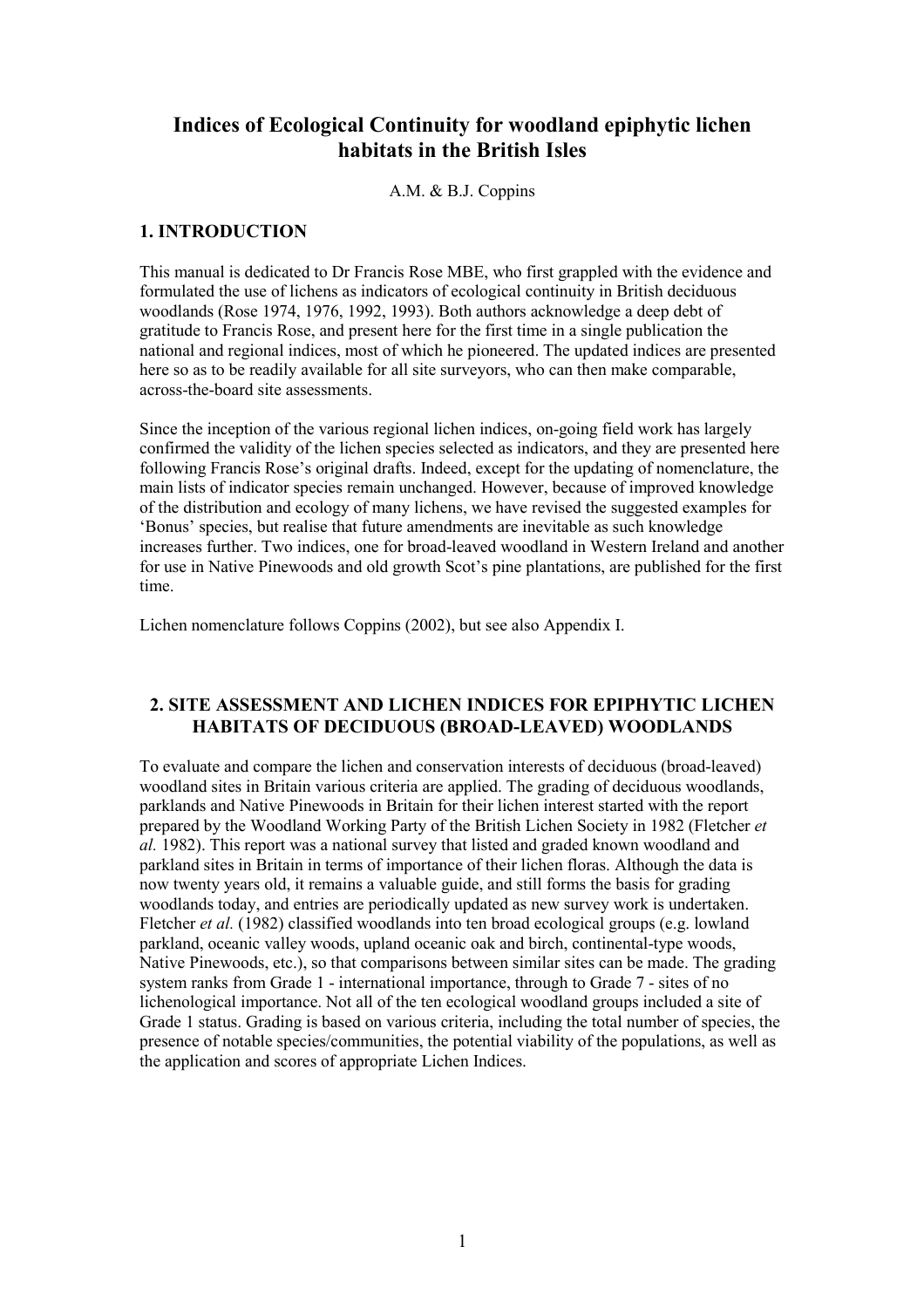# Indices of Ecological Continuity for woodland epiphytic lichen habitats in the British Isles

A.M. & B.J. Coppins

#### 1. INTRODUCTION

This manual is dedicated to Dr Francis Rose MBE, who first grappled with the evidence and formulated the use of lichens as indicators of ecological continuity in British deciduous woodlands (Rose 1974, 1976, 1992, 1993). Both authors acknowledge a deep debt of gratitude to Francis Rose, and present here for the first time in a single publication the national and regional indices, most of which he pioneered. The updated indices are presented here so as to be readily available for all site surveyors, who can then make comparable, across-the-board site assessments.

Since the inception of the various regional lichen indices, on-going field work has largely confirmed the validity of the lichen species selected as indicators, and they are presented here following Francis Rose's original drafts. Indeed, except for the updating of nomenclature, the main lists of indicator species remain unchanged. However, because of improved knowledge of the distribution and ecology of many lichens, we have revised the suggested examples for 'Bonus' species, but realise that future amendments are inevitable as such knowledge increases further. Two indices, one for broad-leaved woodland in Western Ireland and another for use in Native Pinewoods and old growth Scot's pine plantations, are published for the first time.

Lichen nomenclature follows Coppins (2002), but see also Appendix I.

#### 2. SITE ASSESSMENT AND LICHEN INDICES FOR EPIPHYTIC LICHEN HABITATS OF DECIDUOUS (BROAD-LEAVED) WOODLANDS

To evaluate and compare the lichen and conservation interests of deciduous (broad-leaved) woodland sites in Britain various criteria are applied. The grading of deciduous woodlands, parklands and Native Pinewoods in Britain for their lichen interest started with the report prepared by the Woodland Working Party of the British Lichen Society in 1982 (Fletcher et al. 1982). This report was a national survey that listed and graded known woodland and parkland sites in Britain in terms of importance of their lichen floras. Although the data is now twenty years old, it remains a valuable guide, and still forms the basis for grading woodlands today, and entries are periodically updated as new survey work is undertaken. Fletcher et al. (1982) classified woodlands into ten broad ecological groups (e.g. lowland parkland, oceanic valley woods, upland oceanic oak and birch, continental-type woods, Native Pinewoods, etc.), so that comparisons between similar sites can be made. The grading system ranks from Grade 1 - international importance, through to Grade 7 - sites of no lichenological importance. Not all of the ten ecological woodland groups included a site of Grade 1 status. Grading is based on various criteria, including the total number of species, the presence of notable species/communities, the potential viability of the populations, as well as the application and scores of appropriate Lichen Indices.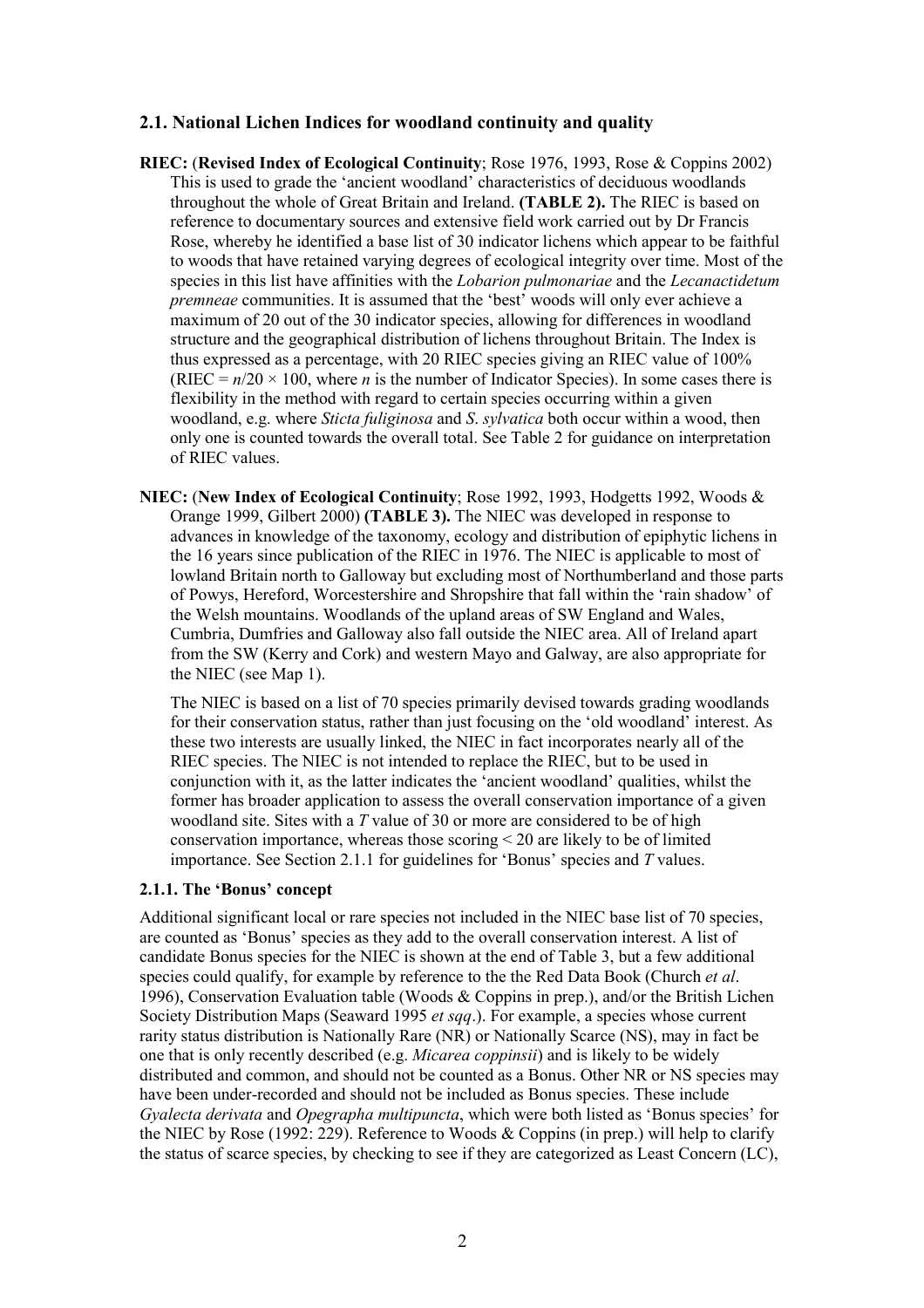#### 2.1. National Lichen Indices for woodland continuity and quality

- RIEC: (Revised Index of Ecological Continuity; Rose 1976, 1993, Rose & Coppins 2002) This is used to grade the 'ancient woodland' characteristics of deciduous woodlands throughout the whole of Great Britain and Ireland. (TABLE 2). The RIEC is based on reference to documentary sources and extensive field work carried out by Dr Francis Rose, whereby he identified a base list of 30 indicator lichens which appear to be faithful to woods that have retained varying degrees of ecological integrity over time. Most of the species in this list have affinities with the Lobarion pulmonariae and the Lecanactidetum premneae communities. It is assumed that the 'best' woods will only ever achieve a maximum of 20 out of the 30 indicator species, allowing for differences in woodland structure and the geographical distribution of lichens throughout Britain. The Index is thus expressed as a percentage, with 20 RIEC species giving an RIEC value of 100% (RIEC =  $n/20 \times 100$ , where *n* is the number of Indicator Species). In some cases there is flexibility in the method with regard to certain species occurring within a given woodland, e.g. where *Sticta fuliginosa* and *S. sylvatica* both occur within a wood, then only one is counted towards the overall total. See Table 2 for guidance on interpretation of RIEC values.
- NIEC: (New Index of Ecological Continuity; Rose 1992, 1993, Hodgetts 1992, Woods & Orange 1999, Gilbert 2000) (TABLE 3). The NIEC was developed in response to advances in knowledge of the taxonomy, ecology and distribution of epiphytic lichens in the 16 years since publication of the RIEC in 1976. The NIEC is applicable to most of lowland Britain north to Galloway but excluding most of Northumberland and those parts of Powys, Hereford, Worcestershire and Shropshire that fall within the 'rain shadow' of the Welsh mountains. Woodlands of the upland areas of SW England and Wales, Cumbria, Dumfries and Galloway also fall outside the NIEC area. All of Ireland apart from the SW (Kerry and Cork) and western Mayo and Galway, are also appropriate for the NIEC (see Map 1).

The NIEC is based on a list of 70 species primarily devised towards grading woodlands for their conservation status, rather than just focusing on the 'old woodland' interest. As these two interests are usually linked, the NIEC in fact incorporates nearly all of the RIEC species. The NIEC is not intended to replace the RIEC, but to be used in conjunction with it, as the latter indicates the 'ancient woodland' qualities, whilst the former has broader application to assess the overall conservation importance of a given woodland site. Sites with a T value of 30 or more are considered to be of high conservation importance, whereas those scoring < 20 are likely to be of limited importance. See Section 2.1.1 for guidelines for 'Bonus' species and T values.

#### 2.1.1. The 'Bonus' concept

Additional significant local or rare species not included in the NIEC base list of 70 species, are counted as 'Bonus' species as they add to the overall conservation interest. A list of candidate Bonus species for the NIEC is shown at the end of Table 3, but a few additional species could qualify, for example by reference to the the Red Data Book (Church et al. 1996), Conservation Evaluation table (Woods & Coppins in prep.), and/or the British Lichen Society Distribution Maps (Seaward 1995 *et sqq.*). For example, a species whose current rarity status distribution is Nationally Rare (NR) or Nationally Scarce (NS), may in fact be one that is only recently described (e.g. Micarea coppinsii) and is likely to be widely distributed and common, and should not be counted as a Bonus. Other NR or NS species may have been under-recorded and should not be included as Bonus species. These include Gyalecta derivata and Opegrapha multipuncta, which were both listed as 'Bonus species' for the NIEC by Rose (1992:  $229$ ). Reference to Woods & Coppins (in prep.) will help to clarify the status of scarce species, by checking to see if they are categorized as Least Concern (LC),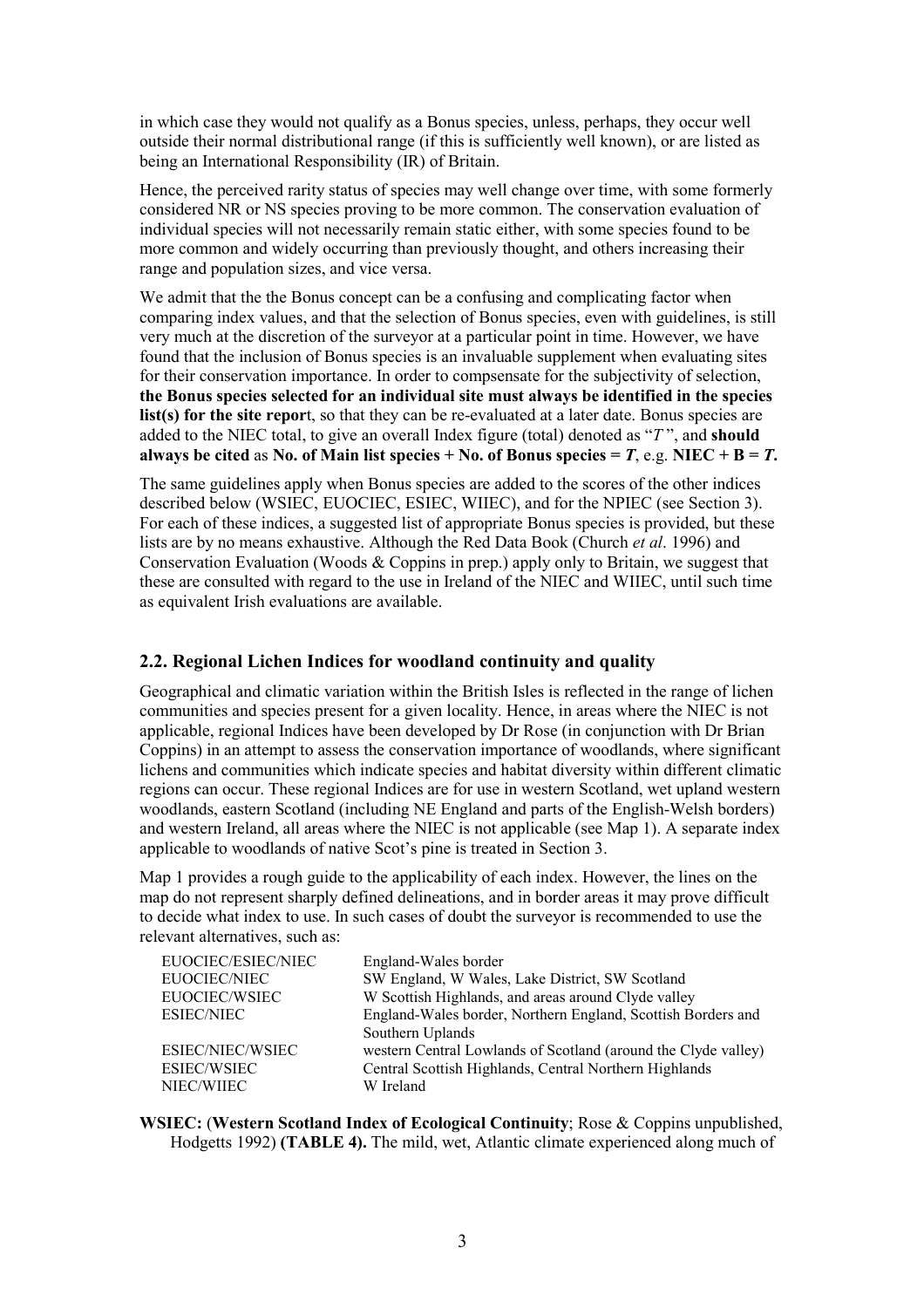in which case they would not qualify as a Bonus species, unless, perhaps, they occur well outside their normal distributional range (if this is sufficiently well known), or are listed as being an International Responsibility (IR) of Britain.

Hence, the perceived rarity status of species may well change over time, with some formerly considered NR or NS species proving to be more common. The conservation evaluation of individual species will not necessarily remain static either, with some species found to be more common and widely occurring than previously thought, and others increasing their range and population sizes, and vice versa.

We admit that the the Bonus concept can be a confusing and complicating factor when comparing index values, and that the selection of Bonus species, even with guidelines, is still very much at the discretion of the surveyor at a particular point in time. However, we have found that the inclusion of Bonus species is an invaluable supplement when evaluating sites for their conservation importance. In order to compsensate for the subjectivity of selection, the Bonus species selected for an individual site must always be identified in the species list(s) for the site report, so that they can be re-evaluated at a later date. Bonus species are added to the NIEC total, to give an overall Index figure (total) denoted as "T", and should always be cited as No. of Main list species + No. of Bonus species = T, e.g. NIEC + B = T.

The same guidelines apply when Bonus species are added to the scores of the other indices described below (WSIEC, EUOCIEC, ESIEC, WIIEC), and for the NPIEC (see Section 3). For each of these indices, a suggested list of appropriate Bonus species is provided, but these lists are by no means exhaustive. Although the Red Data Book (Church et al. 1996) and Conservation Evaluation (Woods & Coppins in prep.) apply only to Britain, we suggest that these are consulted with regard to the use in Ireland of the NIEC and WIIEC, until such time as equivalent Irish evaluations are available.

## 2.2. Regional Lichen Indices for woodland continuity and quality

Geographical and climatic variation within the British Isles is reflected in the range of lichen communities and species present for a given locality. Hence, in areas where the NIEC is not applicable, regional Indices have been developed by Dr Rose (in conjunction with Dr Brian Coppins) in an attempt to assess the conservation importance of woodlands, where significant lichens and communities which indicate species and habitat diversity within different climatic regions can occur. These regional Indices are for use in western Scotland, wet upland western woodlands, eastern Scotland (including NE England and parts of the English-Welsh borders) and western Ireland, all areas where the NIEC is not applicable (see Map 1). A separate index applicable to woodlands of native Scot's pine is treated in Section 3.

Map 1 provides a rough guide to the applicability of each index. However, the lines on the map do not represent sharply defined delineations, and in border areas it may prove difficult to decide what index to use. In such cases of doubt the surveyor is recommended to use the relevant alternatives, such as:

| EUOCIEC/ESIEC/NIEC | England-Wales border                                           |
|--------------------|----------------------------------------------------------------|
| EUOCIEC/NIEC       | SW England, W Wales, Lake District, SW Scotland                |
| EUOCIEC/WSIEC      | W Scottish Highlands, and areas around Clyde valley            |
| <b>ESIEC/NIEC</b>  | England-Wales border, Northern England, Scottish Borders and   |
|                    | Southern Uplands                                               |
| ESIEC/NIEC/WSIEC   | western Central Lowlands of Scotland (around the Clyde valley) |
| <b>ESIEC/WSIEC</b> | Central Scottish Highlands, Central Northern Highlands         |
| NIEC/WIIEC         | W Ireland                                                      |

WSIEC: (Western Scotland Index of Ecological Continuity; Rose & Coppins unpublished, Hodgetts 1992) (TABLE 4). The mild, wet, Atlantic climate experienced along much of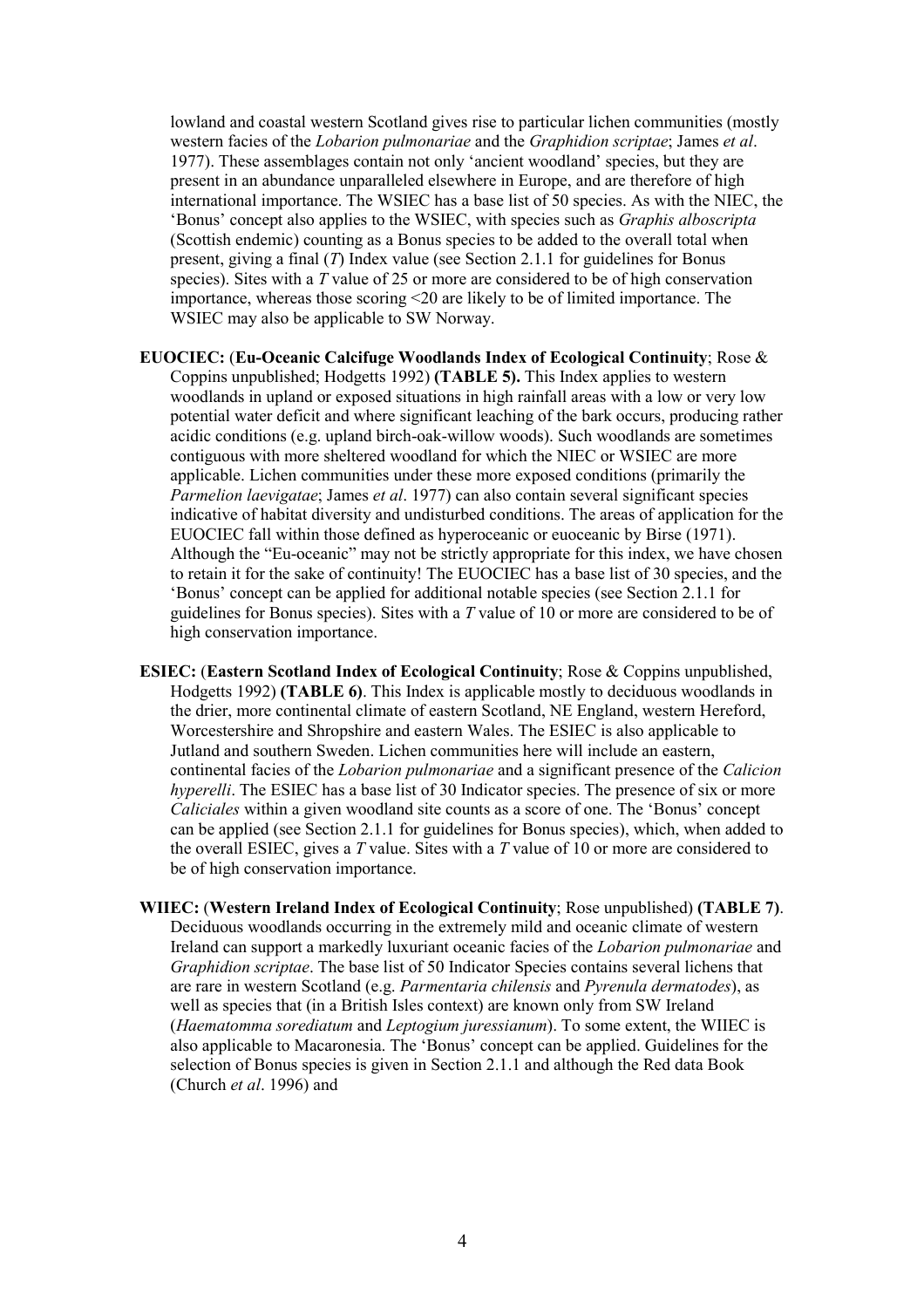lowland and coastal western Scotland gives rise to particular lichen communities (mostly western facies of the Lobarion pulmonariae and the Graphidion scriptae; James et al. 1977). These assemblages contain not only 'ancient woodland' species, but they are present in an abundance unparalleled elsewhere in Europe, and are therefore of high international importance. The WSIEC has a base list of 50 species. As with the NIEC, the 'Bonus' concept also applies to the WSIEC, with species such as Graphis alboscripta (Scottish endemic) counting as a Bonus species to be added to the overall total when present, giving a final  $(T)$  Index value (see Section 2.1.1 for guidelines for Bonus species). Sites with a T value of 25 or more are considered to be of high conservation importance, whereas those scoring <20 are likely to be of limited importance. The WSIEC may also be applicable to SW Norway.

- EUOCIEC: (Eu-Oceanic Calcifuge Woodlands Index of Ecological Continuity; Rose & Coppins unpublished; Hodgetts 1992) (TABLE 5). This Index applies to western woodlands in upland or exposed situations in high rainfall areas with a low or very low potential water deficit and where significant leaching of the bark occurs, producing rather acidic conditions (e.g. upland birch-oak-willow woods). Such woodlands are sometimes contiguous with more sheltered woodland for which the NIEC or WSIEC are more applicable. Lichen communities under these more exposed conditions (primarily the Parmelion laevigatae; James et al. 1977) can also contain several significant species indicative of habitat diversity and undisturbed conditions. The areas of application for the EUOCIEC fall within those defined as hyperoceanic or euoceanic by Birse (1971). Although the "Eu-oceanic" may not be strictly appropriate for this index, we have chosen to retain it for the sake of continuity! The EUOCIEC has a base list of 30 species, and the 'Bonus' concept can be applied for additional notable species (see Section 2.1.1 for guidelines for Bonus species). Sites with a  $T$  value of 10 or more are considered to be of high conservation importance.
- ESIEC: (Eastern Scotland Index of Ecological Continuity; Rose & Coppins unpublished, Hodgetts 1992) (TABLE 6). This Index is applicable mostly to deciduous woodlands in the drier, more continental climate of eastern Scotland, NE England, western Hereford, Worcestershire and Shropshire and eastern Wales. The ESIEC is also applicable to Jutland and southern Sweden. Lichen communities here will include an eastern, continental facies of the Lobarion pulmonariae and a significant presence of the Calicion hyperelli. The ESIEC has a base list of 30 Indicator species. The presence of six or more Caliciales within a given woodland site counts as a score of one. The 'Bonus' concept can be applied (see Section 2.1.1 for guidelines for Bonus species), which, when added to the overall ESIEC, gives a T value. Sites with a T value of 10 or more are considered to be of high conservation importance.
- WIIEC: (Western Ireland Index of Ecological Continuity; Rose unpublished) (TABLE 7). Deciduous woodlands occurring in the extremely mild and oceanic climate of western Ireland can support a markedly luxuriant oceanic facies of the Lobarion pulmonariae and Graphidion scriptae. The base list of 50 Indicator Species contains several lichens that are rare in western Scotland (e.g. Parmentaria chilensis and Pyrenula dermatodes), as well as species that (in a British Isles context) are known only from SW Ireland (Haematomma sorediatum and Leptogium juressianum). To some extent, the WIIEC is also applicable to Macaronesia. The 'Bonus' concept can be applied. Guidelines for the selection of Bonus species is given in Section 2.1.1 and although the Red data Book (Church et al. 1996) and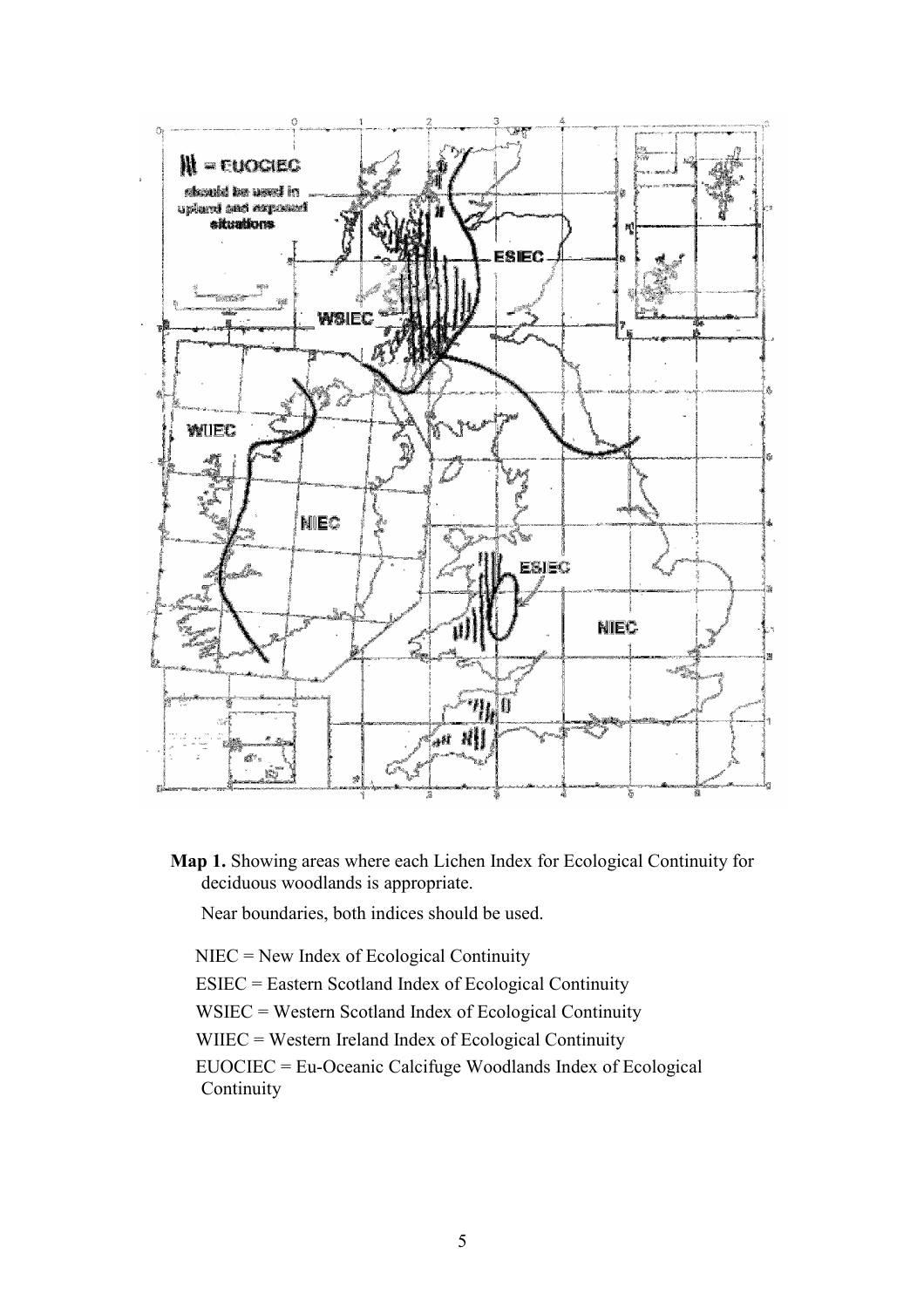

Map 1. Showing areas where each Lichen Index for Ecological Continuity for deciduous woodlands is appropriate.

Near boundaries, both indices should be used.

NIEC = New Index of Ecological Continuity

ESIEC = Eastern Scotland Index of Ecological Continuity

WSIEC = Western Scotland Index of Ecological Continuity

WIIEC = Western Ireland Index of Ecological Continuity

EUOCIEC = Eu-Oceanic Calcifuge Woodlands Index of Ecological **Continuity**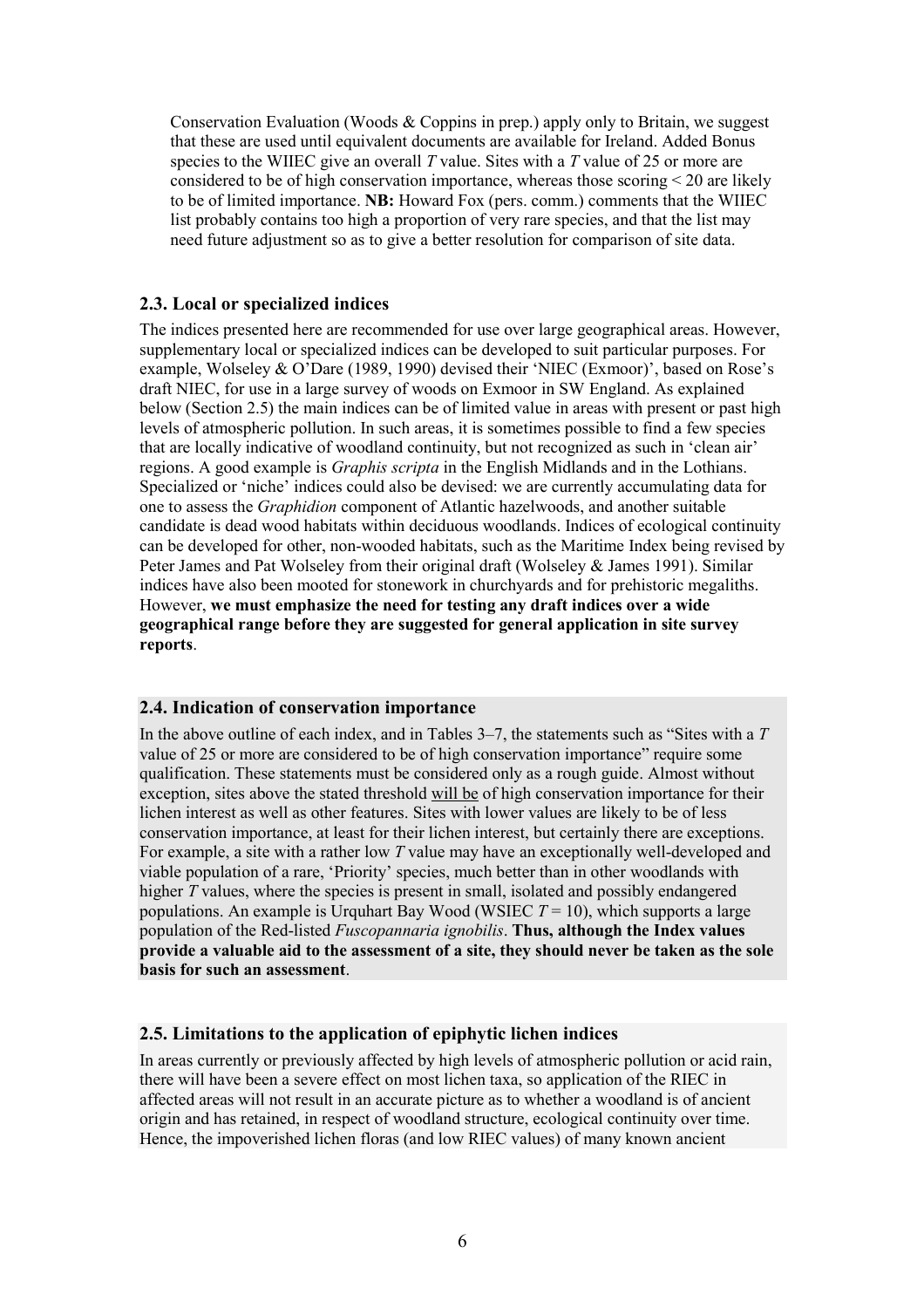Conservation Evaluation (Woods & Coppins in prep.) apply only to Britain, we suggest that these are used until equivalent documents are available for Ireland. Added Bonus species to the WIIEC give an overall T value. Sites with a T value of 25 or more are considered to be of high conservation importance, whereas those scoring  $\leq 20$  are likely to be of limited importance. NB: Howard Fox (pers. comm.) comments that the WIIEC list probably contains too high a proportion of very rare species, and that the list may need future adjustment so as to give a better resolution for comparison of site data.

#### 2.3. Local or specialized indices

The indices presented here are recommended for use over large geographical areas. However, supplementary local or specialized indices can be developed to suit particular purposes. For example, Wolseley & O'Dare (1989, 1990) devised their 'NIEC (Exmoor)', based on Rose's draft NIEC, for use in a large survey of woods on Exmoor in SW England. As explained below (Section 2.5) the main indices can be of limited value in areas with present or past high levels of atmospheric pollution. In such areas, it is sometimes possible to find a few species that are locally indicative of woodland continuity, but not recognized as such in 'clean air' regions. A good example is Graphis scripta in the English Midlands and in the Lothians. Specialized or 'niche' indices could also be devised: we are currently accumulating data for one to assess the Graphidion component of Atlantic hazelwoods, and another suitable candidate is dead wood habitats within deciduous woodlands. Indices of ecological continuity can be developed for other, non-wooded habitats, such as the Maritime Index being revised by Peter James and Pat Wolseley from their original draft (Wolseley & James 1991). Similar indices have also been mooted for stonework in churchyards and for prehistoric megaliths. However, we must emphasize the need for testing any draft indices over a wide geographical range before they are suggested for general application in site survey reports.

#### 2.4. Indication of conservation importance

In the above outline of each index, and in Tables  $3-7$ , the statements such as "Sites with a  $T$ value of 25 or more are considered to be of high conservation importance" require some qualification. These statements must be considered only as a rough guide. Almost without exception, sites above the stated threshold will be of high conservation importance for their lichen interest as well as other features. Sites with lower values are likely to be of less conservation importance, at least for their lichen interest, but certainly there are exceptions. For example, a site with a rather low T value may have an exceptionally well-developed and viable population of a rare, 'Priority' species, much better than in other woodlands with higher  $\overline{T}$  values, where the species is present in small, isolated and possibly endangered populations. An example is Urquhart Bay Wood (WSIEC  $T = 10$ ), which supports a large population of the Red-listed Fuscopannaria ignobilis. Thus, although the Index values provide a valuable aid to the assessment of a site, they should never be taken as the sole basis for such an assessment.

#### 2.5. Limitations to the application of epiphytic lichen indices

In areas currently or previously affected by high levels of atmospheric pollution or acid rain, there will have been a severe effect on most lichen taxa, so application of the RIEC in affected areas will not result in an accurate picture as to whether a woodland is of ancient origin and has retained, in respect of woodland structure, ecological continuity over time. Hence, the impoverished lichen floras (and low RIEC values) of many known ancient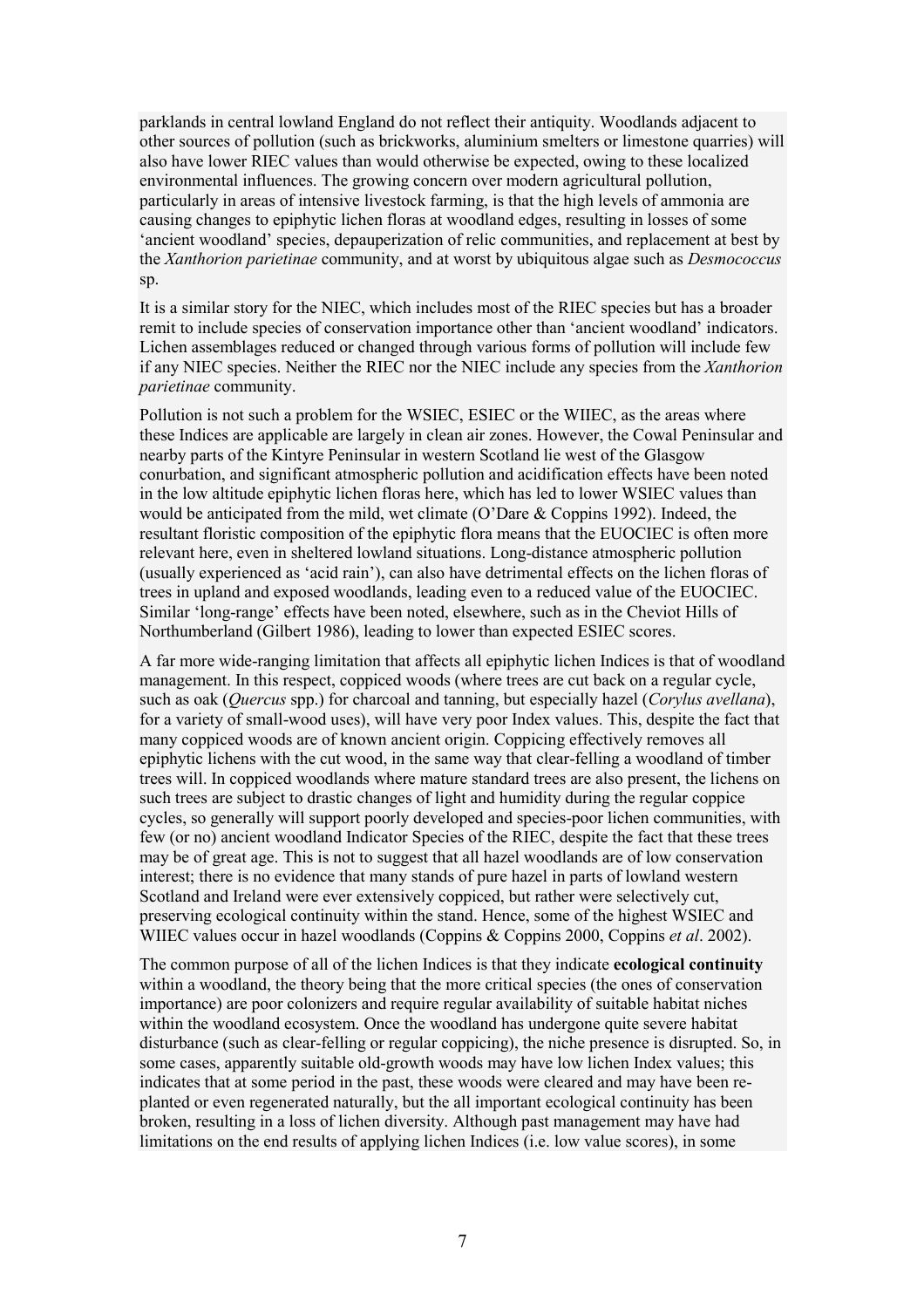parklands in central lowland England do not reflect their antiquity. Woodlands adjacent to other sources of pollution (such as brickworks, aluminium smelters or limestone quarries) will also have lower RIEC values than would otherwise be expected, owing to these localized environmental influences. The growing concern over modern agricultural pollution, particularly in areas of intensive livestock farming, is that the high levels of ammonia are causing changes to epiphytic lichen floras at woodland edges, resulting in losses of some 'ancient woodland' species, depauperization of relic communities, and replacement at best by the Xanthorion parietinae community, and at worst by ubiquitous algae such as Desmococcus sp.

It is a similar story for the NIEC, which includes most of the RIEC species but has a broader remit to include species of conservation importance other than 'ancient woodland' indicators. Lichen assemblages reduced or changed through various forms of pollution will include few if any NIEC species. Neither the RIEC nor the NIEC include any species from the Xanthorion parietinae community.

Pollution is not such a problem for the WSIEC, ESIEC or the WIIEC, as the areas where these Indices are applicable are largely in clean air zones. However, the Cowal Peninsular and nearby parts of the Kintyre Peninsular in western Scotland lie west of the Glasgow conurbation, and significant atmospheric pollution and acidification effects have been noted in the low altitude epiphytic lichen floras here, which has led to lower WSIEC values than would be anticipated from the mild, wet climate (O'Dare & Coppins 1992). Indeed, the resultant floristic composition of the epiphytic flora means that the EUOCIEC is often more relevant here, even in sheltered lowland situations. Long-distance atmospheric pollution (usually experienced as 'acid rain'), can also have detrimental effects on the lichen floras of trees in upland and exposed woodlands, leading even to a reduced value of the EUOCIEC. Similar 'long-range' effects have been noted, elsewhere, such as in the Cheviot Hills of Northumberland (Gilbert 1986), leading to lower than expected ESIEC scores.

A far more wide-ranging limitation that affects all epiphytic lichen Indices is that of woodland management. In this respect, coppiced woods (where trees are cut back on a regular cycle, such as oak (*Quercus* spp.) for charcoal and tanning, but especially hazel (*Corylus avellana*), for a variety of small-wood uses), will have very poor Index values. This, despite the fact that many coppiced woods are of known ancient origin. Coppicing effectively removes all epiphytic lichens with the cut wood, in the same way that clear-felling a woodland of timber trees will. In coppiced woodlands where mature standard trees are also present, the lichens on such trees are subject to drastic changes of light and humidity during the regular coppice cycles, so generally will support poorly developed and species-poor lichen communities, with few (or no) ancient woodland Indicator Species of the RIEC, despite the fact that these trees may be of great age. This is not to suggest that all hazel woodlands are of low conservation interest; there is no evidence that many stands of pure hazel in parts of lowland western Scotland and Ireland were ever extensively coppiced, but rather were selectively cut, preserving ecological continuity within the stand. Hence, some of the highest WSIEC and WIIEC values occur in hazel woodlands (Coppins & Coppins 2000, Coppins et al. 2002).

The common purpose of all of the lichen Indices is that they indicate ecological continuity within a woodland, the theory being that the more critical species (the ones of conservation importance) are poor colonizers and require regular availability of suitable habitat niches within the woodland ecosystem. Once the woodland has undergone quite severe habitat disturbance (such as clear-felling or regular coppicing), the niche presence is disrupted. So, in some cases, apparently suitable old-growth woods may have low lichen Index values; this indicates that at some period in the past, these woods were cleared and may have been replanted or even regenerated naturally, but the all important ecological continuity has been broken, resulting in a loss of lichen diversity. Although past management may have had limitations on the end results of applying lichen Indices (i.e. low value scores), in some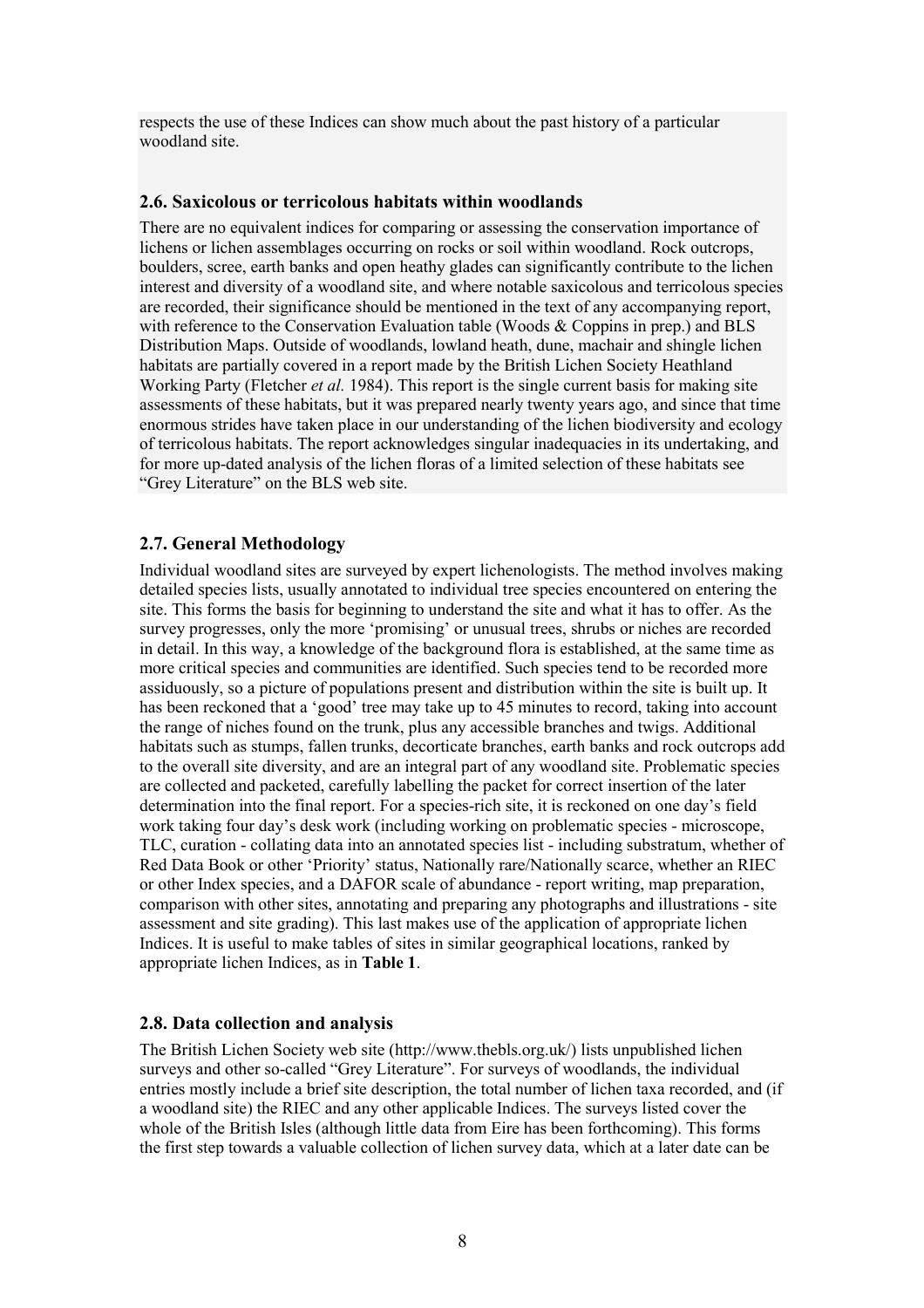respects the use of these Indices can show much about the past history of a particular woodland site.

#### 2.6. Saxicolous or terricolous habitats within woodlands

There are no equivalent indices for comparing or assessing the conservation importance of lichens or lichen assemblages occurring on rocks or soil within woodland. Rock outcrops, boulders, scree, earth banks and open heathy glades can significantly contribute to the lichen interest and diversity of a woodland site, and where notable saxicolous and terricolous species are recorded, their significance should be mentioned in the text of any accompanying report, with reference to the Conservation Evaluation table (Woods & Coppins in prep.) and BLS Distribution Maps. Outside of woodlands, lowland heath, dune, machair and shingle lichen habitats are partially covered in a report made by the British Lichen Society Heathland Working Party (Fletcher *et al.* 1984). This report is the single current basis for making site assessments of these habitats, but it was prepared nearly twenty years ago, and since that time enormous strides have taken place in our understanding of the lichen biodiversity and ecology of terricolous habitats. The report acknowledges singular inadequacies in its undertaking, and for more up-dated analysis of the lichen floras of a limited selection of these habitats see "Grey Literature" on the BLS web site.

### 2.7. General Methodology

Individual woodland sites are surveyed by expert lichenologists. The method involves making detailed species lists, usually annotated to individual tree species encountered on entering the site. This forms the basis for beginning to understand the site and what it has to offer. As the survey progresses, only the more 'promising' or unusual trees, shrubs or niches are recorded in detail. In this way, a knowledge of the background flora is established, at the same time as more critical species and communities are identified. Such species tend to be recorded more assiduously, so a picture of populations present and distribution within the site is built up. It has been reckoned that a 'good' tree may take up to 45 minutes to record, taking into account the range of niches found on the trunk, plus any accessible branches and twigs. Additional habitats such as stumps, fallen trunks, decorticate branches, earth banks and rock outcrops add to the overall site diversity, and are an integral part of any woodland site. Problematic species are collected and packeted, carefully labelling the packet for correct insertion of the later determination into the final report. For a species-rich site, it is reckoned on one day's field work taking four day's desk work (including working on problematic species - microscope, TLC, curation - collating data into an annotated species list - including substratum, whether of Red Data Book or other 'Priority' status, Nationally rare/Nationally scarce, whether an RIEC or other Index species, and a DAFOR scale of abundance - report writing, map preparation, comparison with other sites, annotating and preparing any photographs and illustrations - site assessment and site grading). This last makes use of the application of appropriate lichen Indices. It is useful to make tables of sites in similar geographical locations, ranked by appropriate lichen Indices, as in Table 1.

#### 2.8. Data collection and analysis

The British Lichen Society web site (http://www.thebls.org.uk/) lists unpublished lichen surveys and other so-called "Grey Literature". For surveys of woodlands, the individual entries mostly include a brief site description, the total number of lichen taxa recorded, and (if a woodland site) the RIEC and any other applicable Indices. The surveys listed cover the whole of the British Isles (although little data from Eire has been forthcoming). This forms the first step towards a valuable collection of lichen survey data, which at a later date can be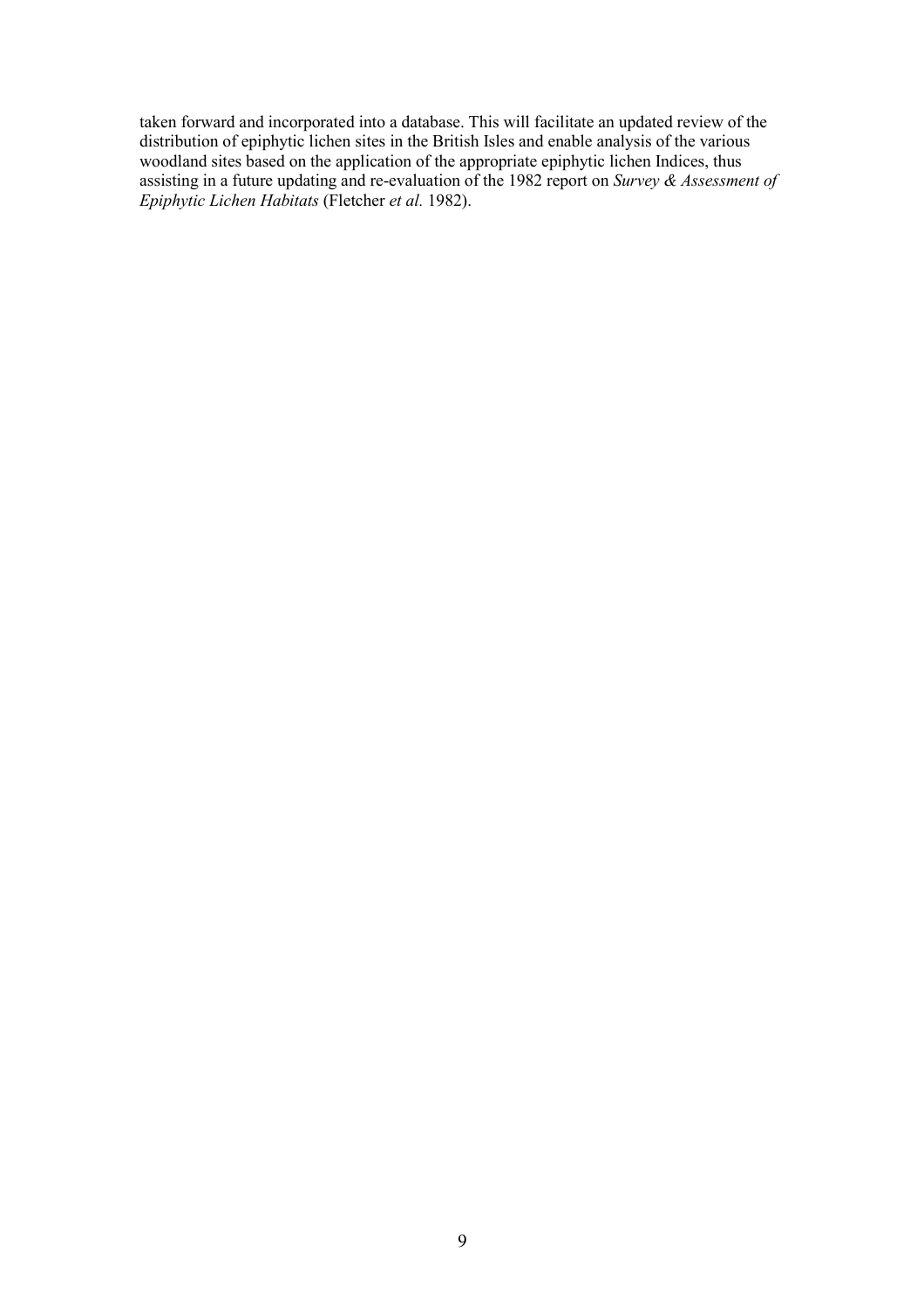taken forward and incorporated into a database. This will facilitate an updated review of the distribution of epiphytic lichen sites in the British Isles and enable analysis of the various woodland sites based on the application of the appropriate epiphytic lichen Indices, thus assisting in a future updating and re-evaluation of the 1982 report on Survey & Assessment of Epiphytic Lichen Habitats (Fletcher et al. 1982).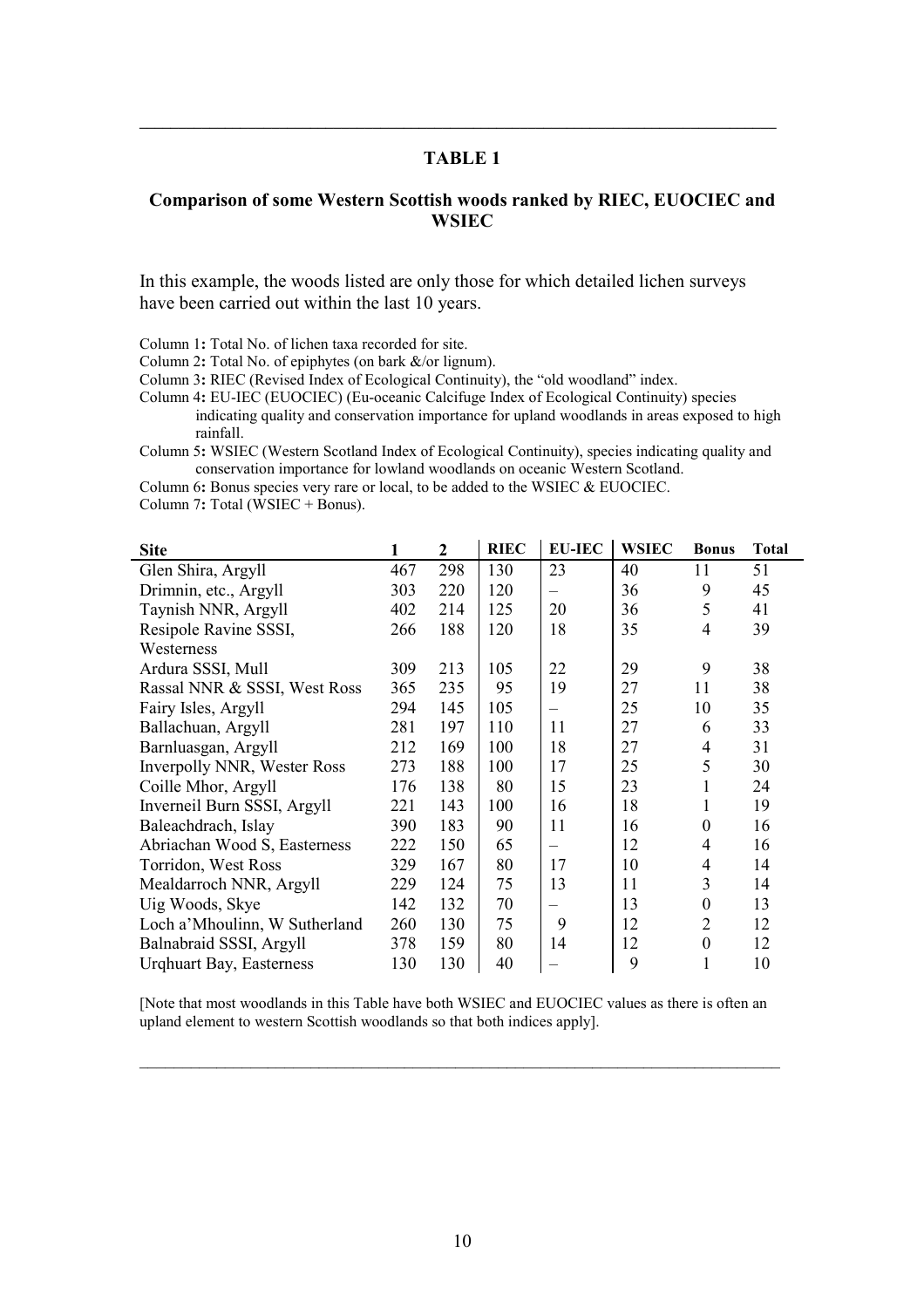\_\_\_\_\_\_\_\_\_\_\_\_\_\_\_\_\_\_\_\_\_\_\_\_\_\_\_\_\_\_\_\_\_\_\_\_\_\_\_\_\_\_\_\_\_\_\_\_\_\_\_\_\_\_\_\_\_\_\_\_\_\_\_\_\_\_\_\_\_\_\_\_\_\_\_\_\_\_\_\_\_\_

#### Comparison of some Western Scottish woods ranked by RIEC, EUOCIEC and **WSIEC**

In this example, the woods listed are only those for which detailed lichen surveys have been carried out within the last 10 years.

Column 1: Total No. of lichen taxa recorded for site.

Column 2: Total No. of epiphytes (on bark &/or lignum).

Column 3: RIEC (Revised Index of Ecological Continuity), the "old woodland" index.

Column 4: EU-IEC (EUOCIEC) (Eu-oceanic Calcifuge Index of Ecological Continuity) species indicating quality and conservation importance for upland woodlands in areas exposed to high rainfall.

Column 5: WSIEC (Western Scotland Index of Ecological Continuity), species indicating quality and conservation importance for lowland woodlands on oceanic Western Scotland.

Column 6: Bonus species very rare or local, to be added to the WSIEC & EUOCIEC.

Column 7: Total (WSIEC + Bonus).

| <b>Site</b>                     |     | $\overline{2}$ | <b>RIEC</b> | <b>EU-IEC</b> | <b>WSIEC</b> | <b>Bonus</b>     | <b>Total</b> |
|---------------------------------|-----|----------------|-------------|---------------|--------------|------------------|--------------|
| Glen Shira, Argyll              | 467 | 298            | 130         | 23            | 40           | 11               | 51           |
| Drimnin, etc., Argyll           | 303 | 220            | 120         |               | 36           | 9                | 45           |
| Taynish NNR, Argyll             | 402 | 214            | 125         | 20            | 36           | 5                | 41           |
| Resipole Ravine SSSI,           | 266 | 188            | 120         | 18            | 35           | 4                | 39           |
| Westerness                      |     |                |             |               |              |                  |              |
| Ardura SSSI, Mull               | 309 | 213            | 105         | 22            | 29           | 9                | 38           |
| Rassal NNR & SSSI, West Ross    | 365 | 235            | 95          | 19            | 27           | 11               | 38           |
| Fairy Isles, Argyll             | 294 | 145            | 105         |               | 25           | 10               | 35           |
| Ballachuan, Argyll              | 281 | 197            | 110         | 11            | 27           | 6                | 33           |
| Barnluasgan, Argyll             | 212 | 169            | 100         | 18            | 27           | 4                | 31           |
| Inverpolly NNR, Wester Ross     | 273 | 188            | 100         | 17            | 25           | 5                | 30           |
| Coille Mhor, Argyll             | 176 | 138            | 80          | 15            | 23           | 1                | 24           |
| Inverneil Burn SSSI, Argyll     | 221 | 143            | 100         | 16            | 18           | 1                | 19           |
| Baleachdrach, Islay             | 390 | 183            | 90          | 11            | 16           | $\boldsymbol{0}$ | 16           |
| Abriachan Wood S, Easterness    | 222 | 150            | 65          |               | 12           | 4                | 16           |
| Torridon, West Ross             | 329 | 167            | 80          | 17            | 10           | $\overline{4}$   | 14           |
| Mealdarroch NNR, Argyll         | 229 | 124            | 75          | 13            | 11           | 3                | 14           |
| Uig Woods, Skye                 | 142 | 132            | 70          |               | 13           | $\boldsymbol{0}$ | 13           |
| Loch a' Mhoulinn, W Sutherland  | 260 | 130            | 75          | 9             | 12           | $\overline{2}$   | 12           |
| Balnabraid SSSI, Argyll         | 378 | 159            | 80          | 14            | 12           | $\boldsymbol{0}$ | 12           |
| <b>Urghuart Bay, Easterness</b> | 130 | 130            | 40          |               | 9            |                  | 10           |

[Note that most woodlands in this Table have both WSIEC and EUOCIEC values as there is often an upland element to western Scottish woodlands so that both indices apply].

\_\_\_\_\_\_\_\_\_\_\_\_\_\_\_\_\_\_\_\_\_\_\_\_\_\_\_\_\_\_\_\_\_\_\_\_\_\_\_\_\_\_\_\_\_\_\_\_\_\_\_\_\_\_\_\_\_\_\_\_\_\_\_\_\_\_\_\_\_\_\_\_\_\_\_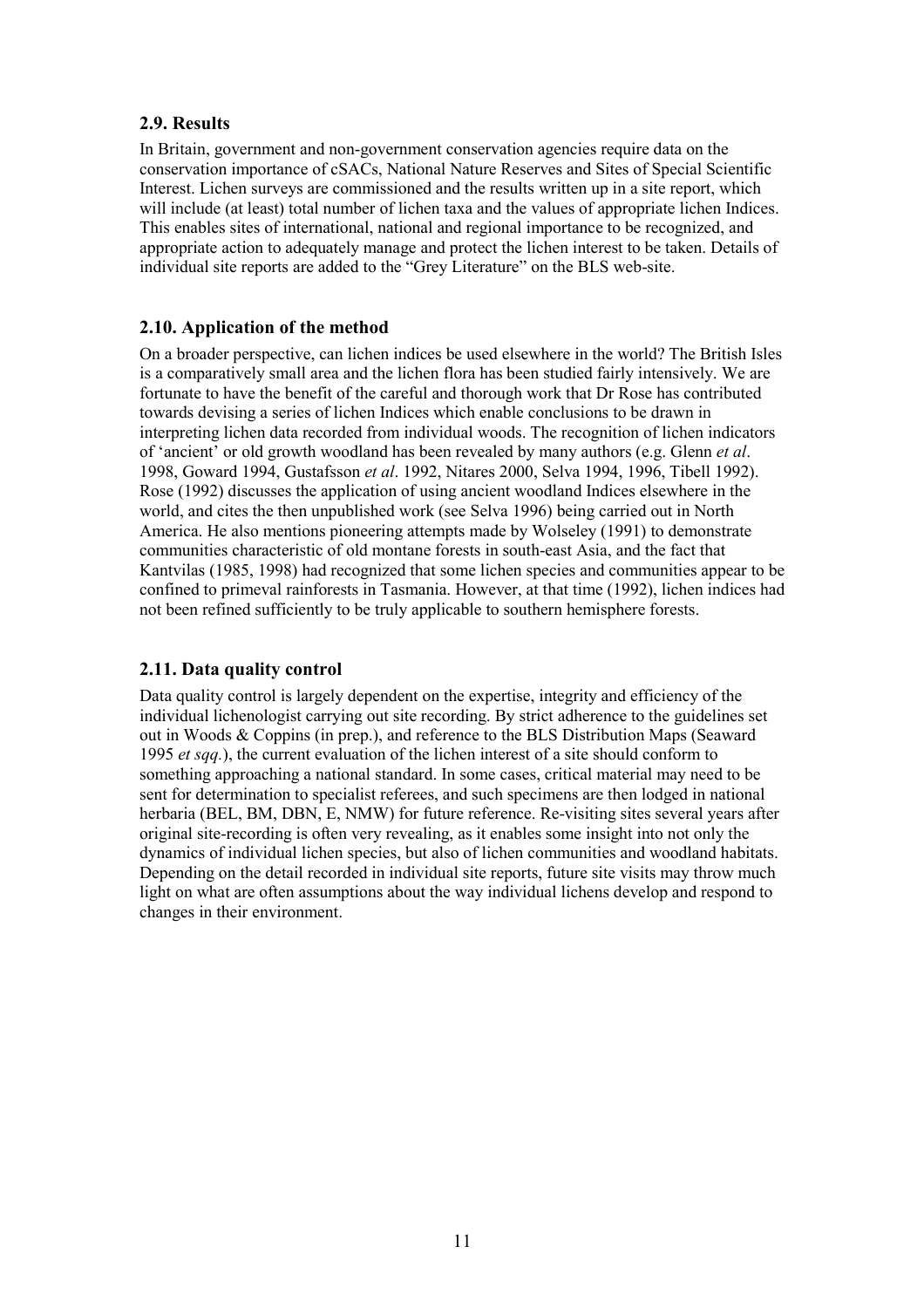### 2.9. Results

In Britain, government and non-government conservation agencies require data on the conservation importance of cSACs, National Nature Reserves and Sites of Special Scientific Interest. Lichen surveys are commissioned and the results written up in a site report, which will include (at least) total number of lichen taxa and the values of appropriate lichen Indices. This enables sites of international, national and regional importance to be recognized, and appropriate action to adequately manage and protect the lichen interest to be taken. Details of individual site reports are added to the "Grey Literature" on the BLS web-site.

### 2.10. Application of the method

On a broader perspective, can lichen indices be used elsewhere in the world? The British Isles is a comparatively small area and the lichen flora has been studied fairly intensively. We are fortunate to have the benefit of the careful and thorough work that Dr Rose has contributed towards devising a series of lichen Indices which enable conclusions to be drawn in interpreting lichen data recorded from individual woods. The recognition of lichen indicators of 'ancient' or old growth woodland has been revealed by many authors (e.g. Glenn et al. 1998, Goward 1994, Gustafsson et al. 1992, Nitares 2000, Selva 1994, 1996, Tibell 1992). Rose (1992) discusses the application of using ancient woodland Indices elsewhere in the world, and cites the then unpublished work (see Selva 1996) being carried out in North America. He also mentions pioneering attempts made by Wolseley (1991) to demonstrate communities characteristic of old montane forests in south-east Asia, and the fact that Kantvilas (1985, 1998) had recognized that some lichen species and communities appear to be confined to primeval rainforests in Tasmania. However, at that time (1992), lichen indices had not been refined sufficiently to be truly applicable to southern hemisphere forests.

## 2.11. Data quality control

Data quality control is largely dependent on the expertise, integrity and efficiency of the individual lichenologist carrying out site recording. By strict adherence to the guidelines set out in Woods & Coppins (in prep.), and reference to the BLS Distribution Maps (Seaward 1995 et sqq.), the current evaluation of the lichen interest of a site should conform to something approaching a national standard. In some cases, critical material may need to be sent for determination to specialist referees, and such specimens are then lodged in national herbaria (BEL, BM, DBN, E, NMW) for future reference. Re-visiting sites several years after original site-recording is often very revealing, as it enables some insight into not only the dynamics of individual lichen species, but also of lichen communities and woodland habitats. Depending on the detail recorded in individual site reports, future site visits may throw much light on what are often assumptions about the way individual lichens develop and respond to changes in their environment.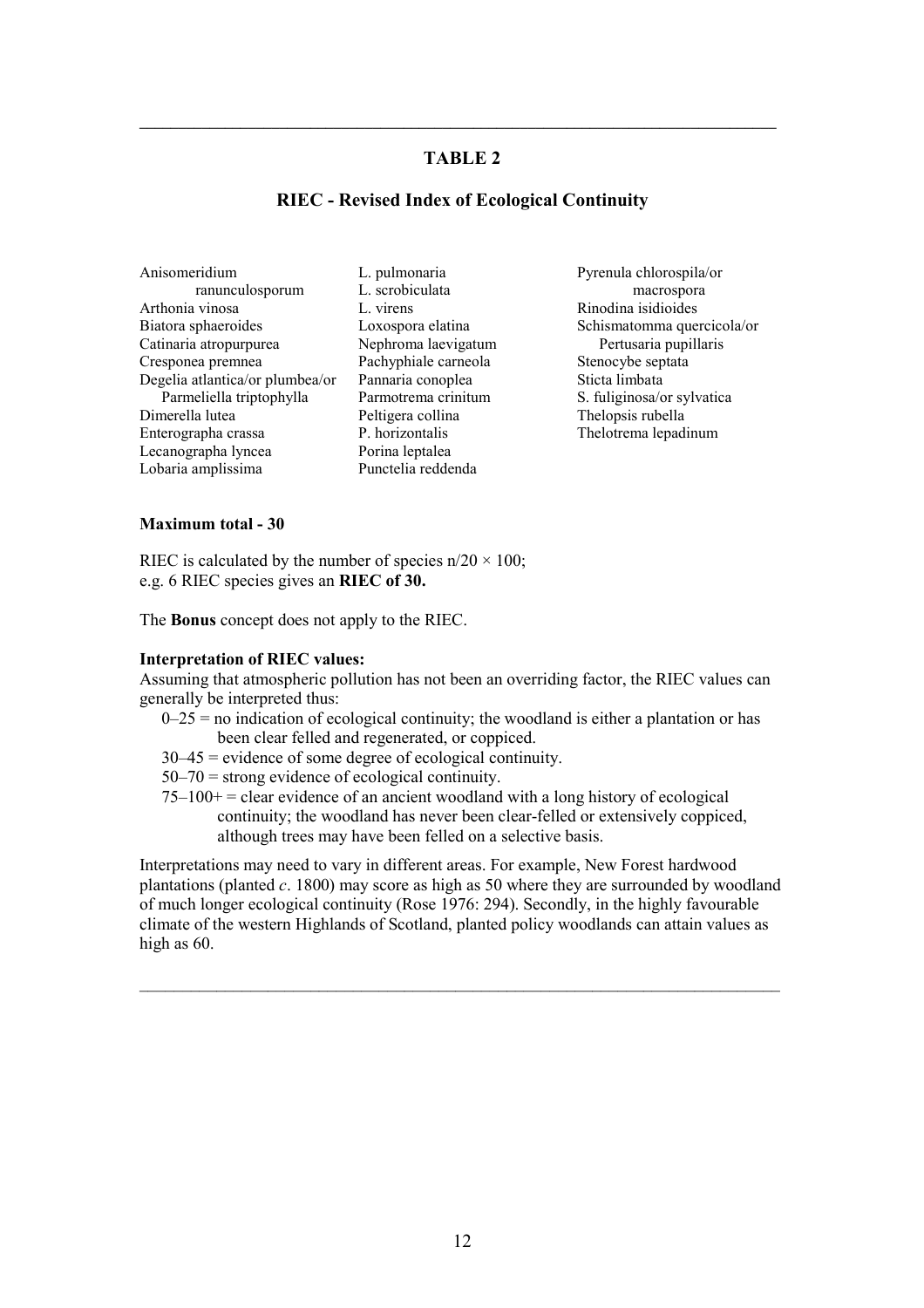\_\_\_\_\_\_\_\_\_\_\_\_\_\_\_\_\_\_\_\_\_\_\_\_\_\_\_\_\_\_\_\_\_\_\_\_\_\_\_\_\_\_\_\_\_\_\_\_\_\_\_\_\_\_\_\_\_\_\_\_\_\_\_\_\_\_\_\_\_\_\_\_\_\_\_\_\_\_\_\_\_\_

#### RIEC - Revised Index of Ecological Continuity

- Anisomeridium ranunculosporum Arthonia vinosa Biatora sphaeroides Catinaria atropurpurea Cresponea premnea Degelia atlantica/or plumbea/or Parmeliella triptophylla Dimerella lutea Enterographa crassa Lecanographa lyncea Lobaria amplissima
- L. pulmonaria L. scrobiculata L. virens Loxospora elatina Nephroma laevigatum Pachyphiale carneola Pannaria conoplea Parmotrema crinitum Peltigera collina P. horizontalis Porina leptalea Punctelia reddenda
- Pyrenula chlorospila/or macrospora Rinodina isidioides Schismatomma quercicola/or Pertusaria pupillaris Stenocybe septata Sticta limbata S. fuliginosa/or sylvatica Thelopsis rubella Thelotrema lepadinum

#### Maximum total - 30

RIEC is calculated by the number of species  $n/20 \times 100$ ; e.g. 6 RIEC species gives an RIEC of 30.

The Bonus concept does not apply to the RIEC.

#### Interpretation of RIEC values:

Assuming that atmospheric pollution has not been an overriding factor, the RIEC values can generally be interpreted thus:

- $0-25$  = no indication of ecological continuity; the woodland is either a plantation or has been clear felled and regenerated, or coppiced.
- 30–45 = evidence of some degree of ecological continuity.

 $50-70$  = strong evidence of ecological continuity.

 $75-100+=$  clear evidence of an ancient woodland with a long history of ecological continuity; the woodland has never been clear-felled or extensively coppiced, although trees may have been felled on a selective basis.

Interpretations may need to vary in different areas. For example, New Forest hardwood plantations (planted  $c$ . 1800) may score as high as 50 where they are surrounded by woodland of much longer ecological continuity (Rose 1976: 294). Secondly, in the highly favourable climate of the western Highlands of Scotland, planted policy woodlands can attain values as high as 60.

\_\_\_\_\_\_\_\_\_\_\_\_\_\_\_\_\_\_\_\_\_\_\_\_\_\_\_\_\_\_\_\_\_\_\_\_\_\_\_\_\_\_\_\_\_\_\_\_\_\_\_\_\_\_\_\_\_\_\_\_\_\_\_\_\_\_\_\_\_\_\_\_\_\_\_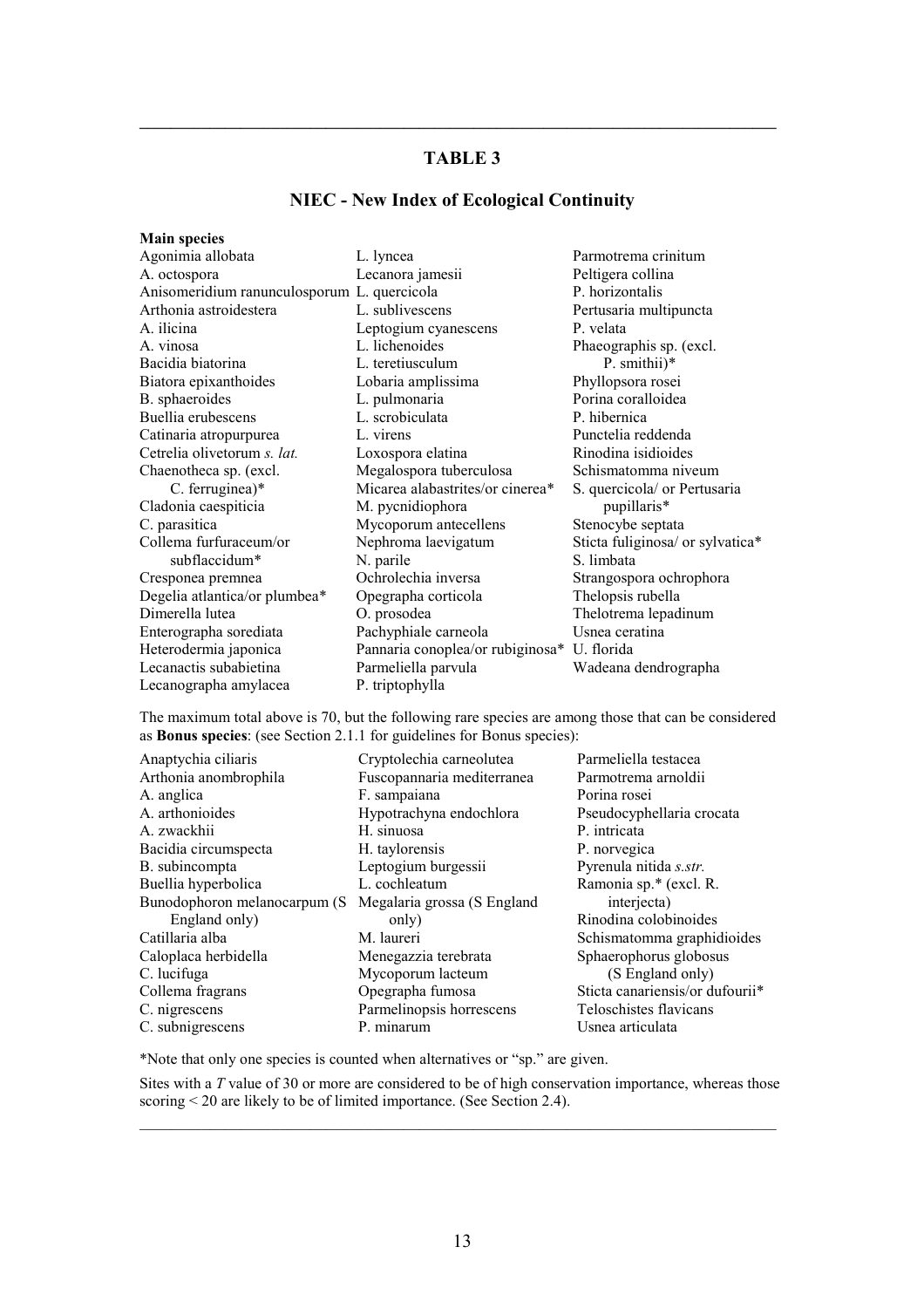\_\_\_\_\_\_\_\_\_\_\_\_\_\_\_\_\_\_\_\_\_\_\_\_\_\_\_\_\_\_\_\_\_\_\_\_\_\_\_\_\_\_\_\_\_\_\_\_\_\_\_\_\_\_\_\_\_\_\_\_\_\_\_\_\_\_\_\_\_\_\_\_\_\_\_\_\_\_\_\_\_\_

# NIEC - New Index of Ecological Continuity

| <b>Main species</b>                         |                                             |                                  |
|---------------------------------------------|---------------------------------------------|----------------------------------|
| Agonimia allobata                           | L. lyncea                                   | Parmotrema crinitum              |
| A. octospora                                | Lecanora jamesii                            | Peltigera collina                |
| Anisomeridium ranunculosporum L. quercicola |                                             | P. horizontalis                  |
| Arthonia astroidestera                      | L. sublivescens                             | Pertusaria multipuncta           |
| A. ilicina                                  | Leptogium cyanescens                        | P. velata                        |
| A. vinosa                                   | L. lichenoides                              | Phaeographis sp. (excl.)         |
| Bacidia biatorina                           | L. teretiusculum                            | P. smithii)*                     |
| Biatora epixanthoides                       | Lobaria amplissima                          | Phyllopsora rosei                |
| B. sphaeroides                              | L. pulmonaria                               | Porina coralloidea               |
| Buellia erubescens                          | L. scrobiculata                             | P. hibernica                     |
| Catinaria atropurpurea                      | L. virens                                   | Punctelia reddenda               |
| Cetrelia olivetorum s. lat.                 | Loxospora elatina                           | Rinodina isidioides              |
| Chaenotheca sp. (excl.                      | Megalospora tuberculosa                     | Schismatomma niveum              |
| C. ferruginea)*                             | Micarea alabastrites/or cinerea*            | S. quercicola/ or Pertusaria     |
| Cladonia caespiticia                        | M. pycnidiophora                            | pupillaris*                      |
| C. parasitica                               | Mycoporum antecellens                       | Stenocybe septata                |
| Collema furfuraceum/or                      | Nephroma laevigatum                         | Sticta fuliginosa/ or sylvatica* |
| subflaccidum*                               | N. parile                                   | S. limbata                       |
| Cresponea premnea                           | Ochrolechia inversa                         | Strangospora ochrophora          |
| Degelia atlantica/or plumbea*               | Opegrapha corticola                         | Thelopsis rubella                |
| Dimerella lutea                             | O. prosodea                                 | Thelotrema lepadinum             |
| Enterographa sorediata                      | Pachyphiale carneola                        | Usnea ceratina                   |
| Heterodermia japonica                       | Pannaria conoplea/or rubiginosa* U. florida |                                  |
| Lecanactis subabietina                      | Parmeliella parvula                         | Wadeana dendrographa             |
| Lecanographa amylacea                       | P. triptophylla                             |                                  |

The maximum total above is 70, but the following rare species are among those that can be considered as Bonus species: (see Section 2.1.1 for guidelines for Bonus species):

| Anaptychia ciliaris          | Cryptolechia carneolutea    | Parmeliella testacea            |
|------------------------------|-----------------------------|---------------------------------|
| Arthonia anombrophila        | Fuscopannaria mediterranea  | Parmotrema arnoldii             |
| A. anglica                   | F. sampaiana                | Porina rosei                    |
| A. arthonioides              | Hypotrachyna endochlora     | Pseudocyphellaria crocata       |
| A. zwackhii                  | H. sinuosa                  | P. intricata                    |
| Bacidia circumspecta         | H. taylorensis              | P. norvegica                    |
| B. subincompta               | Leptogium burgessii         | Pyrenula nitida s.str.          |
| Buellia hyperbolica          | L. cochleatum               | Ramonia sp.* (excl. R.          |
| Bunodophoron melanocarpum (S | Megalaria grossa (S England | interjecta)                     |
| England only)                | only)                       | Rinodina colobinoides           |
| Catillaria alba              | M. laureri                  | Schismatomma graphidioides      |
| Caloplaca herbidella         | Menegazzia terebrata        | Sphaerophorus globosus          |
| C. lucifuga                  | Mycoporum lacteum           | (S England only)                |
| Collema fragrans             | Opegrapha fumosa            | Sticta canariensis/or dufourii* |
| C. nigrescens                | Parmelinopsis horrescens    | Teloschistes flavicans          |
| C. subnigrescens             | P. minarum                  | Usnea articulata                |

\*Note that only one species is counted when alternatives or "sp." are given.

Sites with a T value of 30 or more are considered to be of high conservation importance, whereas those scoring < 20 are likely to be of limited importance. (See Section 2.4). \_\_\_\_\_\_\_\_\_\_\_\_\_\_\_\_\_\_\_\_\_\_\_\_\_\_\_\_\_\_\_\_\_\_\_\_\_\_\_\_\_\_\_\_\_\_\_\_\_\_\_\_\_\_\_\_\_\_\_\_\_\_\_\_\_\_\_\_\_\_\_\_\_\_\_\_\_\_\_\_\_\_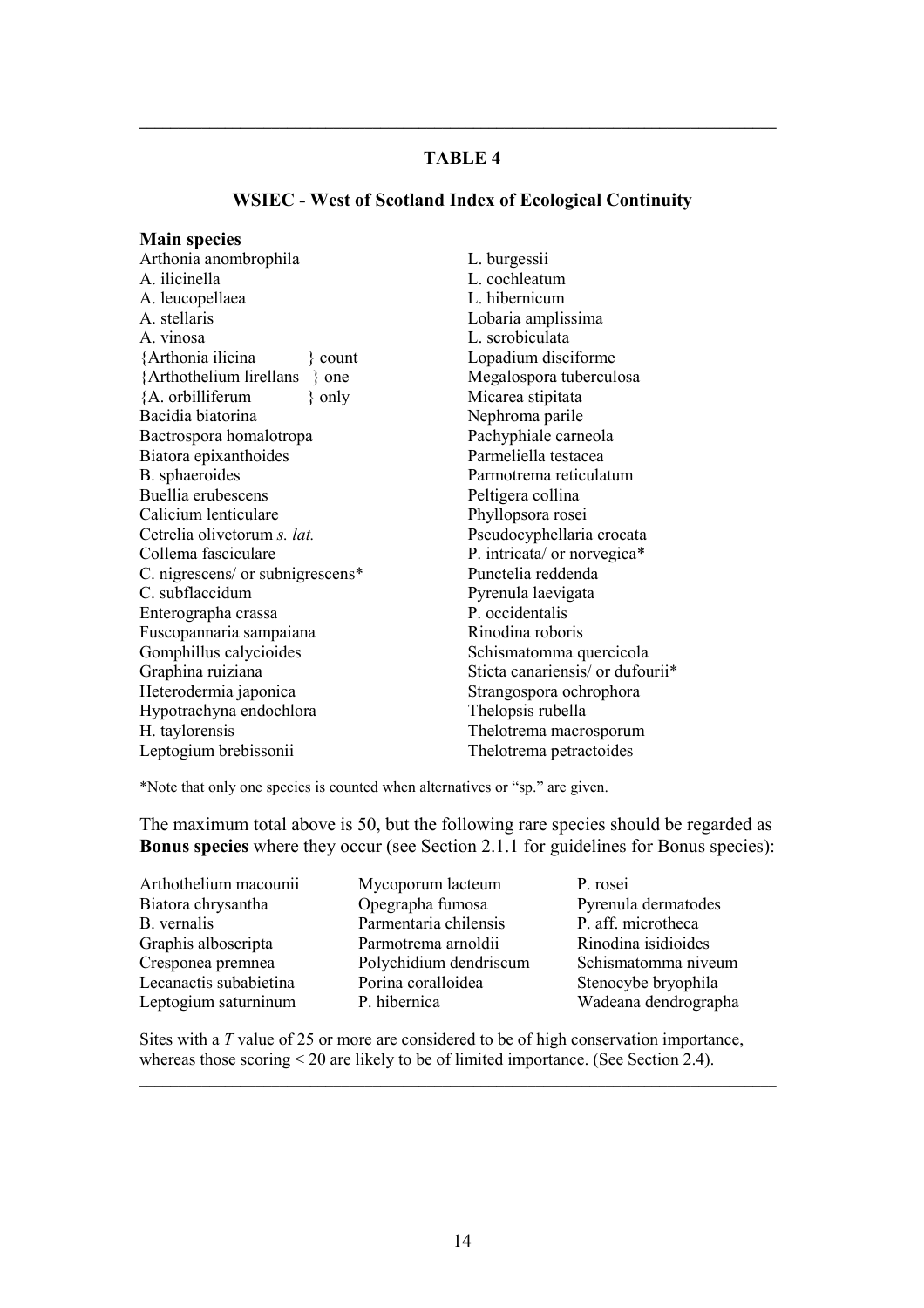\_\_\_\_\_\_\_\_\_\_\_\_\_\_\_\_\_\_\_\_\_\_\_\_\_\_\_\_\_\_\_\_\_\_\_\_\_\_\_\_\_\_\_\_\_\_\_\_\_\_\_\_\_\_\_\_\_\_\_\_\_\_\_\_\_\_\_\_\_\_\_\_\_\_\_\_\_\_\_\_\_\_

#### WSIEC - West of Scotland Index of Ecological Continuity

| <b>Main species</b>                 |                                  |
|-------------------------------------|----------------------------------|
| Arthonia anombrophila               | L. burgessii                     |
| A. ilicinella                       | L. cochleatum                    |
| A. leucopellaea                     | L. hibernicum                    |
| A. stellaris                        | Lobaria amplissima               |
| A. vinosa                           | L. scrobiculata                  |
| {Arthonia ilicina<br>$\{$ count     | Lopadium disciforme              |
| {Arthothelium lirellans<br>$\}$ one | Megalospora tuberculosa          |
| {A. orbilliferum<br>$\}$ only       | Micarea stipitata                |
| Bacidia biatorina                   | Nephroma parile                  |
| Bactrospora homalotropa             | Pachyphiale carneola             |
| Biatora epixanthoides               | Parmeliella testacea             |
| B. sphaeroides                      | Parmotrema reticulatum           |
| Buellia erubescens                  | Peltigera collina                |
| Calicium lenticulare                | Phyllopsora rosei                |
| Cetrelia olivetorum s. lat.         | Pseudocyphellaria crocata        |
| Collema fasciculare                 | P. intricata/ or norvegica*      |
| C. nigrescens/ or subnigrescens*    | Punctelia reddenda               |
| C. subflaccidum                     | Pyrenula laevigata               |
| Enterographa crassa                 | P. occidentalis                  |
| Fuscopannaria sampaiana             | Rinodina roboris                 |
| Gomphillus calycioides              | Schismatomma quercicola          |
| Graphina ruiziana                   | Sticta canariensis/ or dufourii* |
| Heterodermia japonica               | Strangospora ochrophora          |
| Hypotrachyna endochlora             | Thelopsis rubella                |
| H. taylorensis                      | Thelotrema macrosporum           |
| Leptogium brebissonii               | The lotrema petractoides         |

\*Note that only one species is counted when alternatives or "sp." are given.

The maximum total above is 50, but the following rare species should be regarded as Bonus species where they occur (see Section 2.1.1 for guidelines for Bonus species):

Arthothelium macounii Biatora chrysantha B. vernalis Graphis alboscripta Cresponea premnea Lecanactis subabietina Leptogium saturninum

Mycoporum lacteum Opegrapha fumosa Parmentaria chilensis Parmotrema arnoldii Polychidium dendriscum Porina coralloidea P. hibernica

P. rosei Pyrenula dermatodes P. aff. microtheca Rinodina isidioides Schismatomma niveum Stenocybe bryophila Wadeana dendrographa

Sites with a T value of 25 or more are considered to be of high conservation importance, whereas those scoring < 20 are likely to be of limited importance. (See Section 2.4).

\_\_\_\_\_\_\_\_\_\_\_\_\_\_\_\_\_\_\_\_\_\_\_\_\_\_\_\_\_\_\_\_\_\_\_\_\_\_\_\_\_\_\_\_\_\_\_\_\_\_\_\_\_\_\_\_\_\_\_\_\_\_\_\_\_\_\_\_\_\_\_\_\_\_\_\_\_\_\_\_\_\_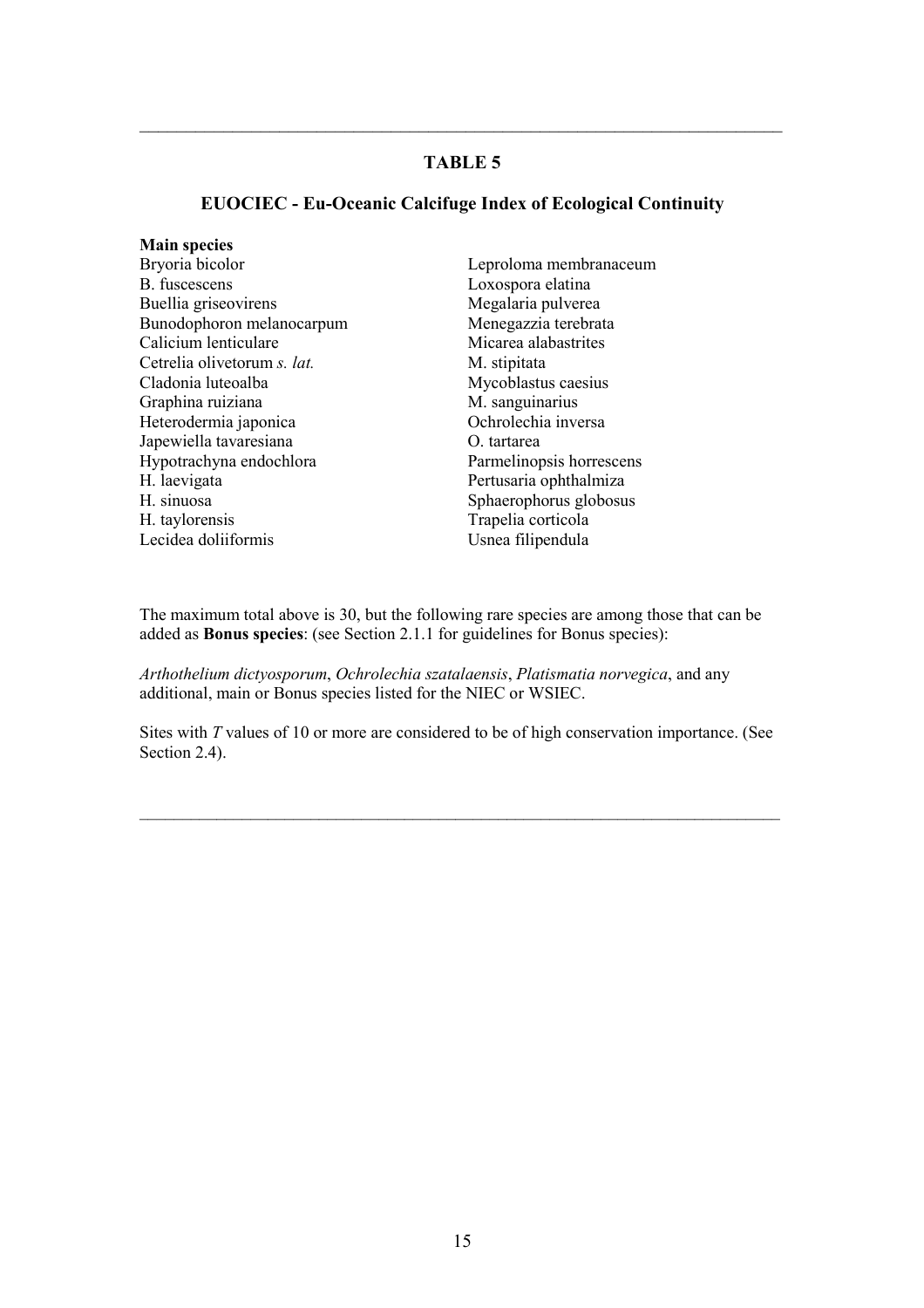$\_$  , and the set of the set of the set of the set of the set of the set of the set of the set of the set of the set of the set of the set of the set of the set of the set of the set of the set of the set of the set of th

#### EUOCIEC - Eu-Oceanic Calcifuge Index of Ecological Continuity

#### Main species

- Bryoria bicolor B. fuscescens Buellia griseovirens Bunodophoron melanocarpum Calicium lenticulare Cetrelia olivetorum s. lat. Cladonia luteoalba Graphina ruiziana Heterodermia japonica Japewiella tavaresiana Hypotrachyna endochlora H. laevigata H. sinuosa H. taylorensis Lecidea doliiformis
- Leproloma membranaceum Loxospora elatina Megalaria pulverea Menegazzia terebrata Micarea alabastrites M stipitata Mycoblastus caesius M. sanguinarius Ochrolechia inversa O. tartarea Parmelinopsis horrescens Pertusaria ophthalmiza Sphaerophorus globosus Trapelia corticola Usnea filipendula

The maximum total above is 30, but the following rare species are among those that can be added as Bonus species: (see Section 2.1.1 for guidelines for Bonus species):

Arthothelium dictyosporum, Ochrolechia szatalaensis, Platismatia norvegica, and any additional, main or Bonus species listed for the NIEC or WSIEC.

Sites with T values of 10 or more are considered to be of high conservation importance. (See Section 2.4).

\_\_\_\_\_\_\_\_\_\_\_\_\_\_\_\_\_\_\_\_\_\_\_\_\_\_\_\_\_\_\_\_\_\_\_\_\_\_\_\_\_\_\_\_\_\_\_\_\_\_\_\_\_\_\_\_\_\_\_\_\_\_\_\_\_\_\_\_\_\_\_\_\_\_\_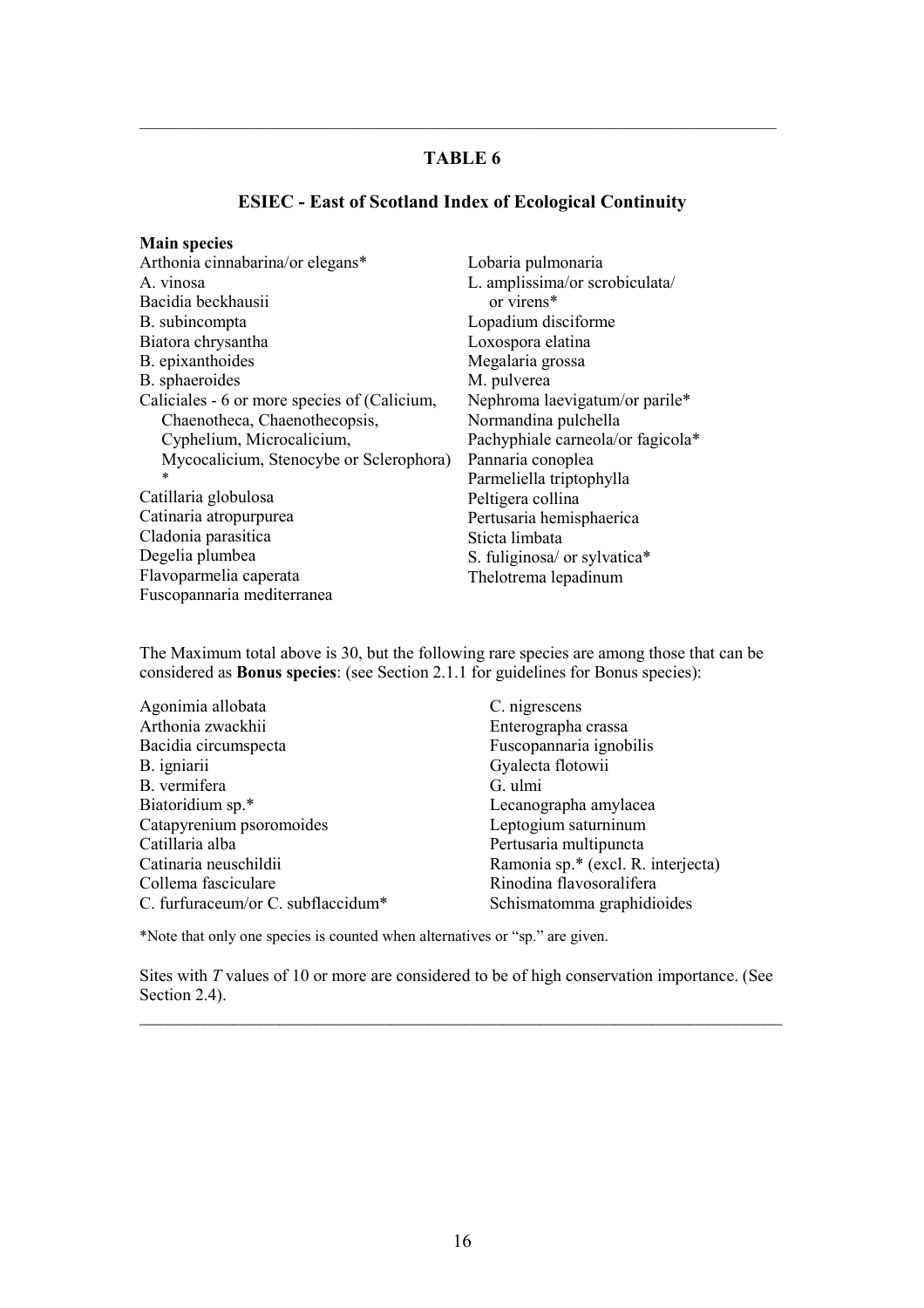\_\_\_\_\_\_\_\_\_\_\_\_\_\_\_\_\_\_\_\_\_\_\_\_\_\_\_\_\_\_\_\_\_\_\_\_\_\_\_\_\_\_\_\_\_\_\_\_\_\_\_\_\_\_\_\_\_\_\_\_\_\_\_\_\_\_\_\_\_\_\_\_\_\_\_\_\_\_\_\_\_\_

#### ESIEC - East of Scotland Index of Ecological Continuity

#### Main species

| Arthonia cinnabarina/or elegans*             |
|----------------------------------------------|
| A. vinosa                                    |
| Bacidia beckhausii                           |
| B. subincompta                               |
| Biatora chrysantha                           |
| B. epixanthoides                             |
| B. sphaeroides                               |
| Caliciales - 6 or more species of (Calicium, |
| Chaenotheca, Chaenothecopsis,                |
| Cyphelium, Microcalicium,                    |
| Mycocalicium, Stenocybe or Sclerophora)      |
| $\ast$                                       |
| Catillaria globulosa                         |
| Catinaria atropurpurea                       |
| Cladonia parasitica                          |
| Degelia plumbea                              |
| Flavoparmelia caperata                       |
| Fuscopannaria mediterranea                   |

Lobaria pulmonaria L. amplissima/or scrobiculata/ or virens\* Lopadium disciforme Loxospora elatina Megalaria grossa M. pulverea Nephroma laevigatum/or parile\* Normandina pulchella Pachyphiale carneola/or fagicola\* Pannaria conoplea Parmeliella triptophylla Peltigera collina Pertusaria hemisphaerica Sticta limbata S. fuliginosa/ or sylvatica\* Thelotrema lepadinum

The Maximum total above is 30, but the following rare species are among those that can be considered as Bonus species: (see Section 2.1.1 for guidelines for Bonus species):

| Agonimia allobata                  | C. nigrescens                      |
|------------------------------------|------------------------------------|
| Arthonia zwackhii                  | Enterographa crassa                |
| Bacidia circumspecta               | Fuscopannaria ignobilis            |
| B. igniarii                        | Gyalecta flotowii                  |
| B. vermifera                       | G. ulmi                            |
| Biatoridium sp.*                   | Lecanographa amylacea              |
| Catapyrenium psoromoides           | Leptogium saturninum               |
| Catillaria alba                    | Pertusaria multipuncta             |
| Catinaria neuschildii              | Ramonia sp.* (excl. R. interjecta) |
| Collema fasciculare                | Rinodina flavosoralifera           |
| C. furfuraceum/or C. subflaccidum* | Schismatomma graphidioides         |

\*Note that only one species is counted when alternatives or "sp." are given.

Sites with T values of 10 or more are considered to be of high conservation importance. (See Section 2.4).

 $\_$  , and the set of the set of the set of the set of the set of the set of the set of the set of the set of the set of the set of the set of the set of the set of the set of the set of the set of the set of the set of th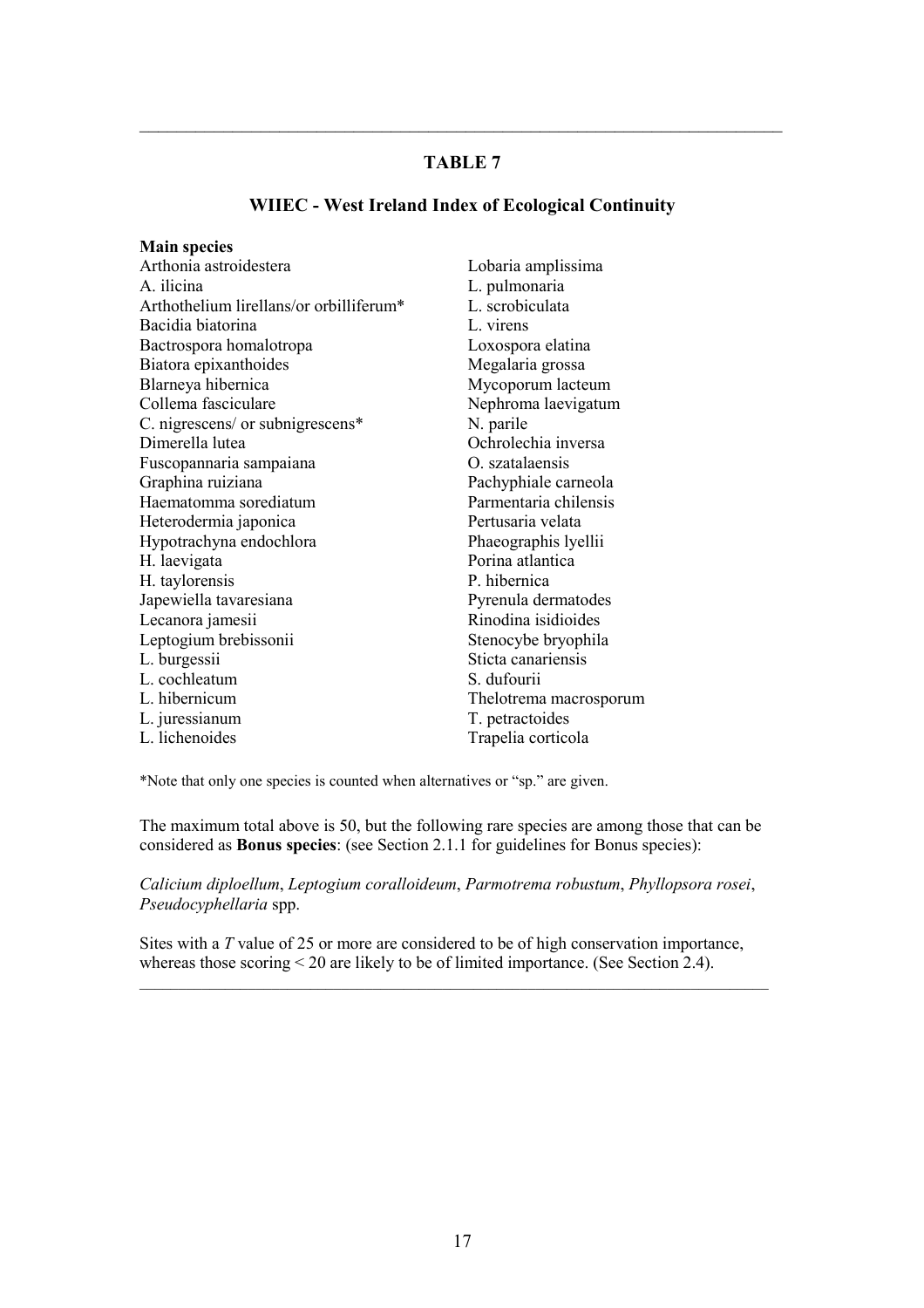$\_$  , and the set of the set of the set of the set of the set of the set of the set of the set of the set of the set of the set of the set of the set of the set of the set of the set of the set of the set of the set of th

#### WIIEC - West Ireland Index of Ecological Continuity

| <b>Main species</b>                     |                        |
|-----------------------------------------|------------------------|
| Arthonia astroidestera                  | Lobaria amplissima     |
| A. ilicina                              | L. pulmonaria          |
| Arthothelium lirellans/or orbilliferum* | L. scrobiculata        |
| Bacidia biatorina                       | L. virens              |
| Bactrospora homalotropa                 | Loxospora elatina      |
| Biatora epixanthoides                   | Megalaria grossa       |
| Blarneya hibernica                      | Mycoporum lacteum      |
| Collema fasciculare                     | Nephroma laevigatum    |
| C. nigrescens/ or subnigrescens*        | N. parile              |
| Dimerella lutea                         | Ochrolechia inversa    |
| Fuscopannaria sampaiana                 | O. szatalaensis        |
| Graphina ruiziana                       | Pachyphiale carneola   |
| Haematomma sorediatum                   | Parmentaria chilensis  |
| Heterodermia japonica                   | Pertusaria velata      |
| Hypotrachyna endochlora                 | Phaeographis lyellii   |
| H. laevigata                            | Porina atlantica       |
| H. taylorensis                          | P. hibernica           |
| Japewiella tavaresiana                  | Pyrenula dermatodes    |
| Lecanora jamesii                        | Rinodina isidioides    |
| Leptogium brebissonii                   | Stenocybe bryophila    |
| L. burgessii                            | Sticta canariensis     |
| L. cochleatum                           | S. dufourii            |
| L. hibernicum                           | Thelotrema macrosporum |
| L. juressianum                          | T. petractoides        |
| L. lichenoides                          | Trapelia corticola     |

\*Note that only one species is counted when alternatives or "sp." are given.

The maximum total above is 50, but the following rare species are among those that can be considered as Bonus species: (see Section 2.1.1 for guidelines for Bonus species):

Calicium diploellum, Leptogium coralloideum, Parmotrema robustum, Phyllopsora rosei, Pseudocyphellaria spp.

Sites with a T value of 25 or more are considered to be of high conservation importance, whereas those scoring < 20 are likely to be of limited importance. (See Section 2.4).

\_\_\_\_\_\_\_\_\_\_\_\_\_\_\_\_\_\_\_\_\_\_\_\_\_\_\_\_\_\_\_\_\_\_\_\_\_\_\_\_\_\_\_\_\_\_\_\_\_\_\_\_\_\_\_\_\_\_\_\_\_\_\_\_\_\_\_\_\_\_\_\_\_\_\_\_\_\_\_\_\_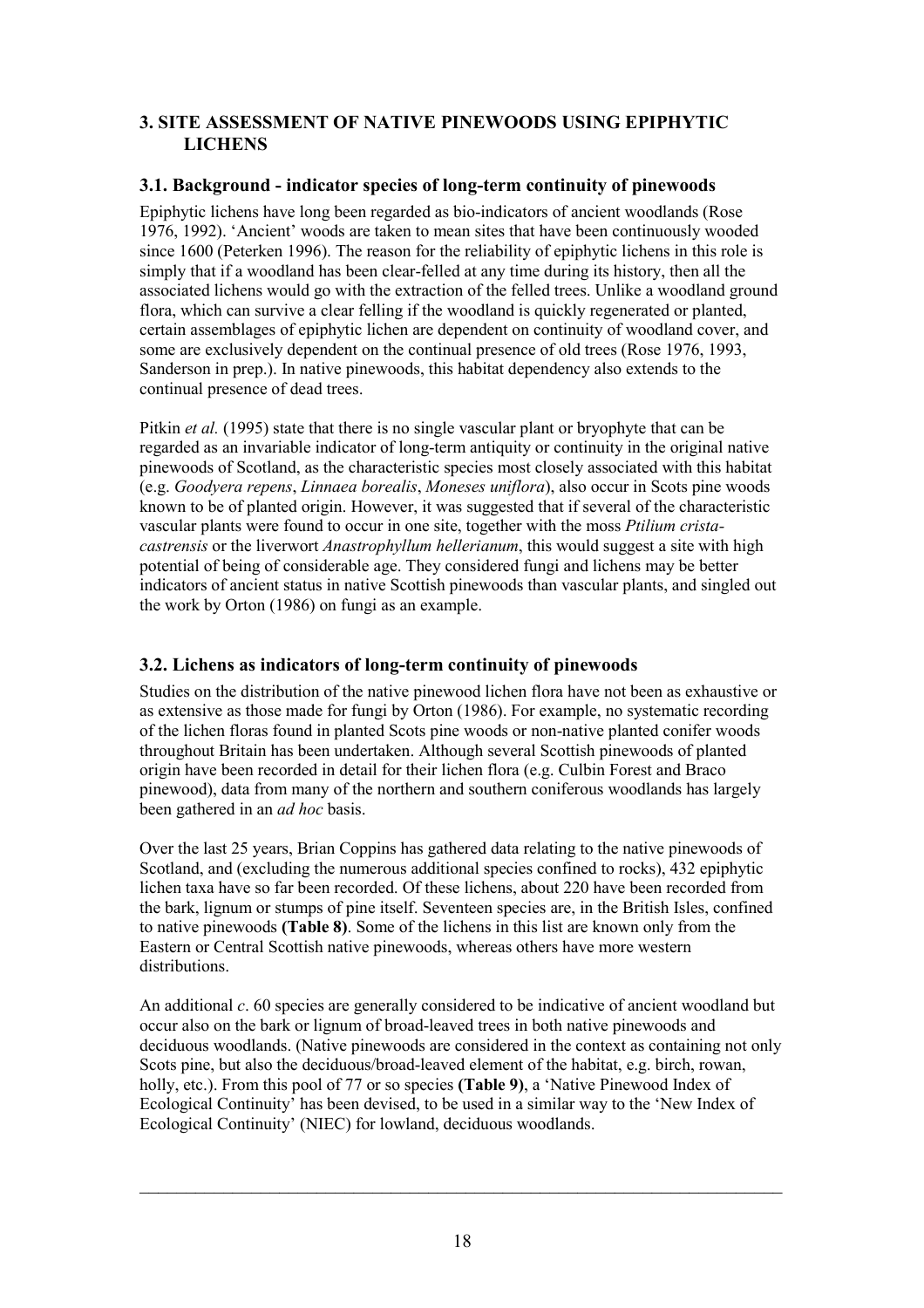## 3. SITE ASSESSMENT OF NATIVE PINEWOODS USING EPIPHYTIC **LICHENS**

## 3.1. Background - indicator species of long-term continuity of pinewoods

Epiphytic lichens have long been regarded as bio-indicators of ancient woodlands (Rose 1976, 1992). 'Ancient' woods are taken to mean sites that have been continuously wooded since 1600 (Peterken 1996). The reason for the reliability of epiphytic lichens in this role is simply that if a woodland has been clear-felled at any time during its history, then all the associated lichens would go with the extraction of the felled trees. Unlike a woodland ground flora, which can survive a clear felling if the woodland is quickly regenerated or planted, certain assemblages of epiphytic lichen are dependent on continuity of woodland cover, and some are exclusively dependent on the continual presence of old trees (Rose 1976, 1993, Sanderson in prep.). In native pinewoods, this habitat dependency also extends to the continual presence of dead trees.

Pitkin *et al.* (1995) state that there is no single vascular plant or bryophyte that can be regarded as an invariable indicator of long-term antiquity or continuity in the original native pinewoods of Scotland, as the characteristic species most closely associated with this habitat (e.g. Goodyera repens, Linnaea borealis, Moneses uniflora), also occur in Scots pine woods known to be of planted origin. However, it was suggested that if several of the characteristic vascular plants were found to occur in one site, together with the moss Ptilium cristacastrensis or the liverwort Anastrophyllum hellerianum, this would suggest a site with high potential of being of considerable age. They considered fungi and lichens may be better indicators of ancient status in native Scottish pinewoods than vascular plants, and singled out the work by Orton (1986) on fungi as an example.

# 3.2. Lichens as indicators of long-term continuity of pinewoods

Studies on the distribution of the native pinewood lichen flora have not been as exhaustive or as extensive as those made for fungi by Orton (1986). For example, no systematic recording of the lichen floras found in planted Scots pine woods or non-native planted conifer woods throughout Britain has been undertaken. Although several Scottish pinewoods of planted origin have been recorded in detail for their lichen flora (e.g. Culbin Forest and Braco pinewood), data from many of the northern and southern coniferous woodlands has largely been gathered in an *ad hoc* basis.

Over the last 25 years, Brian Coppins has gathered data relating to the native pinewoods of Scotland, and (excluding the numerous additional species confined to rocks), 432 epiphytic lichen taxa have so far been recorded. Of these lichens, about 220 have been recorded from the bark, lignum or stumps of pine itself. Seventeen species are, in the British Isles, confined to native pinewoods (Table 8). Some of the lichens in this list are known only from the Eastern or Central Scottish native pinewoods, whereas others have more western distributions.

An additional  $c$ , 60 species are generally considered to be indicative of ancient woodland but occur also on the bark or lignum of broad-leaved trees in both native pinewoods and deciduous woodlands. (Native pinewoods are considered in the context as containing not only Scots pine, but also the deciduous/broad-leaved element of the habitat, e.g. birch, rowan, holly, etc.). From this pool of 77 or so species **(Table 9)**, a 'Native Pinewood Index of Ecological Continuity' has been devised, to be used in a similar way to the 'New Index of Ecological Continuity' (NIEC) for lowland, deciduous woodlands.

 $\_$  , and the set of the set of the set of the set of the set of the set of the set of the set of the set of the set of the set of the set of the set of the set of the set of the set of the set of the set of the set of th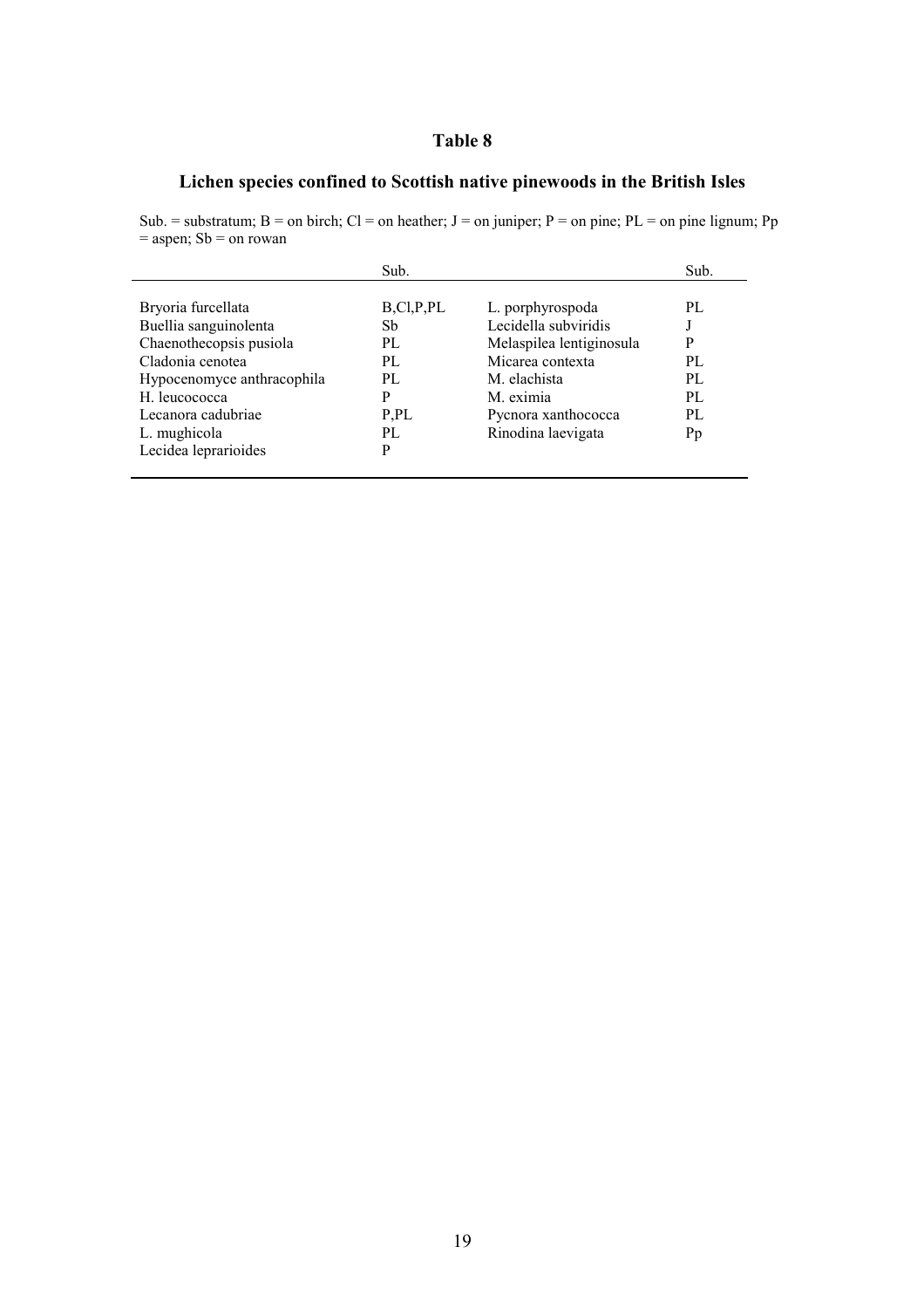#### Table 8

# Lichen species confined to Scottish native pinewoods in the British Isles

Sub. = substratum;  $B =$  on birch;  $Cl =$  on heather;  $J =$  on juniper;  $P =$  on pine;  $PL =$  on pine lignum; Pp  $=$  aspen; Sb  $=$  on rowan

|                            | Sub.      |                          | Sub. |
|----------------------------|-----------|--------------------------|------|
|                            |           |                          |      |
| Bryoria furcellata         | B,CI,P,PL | L. porphyrospoda         | PL   |
| Buellia sanguinolenta      | Sb        | Lecidella subviridis     |      |
| Chaenothecopsis pusiola    | PL        | Melaspilea lentiginosula | P    |
| Cladonia cenotea           | PI.       | Micarea contexta         | PL   |
| Hypocenomyce anthracophila | PL        | M. elachista             | PL   |
| H. leucococca              | P         | M. eximia                | PI.  |
| Lecanora cadubriae         | P.PL      | Pycnora xanthococca      | PL   |
| L. mughicola               | PL        | Rinodina laevigata       | Pp   |
| Lecidea leprarioides       | р         |                          |      |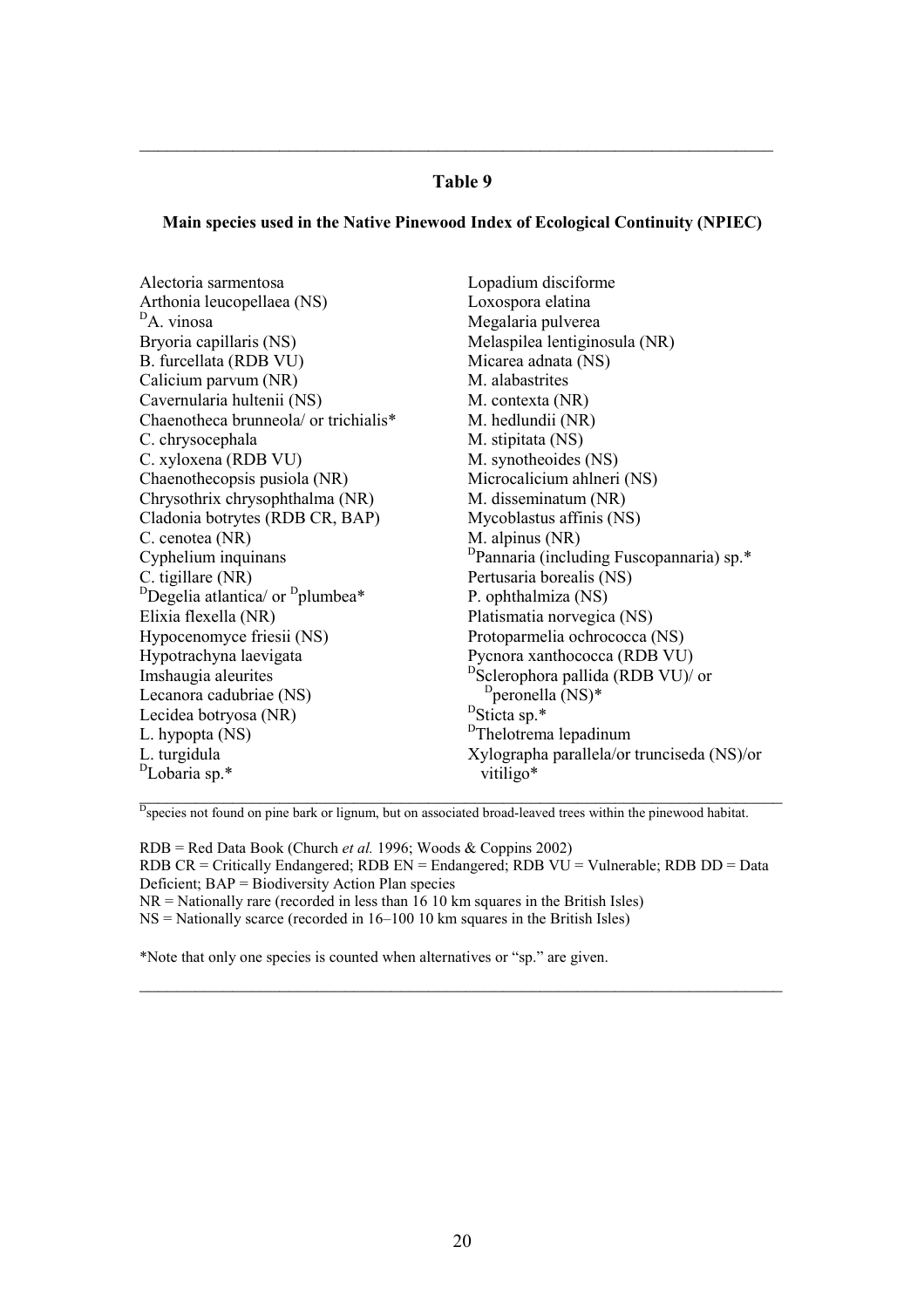#### Table 9

 $\_$  , and the set of the set of the set of the set of the set of the set of the set of the set of the set of the set of the set of the set of the set of the set of the set of the set of the set of the set of the set of th

#### Main species used in the Native Pinewood Index of Ecological Continuity (NPIEC)

Alectoria sarmentosa Arthonia leucopellaea (NS) <sup>D</sup>A. vinosa Bryoria capillaris (NS) B. furcellata (RDB VU) Calicium parvum (NR) Cavernularia hultenii (NS) Chaenotheca brunneola/ or trichialis\* C. chrysocephala C. xyloxena (RDB VU) Chaenothecopsis pusiola (NR) Chrysothrix chrysophthalma (NR) Cladonia botrytes (RDB CR, BAP) C. cenotea (NR) Cyphelium inquinans C. tigillare (NR)  $D$ Degelia atlantica/ or  $D$ plumbea\* Elixia flexella (NR) Hypocenomyce friesii (NS) Hypotrachyna laevigata Imshaugia aleurites Lecanora cadubriae (NS) Lecidea botryosa (NR) L. hypopta (NS) L. turgidula <sup>D</sup>Lobaria sp.\* Lopadium disciforme Loxospora elatina Megalaria pulverea Melaspilea lentiginosula (NR) Micarea adnata (NS) M. alabastrites M. contexta (NR) M. hedlundii (NR) M. stipitata (NS) M. synotheoides (NS) Microcalicium ahlneri (NS) M. disseminatum (NR) Mycoblastus affinis (NS) M. alpinus (NR) <sup>D</sup>Pannaria (including Fuscopannaria) sp.\* Pertusaria borealis (NS) P. ophthalmiza (NS) Platismatia norvegica (NS) Protoparmelia ochrococca (NS) Pycnora xanthococca (RDB VU) <sup>D</sup>Sclerophora pallida (RDB VU)/ or <sup>D</sup>peronella<br><sup>D</sup>Sticta sp.\*  $<sup>D</sup>$ peronella (NS)\*</sup> <sup>D</sup>Thelotrema lepadinum Xylographa parallela/or trunciseda (NS)/or vitiligo\*

<sup>D</sup>species not found on pine bark or lignum, but on associated broad-leaved trees within the pinewood habitat.

 $RDB = Red Data Book (Church *et al.* 1996; Woods & Coppins 2002)$ RDB CR = Critically Endangered; RDB  $EN =$  Endangered; RDB  $VU =$  Vulnerable; RDB  $DD =$  Data Deficient; BAP = Biodiversity Action Plan species  $NR =$  Nationally rare (recorded in less than 16 10 km squares in the British Isles)  $NS =$  Nationally scarce (recorded in 16–100 10 km squares in the British Isles)

\_\_\_\_\_\_\_\_\_\_\_\_\_\_\_\_\_\_\_\_\_\_\_\_\_\_\_\_\_\_\_\_\_\_\_\_\_\_\_\_\_\_\_\_\_\_\_\_\_\_\_\_\_\_\_\_\_\_\_\_\_\_\_\_\_\_\_\_\_

\*Note that only one species is counted when alternatives or "sp." are given.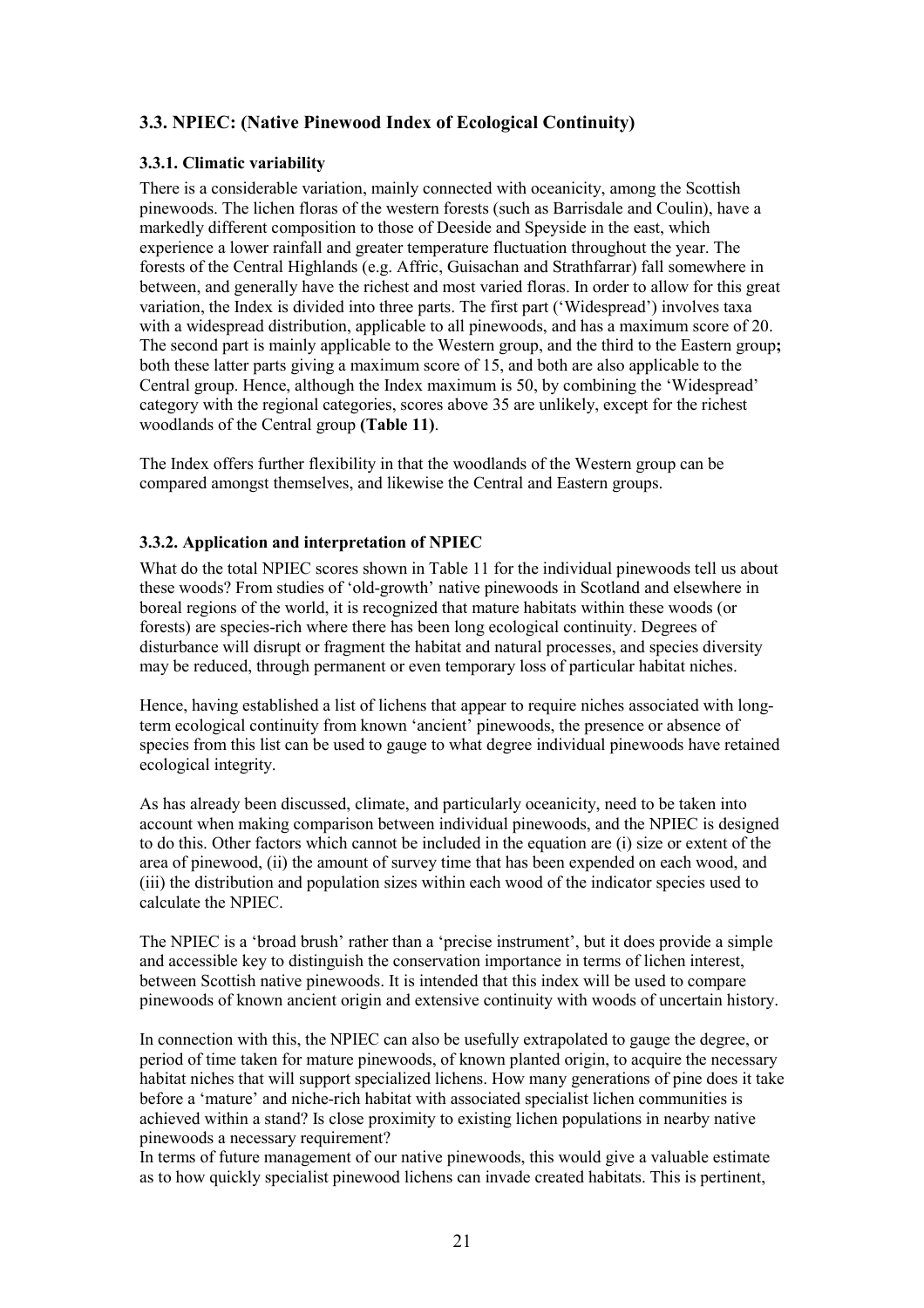# 3.3. NPIEC: (Native Pinewood Index of Ecological Continuity)

#### 3.3.1. Climatic variability

There is a considerable variation, mainly connected with oceanicity, among the Scottish pinewoods. The lichen floras of the western forests (such as Barrisdale and Coulin), have a markedly different composition to those of Deeside and Speyside in the east, which experience a lower rainfall and greater temperature fluctuation throughout the year. The forests of the Central Highlands (e.g. Affric, Guisachan and Strathfarrar) fall somewhere in between, and generally have the richest and most varied floras. In order to allow for this great variation, the Index is divided into three parts. The first part ('Widespread') involves taxa with a widespread distribution, applicable to all pinewoods, and has a maximum score of 20. The second part is mainly applicable to the Western group, and the third to the Eastern group; both these latter parts giving a maximum score of 15, and both are also applicable to the Central group. Hence, although the Index maximum is 50, by combining the 'Widespread' category with the regional categories, scores above 35 are unlikely, except for the richest woodlands of the Central group (Table 11).

The Index offers further flexibility in that the woodlands of the Western group can be compared amongst themselves, and likewise the Central and Eastern groups.

#### 3.3.2. Application and interpretation of NPIEC

What do the total NPIEC scores shown in Table 11 for the individual pinewoods tell us about these woods? From studies of 'old-growth' native pinewoods in Scotland and elsewhere in boreal regions of the world, it is recognized that mature habitats within these woods (or forests) are species-rich where there has been long ecological continuity. Degrees of disturbance will disrupt or fragment the habitat and natural processes, and species diversity may be reduced, through permanent or even temporary loss of particular habitat niches.

Hence, having established a list of lichens that appear to require niches associated with longterm ecological continuity from known 'ancient' pinewoods, the presence or absence of species from this list can be used to gauge to what degree individual pinewoods have retained ecological integrity.

As has already been discussed, climate, and particularly oceanicity, need to be taken into account when making comparison between individual pinewoods, and the NPIEC is designed to do this. Other factors which cannot be included in the equation are (i) size or extent of the area of pinewood, (ii) the amount of survey time that has been expended on each wood, and (iii) the distribution and population sizes within each wood of the indicator species used to calculate the NPIEC.

The NPIEC is a 'broad brush' rather than a 'precise instrument', but it does provide a simple and accessible key to distinguish the conservation importance in terms of lichen interest, between Scottish native pinewoods. It is intended that this index will be used to compare pinewoods of known ancient origin and extensive continuity with woods of uncertain history.

In connection with this, the NPIEC can also be usefully extrapolated to gauge the degree, or period of time taken for mature pinewoods, of known planted origin, to acquire the necessary habitat niches that will support specialized lichens. How many generations of pine does it take before a 'mature' and niche-rich habitat with associated specialist lichen communities is achieved within a stand? Is close proximity to existing lichen populations in nearby native pinewoods a necessary requirement?

In terms of future management of our native pinewoods, this would give a valuable estimate as to how quickly specialist pinewood lichens can invade created habitats. This is pertinent,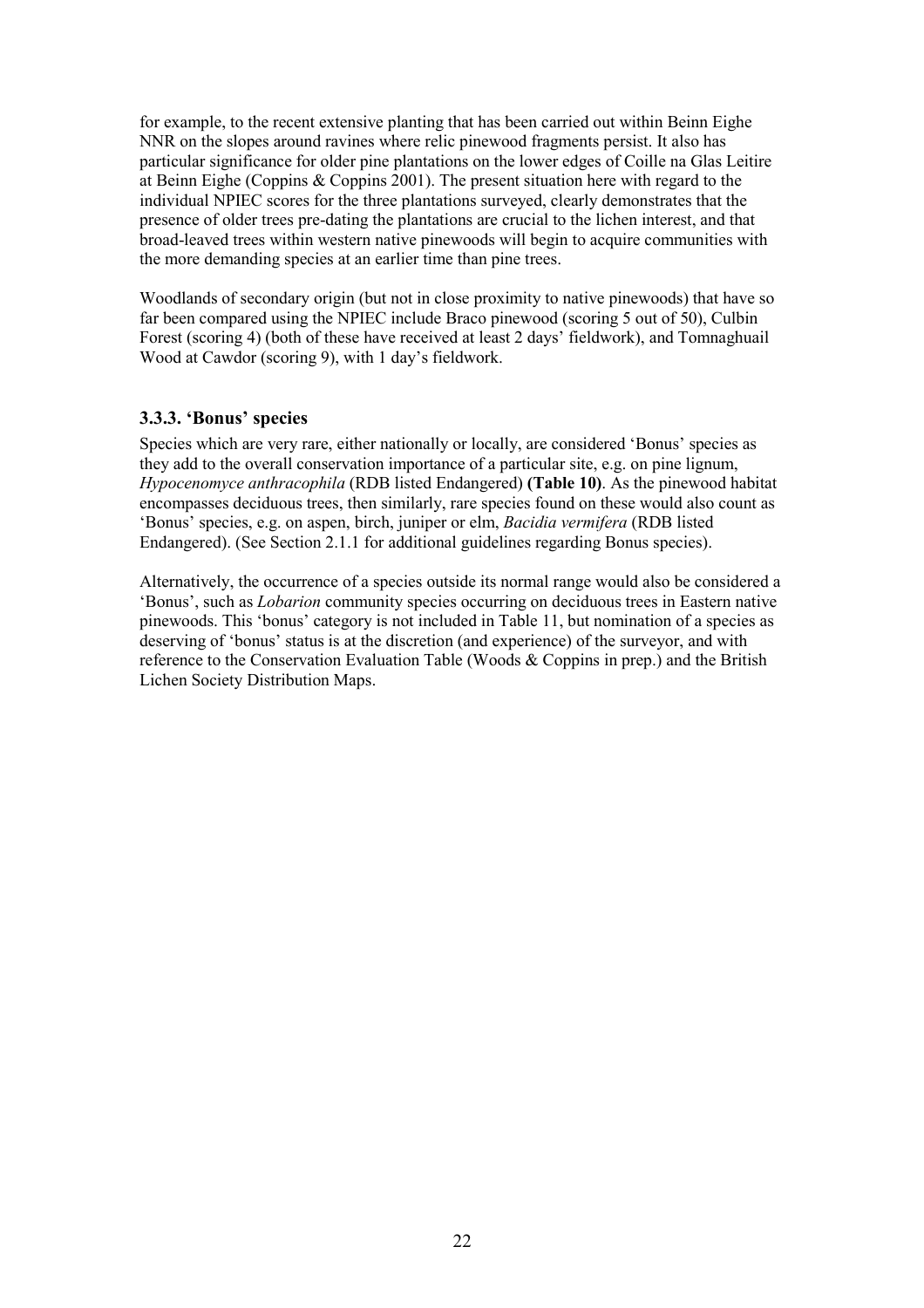for example, to the recent extensive planting that has been carried out within Beinn Eighe NNR on the slopes around ravines where relic pinewood fragments persist. It also has particular significance for older pine plantations on the lower edges of Coille na Glas Leitire at Beinn Eighe (Coppins & Coppins 2001). The present situation here with regard to the individual NPIEC scores for the three plantations surveyed, clearly demonstrates that the presence of older trees pre-dating the plantations are crucial to the lichen interest, and that broad-leaved trees within western native pinewoods will begin to acquire communities with the more demanding species at an earlier time than pine trees.

Woodlands of secondary origin (but not in close proximity to native pinewoods) that have so far been compared using the NPIEC include Braco pinewood (scoring 5 out of 50), Culbin Forest (scoring 4) (both of these have received at least 2 days' fieldwork), and Tomnaghuail Wood at Cawdor (scoring 9), with 1 day's fieldwork.

#### 3.3.3. 'Bonus' species

Species which are very rare, either nationally or locally, are considered 'Bonus' species as they add to the overall conservation importance of a particular site, e.g. on pine lignum, Hypocenomyce anthracophila (RDB listed Endangered) (Table 10). As the pinewood habitat encompasses deciduous trees, then similarly, rare species found on these would also count as 'Bonus' species, e.g. on aspen, birch, juniper or elm, Bacidia vermifera (RDB listed Endangered). (See Section 2.1.1 for additional guidelines regarding Bonus species).

Alternatively, the occurrence of a species outside its normal range would also be considered a 'Bonus', such as Lobarion community species occurring on deciduous trees in Eastern native pinewoods. This 'bonus' category is not included in Table 11, but nomination of a species as deserving of 'bonus' status is at the discretion (and experience) of the surveyor, and with reference to the Conservation Evaluation Table (Woods & Coppins in prep.) and the British Lichen Society Distribution Maps.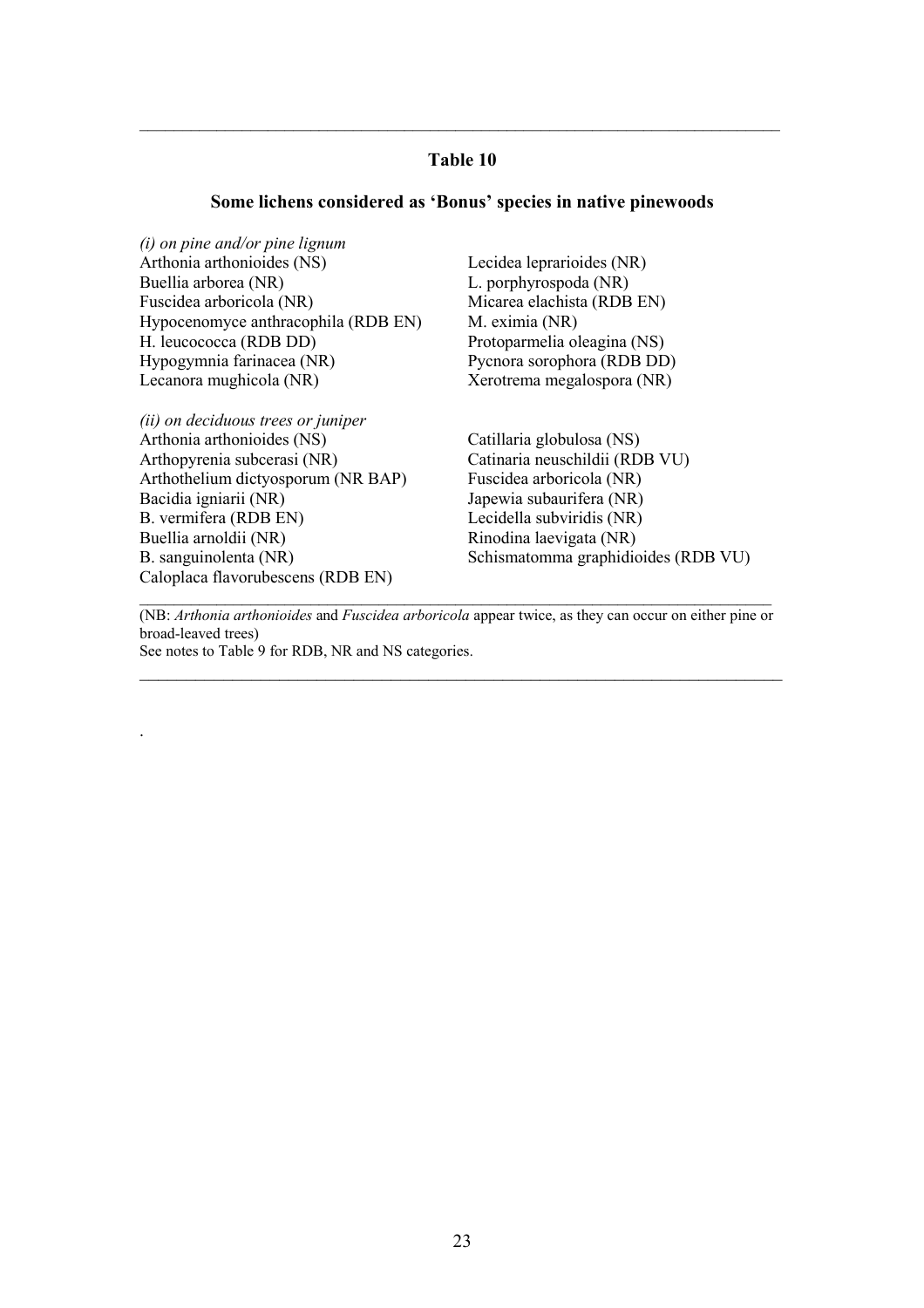#### Table 10

\_\_\_\_\_\_\_\_\_\_\_\_\_\_\_\_\_\_\_\_\_\_\_\_\_\_\_\_\_\_\_\_\_\_\_\_\_\_\_\_\_\_\_\_\_\_\_\_\_\_\_\_\_\_\_\_\_\_\_\_\_\_\_\_\_\_\_\_\_\_\_\_\_\_\_

#### Some lichens considered as 'Bonus' species in native pinewoods

(i) on pine and/or pine lignum Arthonia arthonioides (NS) Buellia arborea (NR) Fuscidea arboricola (NR) Hypocenomyce anthracophila (RDB EN) H. leucococca (RDB DD) Hypogymnia farinacea (NR) Lecanora mughicola (NR)

(ii) on deciduous trees or juniper Arthonia arthonioides (NS) Arthopyrenia subcerasi (NR) Arthothelium dictyosporum (NR BAP) Bacidia igniarii (NR) B. vermifera (RDB EN) Buellia arnoldii (NR) B. sanguinolenta (NR) Caloplaca flavorubescens (RDB EN)

.

Lecidea leprarioides (NR) L. porphyrospoda (NR) Micarea elachista (RDB EN) M. eximia (NR) Protoparmelia oleagina (NS) Pycnora sorophora (RDB DD) Xerotrema megalospora (NR)

Catillaria globulosa (NS) Catinaria neuschildii (RDB VU) Fuscidea arboricola (NR) Japewia subaurifera (NR) Lecidella subviridis (NR) Rinodina laevigata (NR) Schismatomma graphidioides (RDB VU)

(NB: Arthonia arthonioides and Fuscidea arboricola appear twice, as they can occur on either pine or broad-leaved trees)

 $\_$  , and the set of the set of the set of the set of the set of the set of the set of the set of the set of the set of the set of the set of the set of the set of the set of the set of the set of the set of the set of th

 $\_$  , and the set of the set of the set of the set of the set of the set of the set of the set of the set of the set of the set of the set of the set of the set of the set of the set of the set of the set of the set of th

See notes to Table 9 for RDB, NR and NS categories.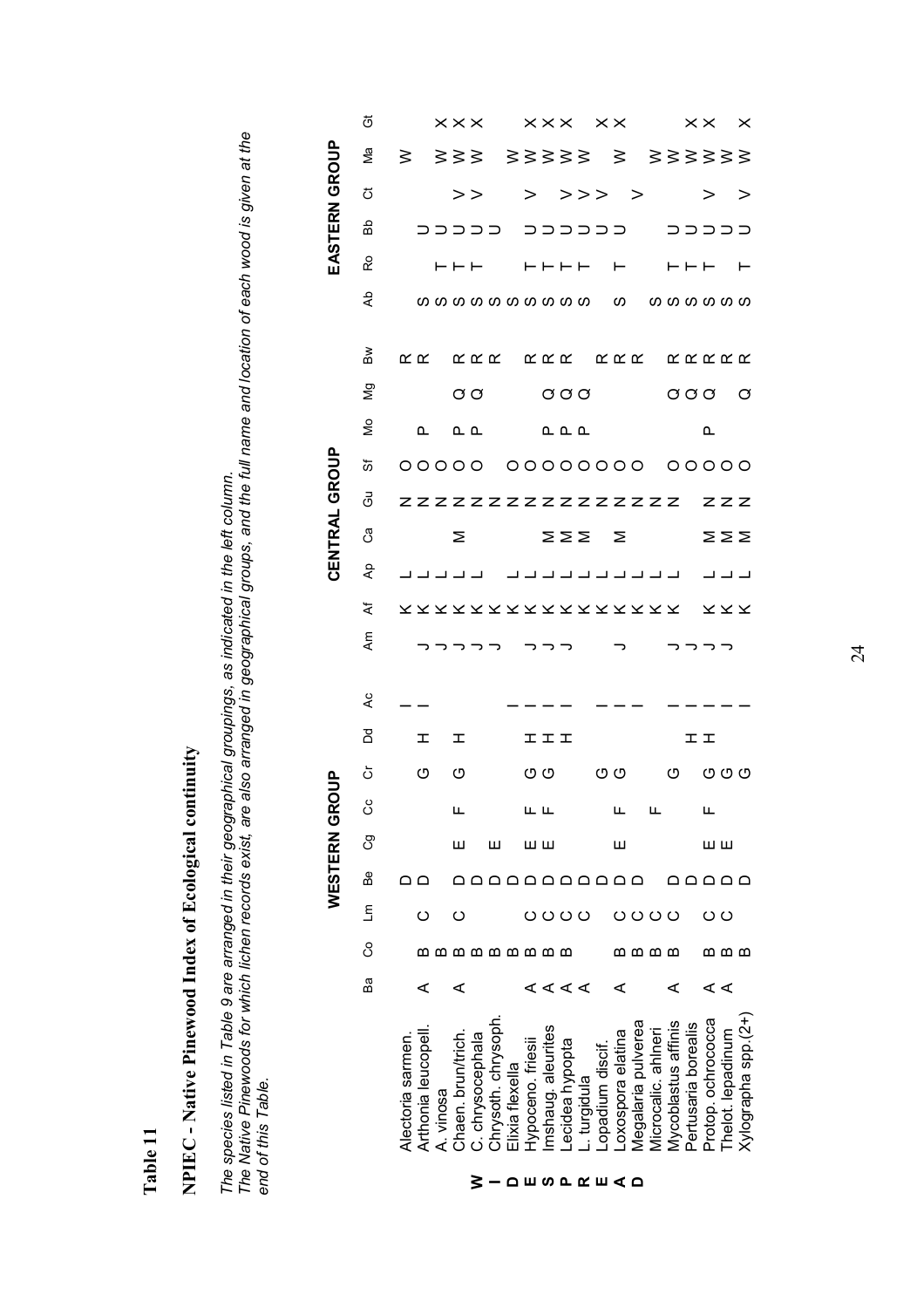Table 11

NPIEC - Native Pinewood Index of Ecological continuity NPIEC - Native Pinewood Index of Ecological continuity The species listed in Table 9 are arranged in their geographical groupings, as indicated in the left column.<br>The Native Pinewoods for which lichen records exist, are also arranged in geographical groups, and the full name The Native Pinewoods for which lichen records exist, are also arranged in geographical groups, and the full name and location of each wood is given at the The species listed in Table 9 are arranged in their geographical groupings, as indicated in the left column. end of this Table.

|                    |                     |         |      |         | <b>WESTERN GF</b> |    |                                                                                                                                                                                                                                                                                                                                                     |                 |     |   |                          |                                     |                                  | <b>CENTRAL GROUP</b>                |                      |                      |                                    |                                         |                   |                  |                        | EASTERN            |                              | GROUP              |                                                                                                          |
|--------------------|---------------------|---------|------|---------|-------------------|----|-----------------------------------------------------------------------------------------------------------------------------------------------------------------------------------------------------------------------------------------------------------------------------------------------------------------------------------------------------|-----------------|-----|---|--------------------------|-------------------------------------|----------------------------------|-------------------------------------|----------------------|----------------------|------------------------------------|-----------------------------------------|-------------------|------------------|------------------------|--------------------|------------------------------|--------------------|----------------------------------------------------------------------------------------------------------|
|                    |                     | Вā      | ပိ   | Ξ       | B <sub>e</sub>    | ඊ  | රි                                                                                                                                                                                                                                                                                                                                                  | ŏ               | ă   | L | Ę                        | ፟፟፟                                 | $\mathsf{A}^\mathsf{D}$          | ී                                   | යි                   | তৈ                   | ş                                  | δg                                      | $\mathbb S$       | dĄ               | င္                     | Вb                 | ぢ                            | Γø                 | ö                                                                                                        |
|                    | Alectoria sarmen    |         |      |         | $\Omega$          |    |                                                                                                                                                                                                                                                                                                                                                     |                 |     |   |                          |                                     |                                  |                                     |                      | 00000 00000000 00000 |                                    |                                         | $\propto \propto$ |                  |                        |                    |                              | $\geq$             |                                                                                                          |
|                    | Arthonia leucopel   | ⋖       |      | ပ       |                   |    |                                                                                                                                                                                                                                                                                                                                                     | O               | I.  |   |                          |                                     |                                  |                                     |                      |                      | ௳                                  |                                         |                   |                  |                        |                    |                              |                    |                                                                                                          |
|                    | A. vinosa           |         |      |         |                   |    |                                                                                                                                                                                                                                                                                                                                                     |                 |     |   |                          |                                     |                                  |                                     |                      |                      |                                    |                                         |                   |                  |                        |                    |                              |                    |                                                                                                          |
|                    | Chaen. brun/trich   | ⋖       |      | ပ       |                   | Ш  | ட                                                                                                                                                                                                                                                                                                                                                   | O               | I.  |   |                          |                                     |                                  | Σ                                   |                      |                      |                                    |                                         |                   |                  |                        |                    |                              |                    |                                                                                                          |
|                    | C. chrysocephala    |         |      |         |                   |    |                                                                                                                                                                                                                                                                                                                                                     |                 |     |   |                          |                                     |                                  |                                     |                      |                      | உ உ                                | $\sigma$ $\sigma$                       |                   |                  | $\vdash \vdash \vdash$ |                    | $>$ $>$                      |                    |                                                                                                          |
|                    | Chrysoth. chrysoph  |         |      |         |                   | ш  |                                                                                                                                                                                                                                                                                                                                                     |                 |     |   |                          |                                     |                                  |                                     |                      |                      |                                    |                                         |                   |                  |                        |                    |                              |                    |                                                                                                          |
|                    | Elixia flexella     |         |      |         |                   |    |                                                                                                                                                                                                                                                                                                                                                     |                 |     |   |                          |                                     |                                  |                                     |                      |                      |                                    |                                         |                   |                  |                        |                    |                              |                    |                                                                                                          |
| <b>≥-</b> ∩ширкш∢о | Hypoceno. friesii   |         |      | O O O O | aaaaaaaaaaa       | шш | $\begin{picture}(20,10) \put(0,0){\line(1,0){10}} \put(15,0){\line(1,0){10}} \put(15,0){\line(1,0){10}} \put(15,0){\line(1,0){10}} \put(15,0){\line(1,0){10}} \put(15,0){\line(1,0){10}} \put(15,0){\line(1,0){10}} \put(15,0){\line(1,0){10}} \put(15,0){\line(1,0){10}} \put(15,0){\line(1,0){10}} \put(15,0){\line(1,0){10}} \put(15,0){\line(1$ | $\circ$ $\circ$ | エエエ |   | רכר ר                    |                                     | لالالا لالالالالالالالا لالالالا | $\Sigma$ $\Sigma$ $\Sigma$ $\Sigma$ | ZZZZZZZZZZZZZZZZ ZZZ |                      | $\mathbb{L} \mathbb{L} \mathbb{L}$ | $\circ \circ \circ$ $\circ \circ \circ$ |                   |                  | <b>HHHH H</b> HHH H    | כככככ ככככככ כככככ | $>$ >>> >                    | 333 33333 3 333333 |                                                                                                          |
|                    | mshaug. aleurites   |         |      |         |                   |    |                                                                                                                                                                                                                                                                                                                                                     |                 |     |   |                          |                                     |                                  |                                     |                      |                      |                                    |                                         |                   |                  |                        |                    |                              |                    |                                                                                                          |
|                    | Lecidea hypopta     | ∢ ∢ ∢ ∢ |      |         |                   |    |                                                                                                                                                                                                                                                                                                                                                     |                 |     |   |                          |                                     |                                  |                                     |                      |                      |                                    |                                         |                   |                  |                        |                    |                              |                    |                                                                                                          |
|                    | . turgidula         |         |      |         |                   |    |                                                                                                                                                                                                                                                                                                                                                     |                 |     |   |                          |                                     |                                  |                                     |                      |                      |                                    |                                         |                   |                  |                        |                    |                              |                    |                                                                                                          |
|                    | Lopadium discif     |         |      |         |                   |    |                                                                                                                                                                                                                                                                                                                                                     |                 |     |   |                          |                                     |                                  |                                     |                      |                      |                                    |                                         |                   |                  |                        |                    |                              |                    |                                                                                                          |
|                    | Loxospora elatina   | ⋖       | മമമമ |         |                   | Ш  |                                                                                                                                                                                                                                                                                                                                                     | OO O            |     |   | $\overline{\phantom{a}}$ |                                     |                                  |                                     |                      |                      |                                    |                                         |                   |                  |                        |                    |                              |                    |                                                                                                          |
|                    | Megalaria pulverea  |         |      |         |                   |    |                                                                                                                                                                                                                                                                                                                                                     |                 |     |   |                          |                                     |                                  |                                     |                      |                      |                                    |                                         |                   |                  |                        |                    |                              |                    |                                                                                                          |
|                    | Microcalic. ahlneri |         |      | O O O O |                   |    |                                                                                                                                                                                                                                                                                                                                                     |                 |     |   |                          |                                     |                                  |                                     |                      |                      |                                    |                                         |                   |                  |                        |                    |                              |                    |                                                                                                          |
|                    | Mycoblastus affinis | ⋖       |      |         |                   |    |                                                                                                                                                                                                                                                                                                                                                     |                 |     |   |                          |                                     |                                  |                                     |                      |                      |                                    |                                         |                   |                  |                        |                    |                              |                    |                                                                                                          |
|                    | Pertusaria borealis |         |      |         | ם ם ם ם ם         |    |                                                                                                                                                                                                                                                                                                                                                     |                 |     |   | マフフフ                     |                                     |                                  |                                     |                      |                      |                                    |                                         |                   |                  |                        |                    |                              |                    |                                                                                                          |
|                    | Protop. ochrococca  |         |      | ပပ      |                   | шш | ட                                                                                                                                                                                                                                                                                                                                                   |                 | エエ  |   |                          |                                     |                                  |                                     |                      |                      | $\mathbf{\Omega}$                  |                                         |                   |                  |                        |                    | $>$ $\overline{\phantom{1}}$ |                    |                                                                                                          |
|                    | Thelot. lepadinum   | ∢ ∢     | മമമ  |         |                   |    |                                                                                                                                                                                                                                                                                                                                                     |                 |     |   |                          |                                     |                                  |                                     |                      |                      |                                    |                                         |                   |                  |                        |                    |                              |                    |                                                                                                          |
|                    | Xylographa spp.(2+) |         |      |         |                   |    |                                                                                                                                                                                                                                                                                                                                                     | O O             |     |   |                          | X X X X X X X X X X X X X X X X X X |                                  | $\geq \geq \geq$                    |                      |                      |                                    | $\circ$                                 | המה המה המה המהמה | wwwwwwwwwwwwwwww |                        |                    | $\rm{>}$                     |                    | $\begin{array}{ccccc}\n & & \times \times \times & \times \times & \times \times & \times \n\end{array}$ |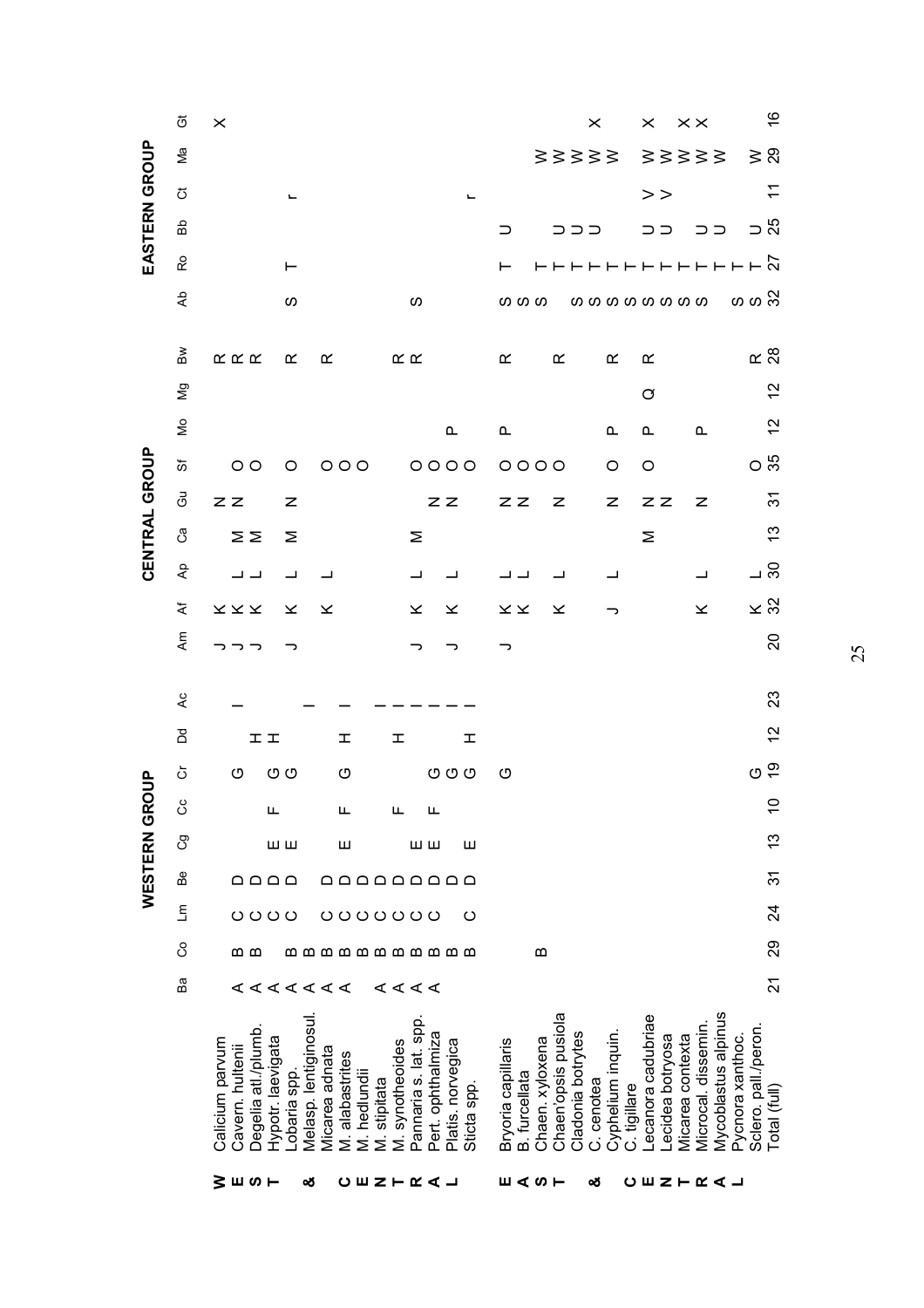|               | ö                       | $\times$                                                                        |                                                         |                                                                                             |                                                       |                                                                               | $\times$                                                             | $\times\times$<br>$\times$                                 | $\frac{6}{5}$                                                                                          |
|---------------|-------------------------|---------------------------------------------------------------------------------|---------------------------------------------------------|---------------------------------------------------------------------------------------------|-------------------------------------------------------|-------------------------------------------------------------------------------|----------------------------------------------------------------------|------------------------------------------------------------|--------------------------------------------------------------------------------------------------------|
|               | Μa                      |                                                                                 |                                                         |                                                                                             |                                                       |                                                                               | 88388                                                                | 33333                                                      | $\geqslant$ $\approx$                                                                                  |
|               | ぢ                       |                                                                                 |                                                         |                                                                                             | $\overline{\phantom{a}}$                              |                                                                               |                                                                      | >                                                          | $\tilde{t}$                                                                                            |
| EASTERN GROUP | 윤                       |                                                                                 |                                                         |                                                                                             |                                                       | ⊃                                                                             | コココ                                                                  | ココ                                                         | $\frac{5}{2}$<br>ココ                                                                                    |
|               | င္                      |                                                                                 | ⊢                                                       |                                                                                             |                                                       | ⊢                                                                             |                                                                      |                                                            |                                                                                                        |
|               | βÞ                      |                                                                                 | S                                                       | ഗ                                                                                           |                                                       | <b>00 00</b>                                                                  | <b>0000000000</b>                                                    |                                                            | ທ ທ ລິ                                                                                                 |
|               | ≧                       | $\propto \propto \propto$                                                       | $\propto$<br>≃                                          | $\propto \propto$                                                                           |                                                       | $\propto$<br>$\propto$                                                        | ĸ                                                                    | $\alpha$                                                   | $\alpha$ $\frac{8}{2}$                                                                                 |
|               | δg                      |                                                                                 |                                                         |                                                                                             |                                                       |                                                                               |                                                                      | Ø                                                          | $\frac{2}{3}$                                                                                          |
|               | $\mathsf{S}$            |                                                                                 |                                                         |                                                                                             | <b>L</b>                                              | $\mathtt{\Omega}$                                                             | ൨                                                                    | $\mathbf{\Omega}$                                          | $\frac{2}{3}$<br>$\mathtt{\mathtt{a}}$                                                                 |
|               | ზ                       | $\circ$                                                                         | $\circ$                                                 | $O$ $O$ $O$                                                                                 | $\circ \circ \circ \circ$                             | $0000$                                                                        | O                                                                    | O                                                          | ೦ ಸಿ                                                                                                   |
|               | මි                      | ZZ                                                                              | z                                                       |                                                                                             | $Z$ $Z$                                               | ZZ<br>z                                                                       | z                                                                    | z z                                                        | $\overline{\Omega}$<br>z                                                                               |
| CENTRAL GROUP | ී                       | $\geq$                                                                          | Σ                                                       | Σ                                                                                           |                                                       |                                                                               |                                                                      | Σ                                                          | $\frac{3}{2}$                                                                                          |
|               | $\mathsf{A}^\mathsf{D}$ | ب ب                                                                             | ┙                                                       | ᆜ                                                                                           | ᆜ                                                     |                                                                               | ┙                                                                    |                                                            | ⊸ ಜ<br>┙                                                                                               |
|               | ¥                       | $\times \times \times$                                                          | $\geq$<br>×                                             | $\propto$                                                                                   | ×                                                     | $\propto \times$<br>×                                                         | っ                                                                    |                                                            | $\times 2$<br>$\pmb{\times}$                                                                           |
|               | ξ                       | っっ                                                                              | っ                                                       |                                                                                             | っ                                                     |                                                                               |                                                                      |                                                            | $\Omega$                                                                                               |
|               |                         |                                                                                 |                                                         |                                                                                             |                                                       |                                                                               |                                                                      |                                                            |                                                                                                        |
|               | Αc                      |                                                                                 |                                                         |                                                                                             |                                                       |                                                                               |                                                                      |                                                            | $\mathbf{z}$                                                                                           |
|               | <b>P</b>                | 工工                                                                              |                                                         | I<br>I                                                                                      | ェ                                                     |                                                                               |                                                                      |                                                            | $\frac{2}{3}$                                                                                          |
| $rac{6}{5}$   | ŏ                       | O                                                                               | ு ம                                                     | O                                                                                           | O O                                                   | O                                                                             |                                                                      |                                                            | ပ ္                                                                                                    |
|               | ő                       | щ                                                                               |                                                         | щ<br>Щ                                                                                      | щ                                                     |                                                                               |                                                                      |                                                            | $\circ$<br>$\overline{\phantom{0}}$                                                                    |
| WESTERN GR    | <u>ල</u>                |                                                                                 | ШШ                                                      | ш                                                                                           | ШШ<br>ш                                               |                                                                               |                                                                      |                                                            | 13                                                                                                     |
|               | Be                      | ם ם ם ם                                                                         |                                                         | aaaaaaaaa                                                                                   |                                                       |                                                                               |                                                                      |                                                            | $\overline{5}$                                                                                         |
|               | Ξ                       | O O O O                                                                         |                                                         | O O O O O O O                                                                               | ပ                                                     |                                                                               |                                                                      |                                                            | $\overline{24}$                                                                                        |
|               | රි                      | മ മ                                                                             |                                                         | <b>000000000000</b>                                                                         |                                                       | $\boldsymbol{\omega}$                                                         |                                                                      |                                                            | 29                                                                                                     |
|               | Вã                      |                                                                                 | ∢∢∢∢∢∢∢                                                 | ∢∢∢∢                                                                                        |                                                       |                                                                               |                                                                      |                                                            | $\overline{2}$                                                                                         |
|               |                         | Degelia atl./plumb.<br>Hypotr. laevigata<br>Calicium parvum<br>Cavern. hultenii | Melasp. lentiginosul.<br>Micarea adnata<br>Lobaria spp. | Pannaria s. lat. spp.<br>M. synotheoides<br>M. alabastrites<br>M. hedlundii<br>M. stipitata | Pert. ophthalmiza<br>Platis. norvegica<br>Sticta spp. | Chaen'opsis pusiola<br>Bryoria capillaris<br>Chaen. xyloxena<br>B. furcellata | Cyphelium inquin.<br>Cladonia botrytes<br>C. cenotea<br>C. tigillare | Lecanora cadubriae<br>Micarea contexta<br>Lecidea botryosa | Mycoblastus alpinus<br>Microcal. dissemin.<br>Sclero. pall./peron.<br>Pycnora xanthoc.<br>Total (full) |
|               |                         | るり ミクロ                                                                          | య                                                       | <b>CENTRAJ</b>                                                                              |                                                       | 目AST                                                                          | ఱ                                                                    | <b>OUZHK&lt;⊥</b>                                          |                                                                                                        |

25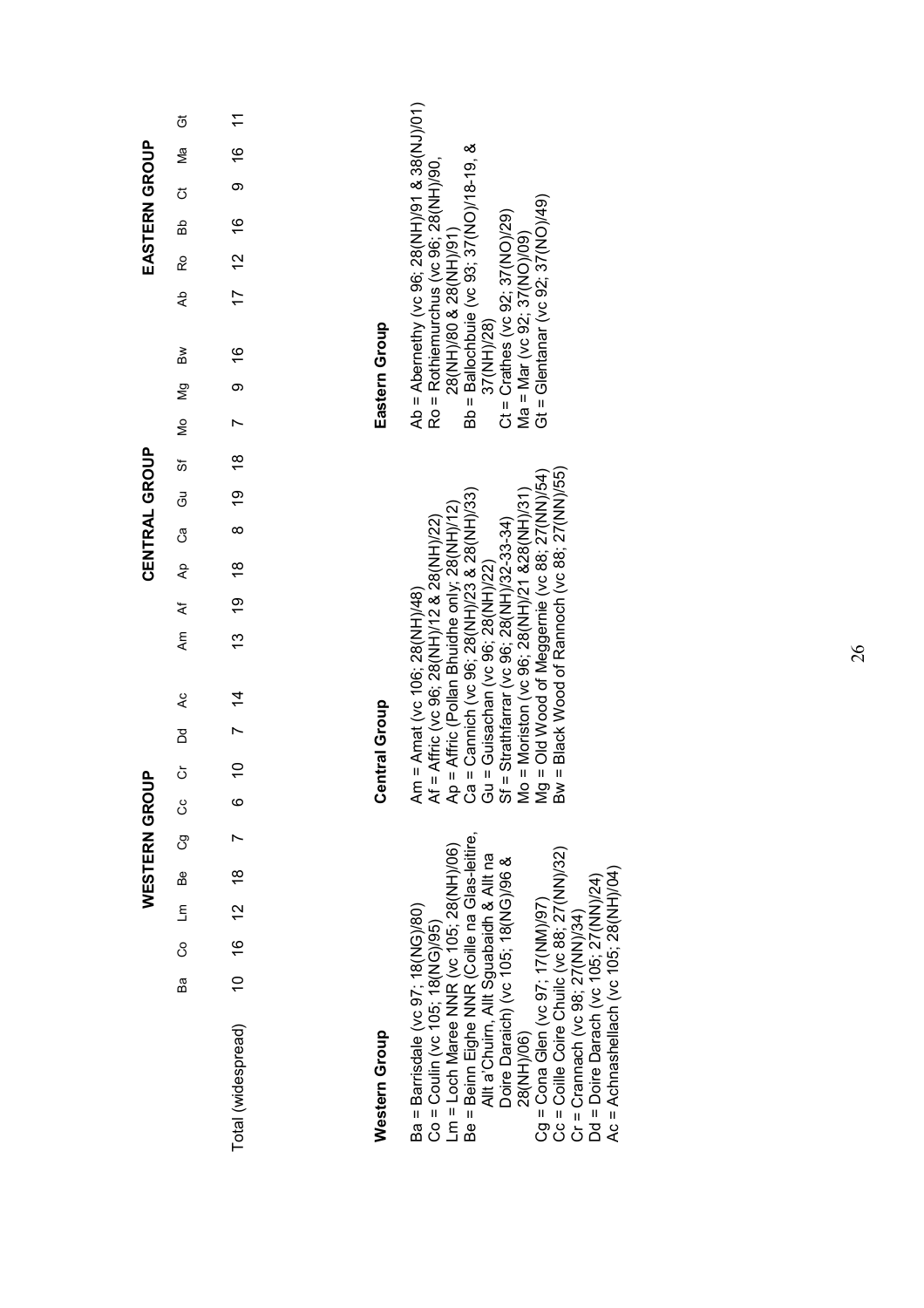|                                                                                                                                                                                                                                                                                                                                                                                                                                                                                 |               |   |                     |               | WESTERN GROUP |    |                           |   |                                 |                                                                                                                                                                                                                                                                                                                                                                                                                |    |          | CENTRAL GROUP |          |                     |   |                |                |                                                                                                                                                                                                                                                                                    |                |           | EASTERN GROUP |          |               |                |
|---------------------------------------------------------------------------------------------------------------------------------------------------------------------------------------------------------------------------------------------------------------------------------------------------------------------------------------------------------------------------------------------------------------------------------------------------------------------------------|---------------|---|---------------------|---------------|---------------|----|---------------------------|---|---------------------------------|----------------------------------------------------------------------------------------------------------------------------------------------------------------------------------------------------------------------------------------------------------------------------------------------------------------------------------------------------------------------------------------------------------------|----|----------|---------------|----------|---------------------|---|----------------|----------------|------------------------------------------------------------------------------------------------------------------------------------------------------------------------------------------------------------------------------------------------------------------------------------|----------------|-----------|---------------|----------|---------------|----------------|
|                                                                                                                                                                                                                                                                                                                                                                                                                                                                                 | Ba            | 8 | $\overline{\Xi}$    | Be            | පි            | රි | ŏ                         | ă | L                               |                                                                                                                                                                                                                                                                                                                                                                                                                | ξ  | ፟፟       | ී<br>දි       |          | මි                  | ö | Ş              | $\overline{5}$ | $\mathsf{B}\mathsf{w}$                                                                                                                                                                                                                                                             | ₹              | Ro        | Bb            | ö        | Мa            | ö              |
| Total (widespread)                                                                                                                                                                                                                                                                                                                                                                                                                                                              | $\frac{1}{2}$ |   | $\frac{2}{3}$<br>16 | $\frac{8}{1}$ |               |    | $\overline{C}$<br>$\circ$ |   | $\frac{4}{4}$<br>$\overline{z}$ |                                                                                                                                                                                                                                                                                                                                                                                                                | 13 | <u>6</u> | $\frac{8}{3}$ | $\infty$ | $\frac{8}{3}$<br>စ္ |   | $\overline{ }$ | ၜ              | $\frac{6}{5}$                                                                                                                                                                                                                                                                      | $\frac{17}{2}$ | <u>ุว</u> | $\frac{6}{5}$ | $\infty$ | $\frac{6}{5}$ | $\tilde{\tau}$ |
|                                                                                                                                                                                                                                                                                                                                                                                                                                                                                 |               |   |                     |               |               |    |                           |   |                                 |                                                                                                                                                                                                                                                                                                                                                                                                                |    |          |               |          |                     |   |                |                |                                                                                                                                                                                                                                                                                    |                |           |               |          |               |                |
| Western Group                                                                                                                                                                                                                                                                                                                                                                                                                                                                   |               |   |                     |               |               |    | <b>Central Group</b>      |   |                                 |                                                                                                                                                                                                                                                                                                                                                                                                                |    |          |               |          |                     |   |                |                | Eastern Group                                                                                                                                                                                                                                                                      |                |           |               |          |               |                |
| Be = Beinn Eighe NNR (Coille na Glas-leitire,<br>Lm = Loch Maree NNR (vc 105; 28(NH)/06)<br>Cg = Cona Glen (vc 97; 17(NM)/97)<br>Cc = Coille Coire Chuilc (vc 88; 27(NN)/32)<br>Allt a'Chuirn, Allt Sguabaidh & Allt na<br>Doire Daraich) (vc 105; 18(NG)/96 &<br>Ac = Achnashellach (vc 105; 28(NH)/04)<br>Od = Doire Darach (vc 105; 27(NN)/24)<br>Ba = Barrisdale (vc 97; 18(NG)/80)<br>Cr = Crannach (vc 98; 27(NN)/34)<br>$Co = Coulin (VC 105; 18 (NG)/95)$<br>28(NH)/06) |               |   |                     |               |               |    |                           |   |                                 | Bw = Black Wood of Rannoch (vc 88; 27(NN)/55)<br>Sf = Strathfarrar (vc 96; 28(NH)/32-33-34)<br>Mo = Moriston (vc 96; 28(NH)/21 &28(NH)/31)<br>Mg = Old Wood of Meggernie (vc 88; 27(NN)/54)<br>Af = Affric (vc 96; 28(NH)/12 & 28(NH)/22)<br>Ap = Affric (Pollan Bhuidhe only; 28(NH)/12)<br>Ca = Cannich (vc 96; 28(NH)/23 & 28(NH)/33)<br>Gu = Guisachan (vc 96; 28(NH)/22)<br>Am = Amat (vc 106; 28(NH)/48) |    |          |               |          |                     |   |                |                | Ab = Abernethy (vc 96; 28(NH)/91 & 38(NJ)/01)<br>Bb = Ballochbuie (vc 93; 37(NO)/18-19, &<br>Ro = Rothiemurchus (vc 96; 28(NH)/90,<br>Gt = Glentanar (vc 92; 37(NO)/49)<br>$Ct = Crathes$ (vc 92; 37(NO)/29)<br>28(NH)/80 & 28(NH)/91)<br>Ma = Mar (vc 92; 37(NO)/09)<br>37(NH)/28 |                |           |               |          |               |                |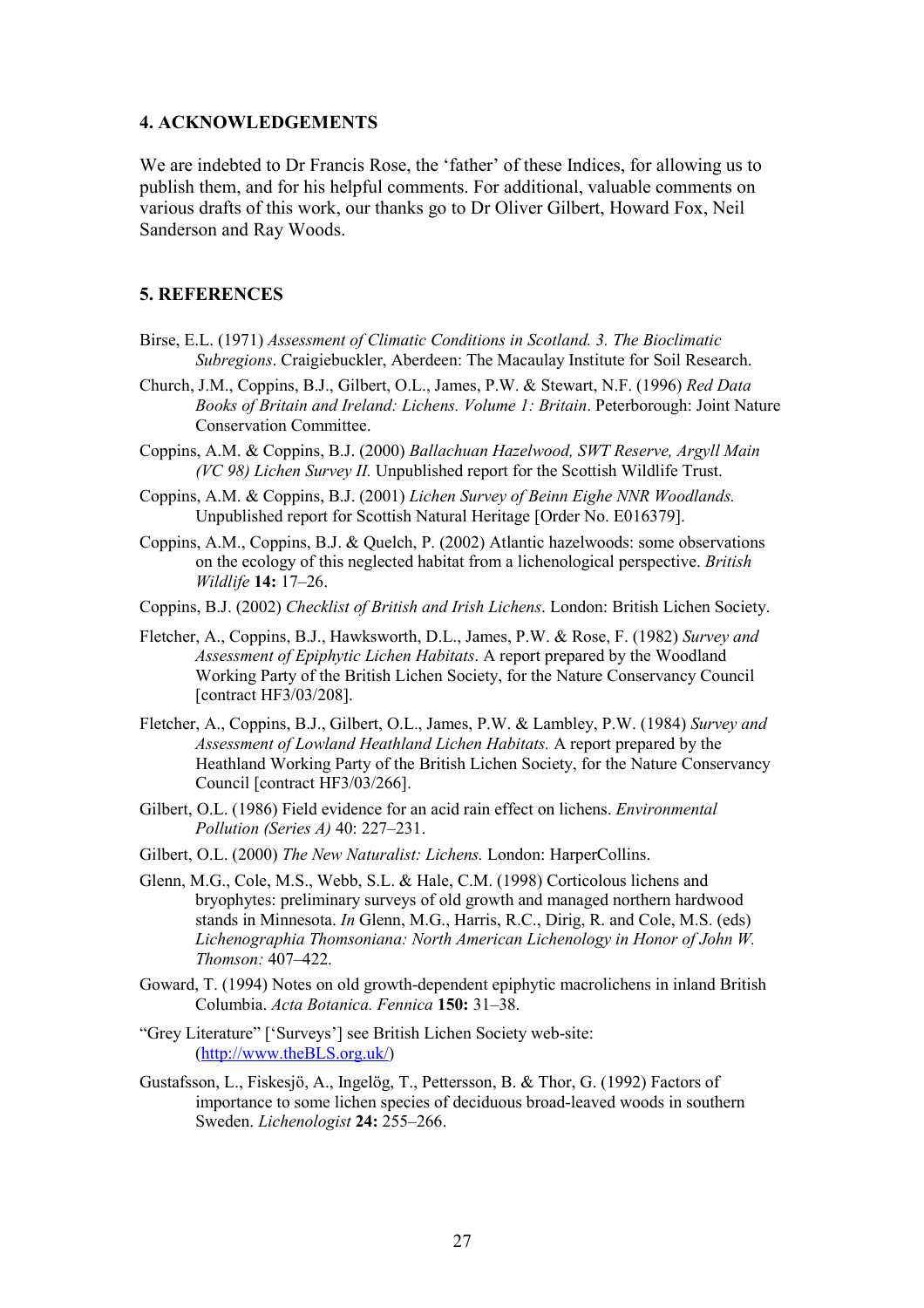#### 4. ACKNOWLEDGEMENTS

We are indebted to Dr Francis Rose, the 'father' of these Indices, for allowing us to publish them, and for his helpful comments. For additional, valuable comments on various drafts of this work, our thanks go to Dr Oliver Gilbert, Howard Fox, Neil Sanderson and Ray Woods.

#### 5. REFERENCES

- Birse, E.L. (1971) Assessment of Climatic Conditions in Scotland. 3. The Bioclimatic Subregions. Craigiebuckler, Aberdeen: The Macaulay Institute for Soil Research.
- Church, J.M., Coppins, B.J., Gilbert, O.L., James, P.W. & Stewart, N.F. (1996) Red Data Books of Britain and Ireland: Lichens. Volume 1: Britain. Peterborough: Joint Nature Conservation Committee.
- Coppins, A.M. & Coppins, B.J. (2000) Ballachuan Hazelwood, SWT Reserve, Argyll Main (VC 98) Lichen Survey II. Unpublished report for the Scottish Wildlife Trust.
- Coppins, A.M. & Coppins, B.J. (2001) Lichen Survey of Beinn Eighe NNR Woodlands. Unpublished report for Scottish Natural Heritage [Order No. E016379].
- Coppins, A.M., Coppins, B.J. & Quelch, P. (2002) Atlantic hazelwoods: some observations on the ecology of this neglected habitat from a lichenological perspective. British Wildlife 14: 17–26.
- Coppins, B.J. (2002) Checklist of British and Irish Lichens. London: British Lichen Society.
- Fletcher, A., Coppins, B.J., Hawksworth, D.L., James, P.W. & Rose, F. (1982) Survey and Assessment of Epiphytic Lichen Habitats. A report prepared by the Woodland Working Party of the British Lichen Society, for the Nature Conservancy Council [contract HF3/03/208].
- Fletcher, A., Coppins, B.J., Gilbert, O.L., James, P.W. & Lambley, P.W. (1984) Survey and Assessment of Lowland Heathland Lichen Habitats. A report prepared by the Heathland Working Party of the British Lichen Society, for the Nature Conservancy Council [contract HF3/03/266].
- Gilbert, O.L. (1986) Field evidence for an acid rain effect on lichens. Environmental Pollution (Series A) 40: 227–231.
- Gilbert, O.L. (2000) The New Naturalist: Lichens. London: HarperCollins.
- Glenn, M.G., Cole, M.S., Webb, S.L. & Hale, C.M. (1998) Corticolous lichens and bryophytes: preliminary surveys of old growth and managed northern hardwood stands in Minnesota. In Glenn, M.G., Harris, R.C., Dirig, R. and Cole, M.S. (eds) Lichenographia Thomsoniana: North American Lichenology in Honor of John W. Thomson: 407–422.
- Goward, T. (1994) Notes on old growth-dependent epiphytic macrolichens in inland British Columbia. Acta Botanica. Fennica 150: 31–38.
- "Grey Literature" ['Surveys'] see British Lichen Society web-site: (http://www.theBLS.org.uk/)
- Gustafsson, L., Fiskesjö, A., Ingelög, T., Pettersson, B. & Thor, G. (1992) Factors of importance to some lichen species of deciduous broad-leaved woods in southern Sweden. Lichenologist 24: 255–266.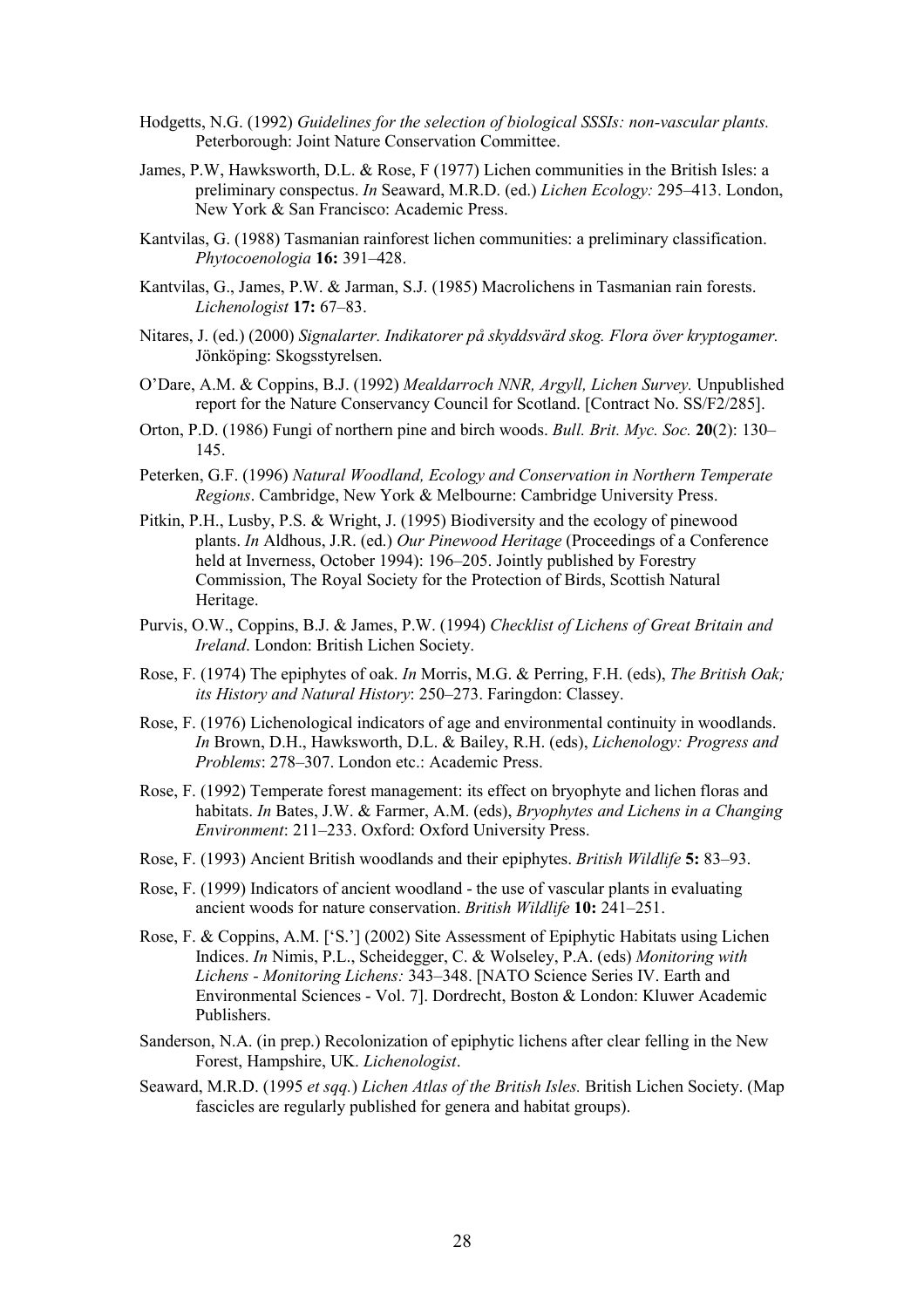- Hodgetts, N.G. (1992) Guidelines for the selection of biological SSSIs: non-vascular plants. Peterborough: Joint Nature Conservation Committee.
- James, P.W, Hawksworth, D.L. & Rose, F (1977) Lichen communities in the British Isles: a preliminary conspectus. In Seaward, M.R.D. (ed.) Lichen Ecology: 295–413. London, New York & San Francisco: Academic Press.
- Kantvilas, G. (1988) Tasmanian rainforest lichen communities: a preliminary classification. Phytocoenologia 16: 391–428.
- Kantvilas, G., James, P.W. & Jarman, S.J. (1985) Macrolichens in Tasmanian rain forests. Lichenologist 17: 67–83.
- Nitares, J. (ed.) (2000) Signalarter. Indikatorer på skyddsvärd skog. Flora över kryptogamer. Jönköping: Skogsstyrelsen.
- O'Dare, A.M. & Coppins, B.J. (1992) Mealdarroch NNR, Argyll, Lichen Survey. Unpublished report for the Nature Conservancy Council for Scotland. [Contract No. SS/F2/285].
- Orton, P.D. (1986) Fungi of northern pine and birch woods. Bull. Brit. Myc. Soc. 20(2): 130– 145.
- Peterken, G.F. (1996) Natural Woodland, Ecology and Conservation in Northern Temperate Regions. Cambridge, New York & Melbourne: Cambridge University Press.
- Pitkin, P.H., Lusby, P.S. & Wright, J. (1995) Biodiversity and the ecology of pinewood plants. In Aldhous, J.R. (ed.) Our Pinewood Heritage (Proceedings of a Conference held at Inverness, October 1994): 196–205. Jointly published by Forestry Commission, The Royal Society for the Protection of Birds, Scottish Natural Heritage.
- Purvis, O.W., Coppins, B.J. & James, P.W. (1994) Checklist of Lichens of Great Britain and Ireland. London: British Lichen Society.
- Rose, F. (1974) The epiphytes of oak. In Morris, M.G. & Perring, F.H. (eds), The British Oak; its History and Natural History: 250–273. Faringdon: Classey.
- Rose, F. (1976) Lichenological indicators of age and environmental continuity in woodlands. In Brown, D.H., Hawksworth, D.L. & Bailey, R.H. (eds), Lichenology: Progress and Problems: 278–307. London etc.: Academic Press.
- Rose, F. (1992) Temperate forest management: its effect on bryophyte and lichen floras and habitats. In Bates, J.W. & Farmer, A.M. (eds), *Bryophytes and Lichens in a Changing* Environment: 211–233. Oxford: Oxford University Press.
- Rose, F. (1993) Ancient British woodlands and their epiphytes. British Wildlife 5: 83–93.
- Rose, F. (1999) Indicators of ancient woodland the use of vascular plants in evaluating ancient woods for nature conservation. British Wildlife 10: 241–251.
- Rose, F. & Coppins, A.M. ['S.'] (2002) Site Assessment of Epiphytic Habitats using Lichen Indices. In Nimis, P.L., Scheidegger, C. & Wolseley, P.A. (eds) Monitoring with Lichens - Monitoring Lichens: 343–348. [NATO Science Series IV. Earth and Environmental Sciences - Vol. 7]. Dordrecht, Boston & London: Kluwer Academic Publishers.
- Sanderson, N.A. (in prep.) Recolonization of epiphytic lichens after clear felling in the New Forest, Hampshire, UK. Lichenologist.
- Seaward, M.R.D. (1995 et sqq.) Lichen Atlas of the British Isles. British Lichen Society. (Map fascicles are regularly published for genera and habitat groups).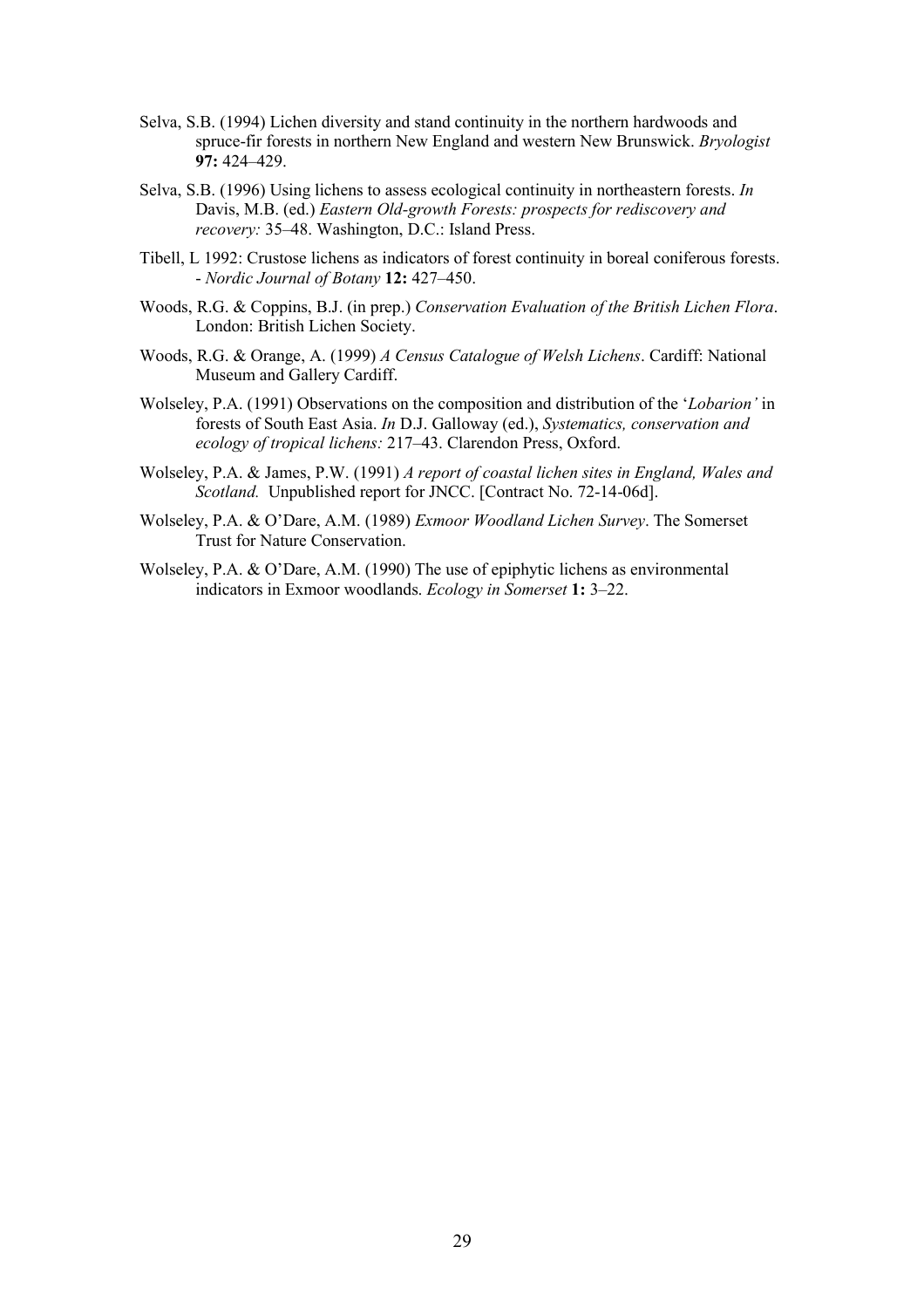- Selva, S.B. (1994) Lichen diversity and stand continuity in the northern hardwoods and spruce-fir forests in northern New England and western New Brunswick. Bryologist 97: 424–429.
- Selva, S.B. (1996) Using lichens to assess ecological continuity in northeastern forests. In Davis, M.B. (ed.) Eastern Old-growth Forests: prospects for rediscovery and recovery: 35–48. Washington, D.C.: Island Press.
- Tibell, L 1992: Crustose lichens as indicators of forest continuity in boreal coniferous forests. - Nordic Journal of Botany 12: 427–450.
- Woods, R.G. & Coppins, B.J. (in prep.) Conservation Evaluation of the British Lichen Flora. London: British Lichen Society.
- Woods, R.G. & Orange, A. (1999) A Census Catalogue of Welsh Lichens. Cardiff: National Museum and Gallery Cardiff.
- Wolseley, P.A. (1991) Observations on the composition and distribution of the 'Lobarion' in forests of South East Asia. In D.J. Galloway (ed.), Systematics, conservation and ecology of tropical lichens: 217–43. Clarendon Press, Oxford.
- Wolseley, P.A. & James, P.W. (1991) A report of coastal lichen sites in England, Wales and Scotland. Unpublished report for JNCC. [Contract No. 72-14-06d].
- Wolseley, P.A. & O'Dare, A.M. (1989) Exmoor Woodland Lichen Survey. The Somerset Trust for Nature Conservation.
- Wolseley, P.A. & O'Dare, A.M. (1990) The use of epiphytic lichens as environmental indicators in Exmoor woodlands. Ecology in Somerset 1: 3–22.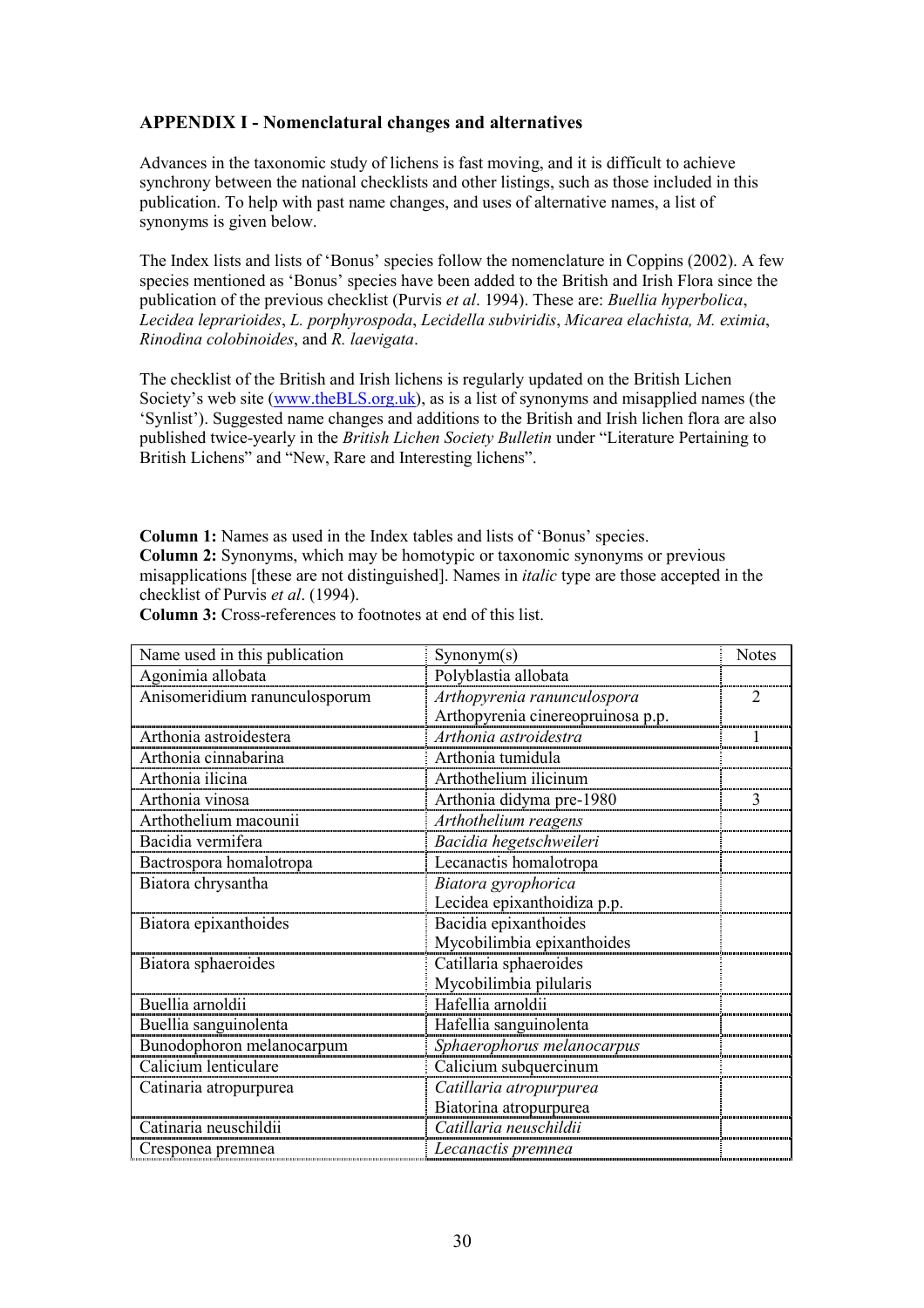### APPENDIX I - Nomenclatural changes and alternatives

Advances in the taxonomic study of lichens is fast moving, and it is difficult to achieve synchrony between the national checklists and other listings, such as those included in this publication. To help with past name changes, and uses of alternative names, a list of synonyms is given below.

The Index lists and lists of 'Bonus' species follow the nomenclature in Coppins (2002). A few species mentioned as 'Bonus' species have been added to the British and Irish Flora since the publication of the previous checklist (Purvis et al. 1994). These are: Buellia hyperbolica, Lecidea leprarioides, L. porphyrospoda, Lecidella subviridis, Micarea elachista, M. eximia, Rinodina colobinoides, and R. laevigata.

The checklist of the British and Irish lichens is regularly updated on the British Lichen Society's web site (www.theBLS.org.uk), as is a list of synonyms and misapplied names (the 'Synlist'). Suggested name changes and additions to the British and Irish lichen flora are also published twice-yearly in the British Lichen Society Bulletin under "Literature Pertaining to British Lichens" and "New, Rare and Interesting lichens".

Column 1: Names as used in the Index tables and lists of 'Bonus' species. Column 2: Synonyms, which may be homotypic or taxonomic synonyms or previous misapplications [these are not distinguished]. Names in italic type are those accepted in the checklist of Purvis et al. (1994).

| Name used in this publication | Symonym(s)                        | <b>Notes</b>   |
|-------------------------------|-----------------------------------|----------------|
| Agonimia allobata             | Polyblastia allobata              |                |
| Anisomeridium ranunculosporum | Arthopyrenia ranunculospora       | $\mathfrak{D}$ |
|                               | Arthopyrenia cinereopruinosa p.p. |                |
| Arthonia astroidestera        | Arthonia astroidestra             |                |
| Arthonia cinnabarina          | Arthonia tumidula                 |                |
| Arthonia ilicina              | Arthothelium ilicinum             |                |
| Arthonia vinosa               | Arthonia didyma pre-1980          | 3              |
| Arthothelium macounii         | Arthothelium reagens              |                |
| Bacidia vermifera             | Bacidia hegetschweileri           |                |
| Bactrospora homalotropa       | Lecanactis homalotropa            |                |
| Biatora chrysantha            | Biatora gyrophorica               |                |
|                               | Lecidea epixanthoidiza p.p.       |                |
| Biatora epixanthoides         | Bacidia epixanthoides             |                |
|                               | Mycobilimbia epixanthoides        |                |
| Biatora sphaeroides           | Catillaria sphaeroides            |                |
|                               | Mycobilimbia pilularis            |                |
| Buellia arnoldii              | Hafellia arnoldii                 |                |
| Buellia sanguinolenta         | Hafellia sanguinolenta            |                |
| Bunodophoron melanocarpum     | Sphaerophorus melanocarpus        |                |
| Calicium lenticulare          | Calicium subquercinum             |                |
| Catinaria atropurpurea        | Catillaria atropurpurea           |                |
|                               | Biatorina atropurpurea            |                |
| Catinaria neuschildii         | Catillaria neuschildii            |                |
| Cresponea premnea             | Lecanactis premnea                |                |

Column 3: Cross-references to footnotes at end of this list.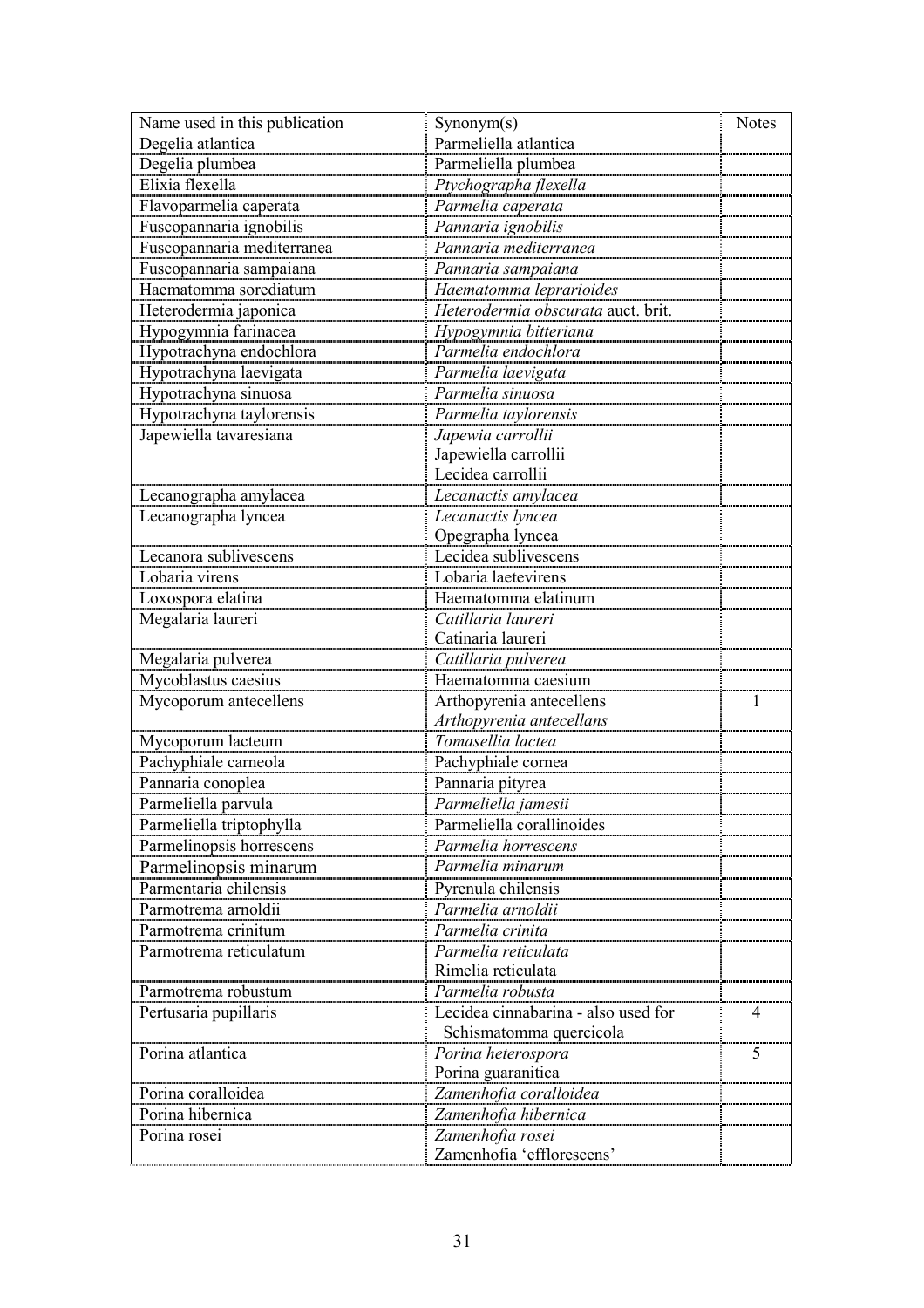| Name used in this publication | Symonym(s)                                   | <b>Notes</b> |
|-------------------------------|----------------------------------------------|--------------|
| Degelia atlantica             | Parmeliella atlantica                        |              |
| Degelia plumbea               | Parmeliella plumbea                          |              |
| Elixia flexella               | Ptychographa flexella                        |              |
| Flavoparmelia caperata        | Parmelia caperata                            |              |
| Fuscopannaria ignobilis       | Pannaria ignobilis                           |              |
| Fuscopannaria mediterranea    | Pannaria mediterranea                        |              |
| Fuscopannaria sampaiana       | Pannaria sampaiana                           |              |
| Haematomma sorediatum         | Haematomma leprarioides                      |              |
| Heterodermia japonica         | Heterodermia obscurata auct. brit.           |              |
| Hypogymnia farinacea          |                                              |              |
| Hypotrachyna endochlora       | Hypogymnia bitteriana<br>Parmelia endochlora |              |
| Hypotrachyna laevigata        | Parmelia laevigata                           |              |
| Hypotrachyna sinuosa          | Parmelia sinuosa                             |              |
| Hypotrachyna taylorensis      | Parmelia taylorensis                         |              |
| Japewiella tavaresiana        | Japewia carrollii                            |              |
|                               | Japewiella carrollii                         |              |
|                               | Lecidea carrollii                            |              |
| Lecanographa amylacea         | Lecanactis amylacea                          |              |
| Lecanographa lyncea           | Lecanactis lyncea                            |              |
|                               | Opegrapha lyncea                             |              |
| Lecanora sublivescens         | Lecidea sublivescens                         |              |
| Lobaria virens                | Lobaria laetevirens                          |              |
| Loxospora elatina             | Haematomma elatinum                          |              |
| Megalaria laureri             | Catillaria laureri                           |              |
|                               | Catinaria laureri                            |              |
| Megalaria pulverea            | Catillaria pulverea                          |              |
| Mycoblastus caesius           | Haematomma caesium                           |              |
| Mycoporum antecellens         | Arthopyrenia antecellens                     |              |
|                               | Arthopyrenia antecellans                     |              |
| Mycoporum lacteum             | Tomasellia lactea                            |              |
| Pachyphiale carneola          | Pachyphiale cornea                           |              |
| Pannaria conoplea             | Pannaria pityrea                             |              |
| Parmeliella parvula           | Parmeliella jamesii                          |              |
| Parmeliella triptophylla      | Parmeliella corallinoides                    |              |
| Parmelinopsis horrescens      | Parmelia horrescens                          |              |
| Parmelinopsis minarum         | Parmelia minarum                             |              |
| Parmentaria chilensis         | Pyrenula chilensis                           |              |
| Parmotrema arnoldii           | Parmelia arnoldii                            |              |
| Parmotrema crinitum           | Parmelia crinita                             |              |
| Parmotrema reticulatum        | Parmelia reticulata                          |              |
|                               | Rimelia reticulata                           |              |
| Parmotrema robustum           | Parmelia robusta                             |              |
| Pertusaria pupillaris         | Lecidea cinnabarina - also used for          |              |
|                               | Schismatomma quercicola                      |              |
| Porina atlantica              | Porina heterospora                           | 5            |
|                               | Porina guaranitica                           |              |
| Porina coralloidea            | Zamenhofia coralloidea                       |              |
| Porina hibernica              | Zamenhofia hibernica                         |              |
| Porina rosei                  | Zamenhofia rosei                             |              |
|                               | Zamenhofia 'efflorescens'                    |              |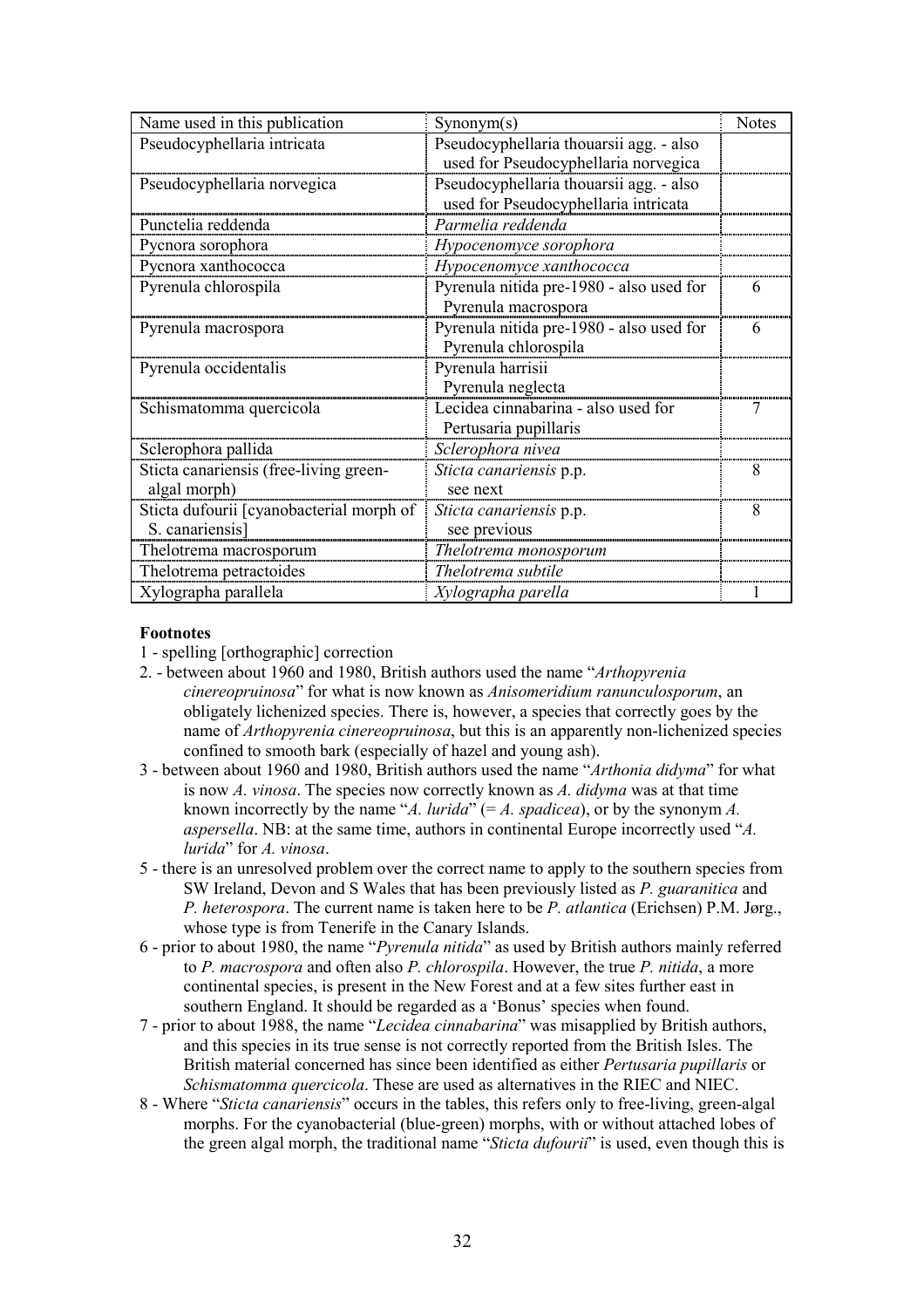| Name used in this publication            | Symonym(s)                               | <b>Notes</b> |
|------------------------------------------|------------------------------------------|--------------|
| Pseudocyphellaria intricata              | Pseudocyphellaria thouarsii agg. - also  |              |
|                                          | used for Pseudocyphellaria norvegica     |              |
| Pseudocyphellaria norvegica              | Pseudocyphellaria thouarsii agg. - also  |              |
|                                          | used for Pseudocyphellaria intricata     |              |
| Punctelia reddenda                       | Parmelia reddenda                        |              |
| Pycnora sorophora                        | Hypocenomyce sorophora                   |              |
| Pycnora xanthococca                      | Hypocenomyce xanthococca                 |              |
| Pyrenula chlorospila                     | Pyrenula nitida pre-1980 - also used for | 6            |
|                                          | Pyrenula macrospora                      |              |
| Pyrenula macrospora                      | Pyrenula nitida pre-1980 - also used for |              |
|                                          | Pyrenula chlorospila                     |              |
| Pyrenula occidentalis                    | Pyrenula harrisii                        |              |
|                                          | Pyrenula neglecta                        |              |
| Schismatomma quercicola                  | Lecidea cinnabarina - also used for      |              |
|                                          | Pertusaria pupillaris                    |              |
| Sclerophora pallida                      | Sclerophora nivea                        |              |
| Sticta canariensis (free-living green-   | Sticta canariensis p.p.                  | 8            |
| algal morph)                             | see next                                 |              |
| Sticta dufourii [cyanobacterial morph of | Sticta canariensis p.p.                  | 8            |
| S. canariensis]                          | see previous                             |              |
| Thelotrema macrosporum                   | Thelotrema monosporum                    |              |
| Thelotrema petractoides                  | Thelotrema subtile                       |              |
| Xylographa parallela                     | Xylographa parella                       |              |

#### Footnotes

- 1 spelling [orthographic] correction
- 2. between about 1960 and 1980, British authors used the name "Arthopyrenia cinereopruinosa" for what is now known as Anisomeridium ranunculosporum, an obligately lichenized species. There is, however, a species that correctly goes by the name of Arthopyrenia cinereopruinosa, but this is an apparently non-lichenized species confined to smooth bark (especially of hazel and young ash).
- 3 between about 1960 and 1980, British authors used the name "Arthonia didyma" for what is now A. vinosa. The species now correctly known as A. didyma was at that time known incorrectly by the name "A. *lurida*" (= A. *spadicea*), or by the synonym A. aspersella. NB: at the same time, authors in continental Europe incorrectly used "A. lurida" for A. vinosa.
- 5 there is an unresolved problem over the correct name to apply to the southern species from SW Ireland, Devon and S Wales that has been previously listed as P. guaranitica and P. heterospora. The current name is taken here to be P. atlantica (Erichsen) P.M. Jørg., whose type is from Tenerife in the Canary Islands.
- 6 prior to about 1980, the name "Pyrenula nitida" as used by British authors mainly referred to P. macrospora and often also P. chlorospila. However, the true P. nitida, a more continental species, is present in the New Forest and at a few sites further east in southern England. It should be regarded as a 'Bonus' species when found.
- 7 prior to about 1988, the name "Lecidea cinnabarina" was misapplied by British authors, and this species in its true sense is not correctly reported from the British Isles. The British material concerned has since been identified as either *Pertusaria pupillaris* or Schismatomma quercicola. These are used as alternatives in the RIEC and NIEC.
- 8 Where "Sticta canariensis" occurs in the tables, this refers only to free-living, green-algal morphs. For the cyanobacterial (blue-green) morphs, with or without attached lobes of the green algal morph, the traditional name "Sticta dufourii" is used, even though this is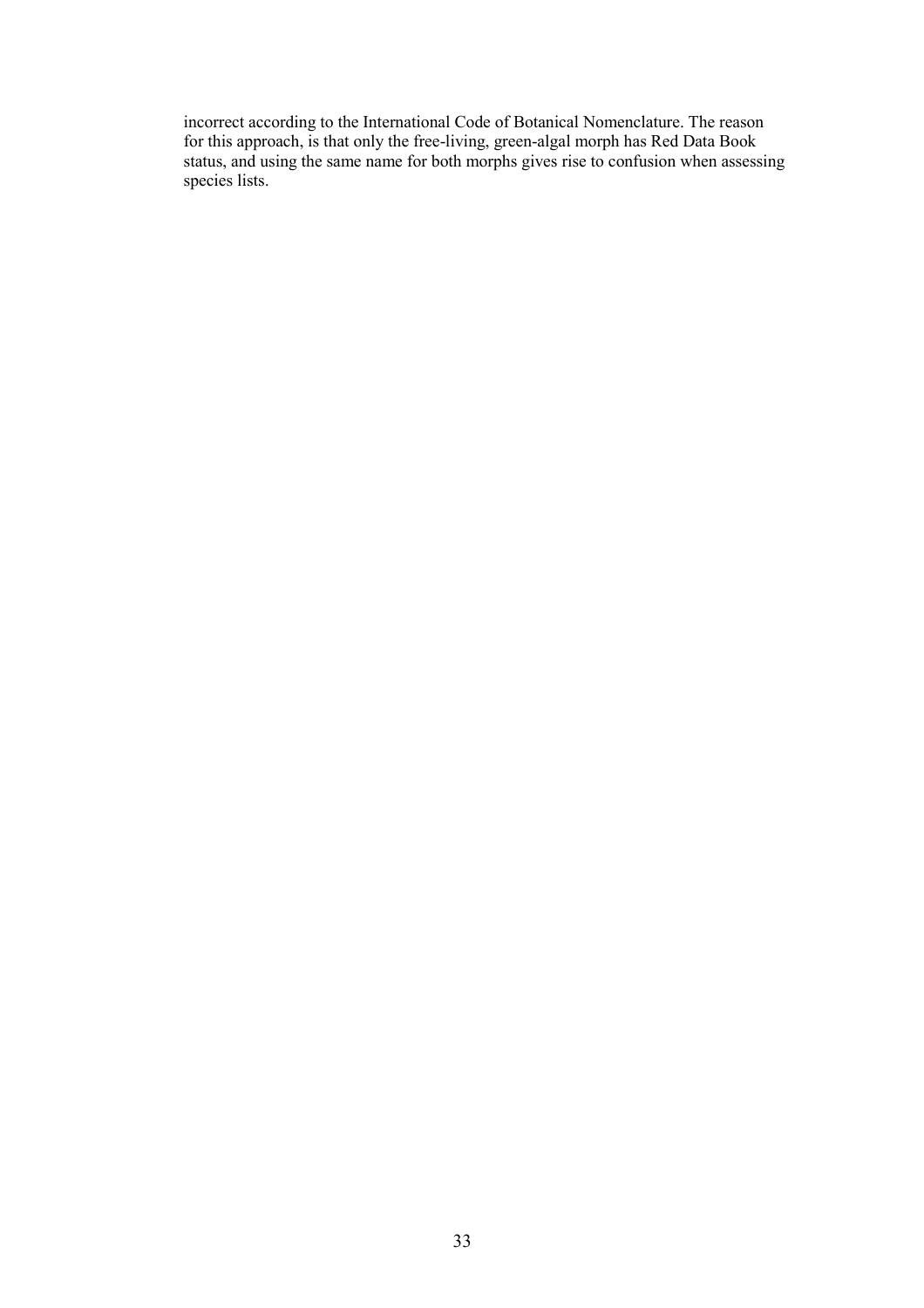incorrect according to the International Code of Botanical Nomenclature. The reason for this approach, is that only the free-living, green-algal morph has Red Data Book status, and using the same name for both morphs gives rise to confusion when assessing species lists.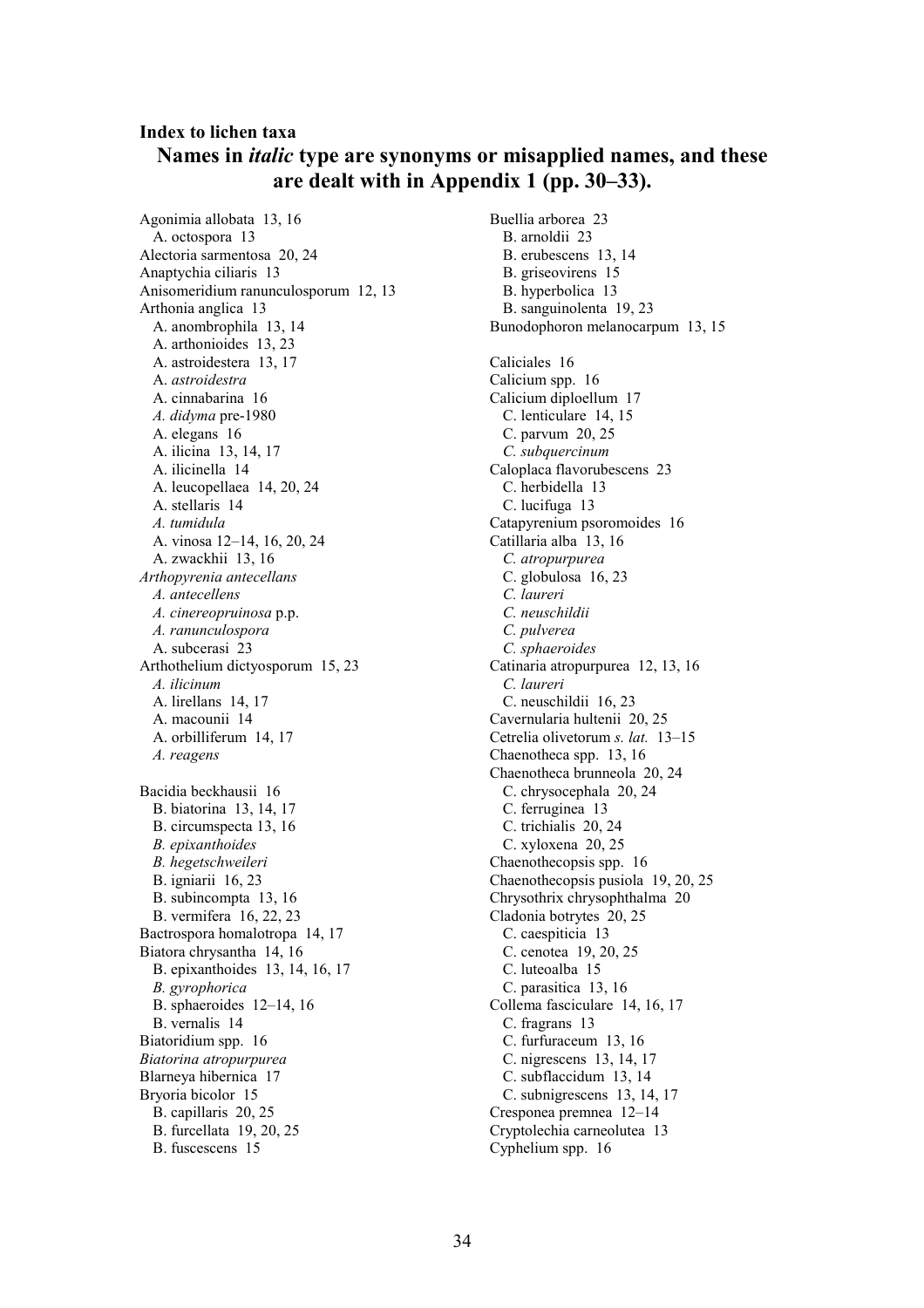# Index to lichen taxa Names in italic type are synonyms or misapplied names, and these are dealt with in Appendix 1 (pp. 30–33).

Agonimia allobata 13, 16 A. octospora 13 Alectoria sarmentosa 20, 24 Anaptychia ciliaris 13 Anisomeridium ranunculosporum 12, 13 Arthonia anglica 13 A. anombrophila 13, 14 A. arthonioides 13, 23 A. astroidestera 13, 17 A. astroidestra A. cinnabarina 16 A. didyma pre-1980 A. elegans 16 A. ilicina 13, 14, 17 A. ilicinella 14 A. leucopellaea 14, 20, 24 A. stellaris 14 A. tumidula A. vinosa 12–14, 16, 20, 24 A. zwackhii 13, 16 Arthopyrenia antecellans A. antecellens A. cinereopruinosa p.p. A. ranunculospora A. subcerasi 23 Arthothelium dictyosporum 15, 23 A. ilicinum A. lirellans 14, 17 A. macounii 14 A. orbilliferum 14, 17 A. reagens Bacidia beckhausii 16 B. biatorina 13, 14, 17 B. circumspecta 13, 16 B. epixanthoides B. hegetschweileri B. igniarii 16, 23 B. subincompta 13, 16 B. vermifera 16, 22, 23 Bactrospora homalotropa 14, 17 Biatora chrysantha 14, 16 B. epixanthoides 13, 14, 16, 17 B. gyrophorica B. sphaeroides 12–14, 16 B. vernalis 14 Biatoridium spp. 16 Biatorina atropurpurea Blarneya hibernica 17 Bryoria bicolor 15 B. capillaris 20, 25 B. furcellata 19, 20, 25 B. fuscescens 15

Buellia arborea 23 B. arnoldii 23 B. erubescens 13, 14 B. griseovirens 15 B. hyperbolica 13 B. sanguinolenta 19, 23 Bunodophoron melanocarpum 13, 15 Caliciales 16 Calicium spp. 16 Calicium diploellum 17 C. lenticulare 14, 15 C. parvum 20, 25 C. subquercinum Caloplaca flavorubescens 23 C. herbidella 13 C. lucifuga 13 Catapyrenium psoromoides 16 Catillaria alba 13, 16 C. atropurpurea C. globulosa 16, 23 C. laureri C. neuschildii C. pulverea C. sphaeroides Catinaria atropurpurea 12, 13, 16 C. laureri C. neuschildii 16, 23 Cavernularia hultenii 20, 25 Cetrelia olivetorum s. lat. 13–15 Chaenotheca spp. 13, 16 Chaenotheca brunneola 20, 24 C. chrysocephala 20, 24 C. ferruginea 13 C. trichialis 20, 24 C. xyloxena 20, 25 Chaenothecopsis spp. 16 Chaenothecopsis pusiola 19, 20, 25 Chrysothrix chrysophthalma 20 Cladonia botrytes 20, 25 C. caespiticia 13 C. cenotea 19, 20, 25 C. luteoalba 15 C. parasitica 13, 16 Collema fasciculare 14, 16, 17 C. fragrans 13 C. furfuraceum 13, 16 C. nigrescens 13, 14, 17 C. subflaccidum 13, 14 C. subnigrescens 13, 14, 17 Cresponea premnea 12–14 Cryptolechia carneolutea 13 Cyphelium spp. 16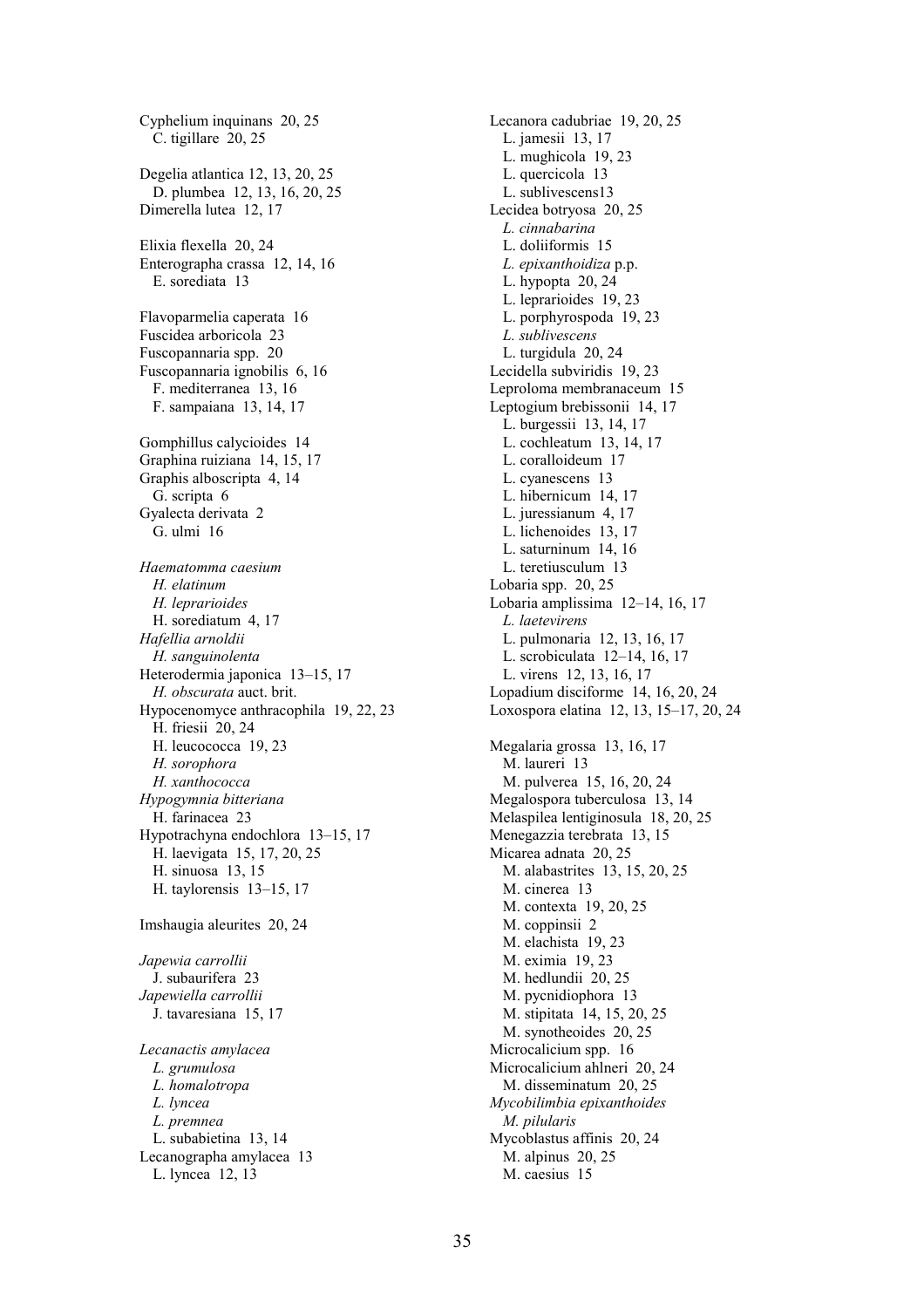Cyphelium inquinans 20, 25 C. tigillare 20, 25 Degelia atlantica 12, 13, 20, 25 D. plumbea 12, 13, 16, 20, 25 Dimerella lutea 12, 17 Elixia flexella 20, 24 Enterographa crassa 12, 14, 16 E. sorediata 13 Flavoparmelia caperata 16 Fuscidea arboricola 23 Fuscopannaria spp. 20 Fuscopannaria ignobilis 6, 16 F. mediterranea 13, 16 F. sampaiana 13, 14, 17 Gomphillus calycioides 14 Graphina ruiziana 14, 15, 17 Graphis alboscripta 4, 14 G. scripta 6 Gyalecta derivata 2 G. ulmi 16 Haematomma caesium H. elatinum H. leprarioides H. sorediatum 4, 17 Hafellia arnoldii H. sanguinolenta Heterodermia japonica 13–15, 17 H. obscurata auct. brit. Hypocenomyce anthracophila 19, 22, 23 H. friesii 20, 24 H. leucococca 19, 23 H. sorophora H. xanthococca Hypogymnia bitteriana H. farinacea 23 Hypotrachyna endochlora 13–15, 17 H. laevigata 15, 17, 20, 25 H. sinuosa 13, 15 H. taylorensis 13–15, 17 Imshaugia aleurites 20, 24 Japewia carrollii J. subaurifera 23 Japewiella carrollii J. tavaresiana 15, 17 Lecanactis amylacea L. grumulosa L. homalotropa L. lyncea L. premnea L. subabietina 13, 14 Lecanographa amylacea 13 L. lyncea 12, 13

Lecanora cadubriae 19, 20, 25 L. jamesii 13, 17 L. mughicola 19, 23 L. quercicola 13 L. sublivescens13 Lecidea botryosa 20, 25 L. cinnabarina L. doliiformis 15 L. epixanthoidiza p.p. L. hypopta 20, 24 L. leprarioides 19, 23 L. porphyrospoda 19, 23 L. sublivescens L. turgidula 20, 24 Lecidella subviridis 19, 23 Leproloma membranaceum 15 Leptogium brebissonii 14, 17 L. burgessii 13, 14, 17 L. cochleatum 13, 14, 17 L. coralloideum 17 L. cyanescens 13 L. hibernicum 14, 17 L. juressianum 4, 17 L. lichenoides 13, 17 L. saturninum 14, 16 L. teretiusculum 13 Lobaria spp. 20, 25 Lobaria amplissima 12–14, 16, 17 L. laetevirens L. pulmonaria 12, 13, 16, 17 L. scrobiculata 12–14, 16, 17 L. virens 12, 13, 16, 17 Lopadium disciforme 14, 16, 20, 24 Loxospora elatina 12, 13, 15–17, 20, 24 Megalaria grossa 13, 16, 17 M. laureri 13 M. pulverea 15, 16, 20, 24 Megalospora tuberculosa 13, 14 Melaspilea lentiginosula 18, 20, 25 Menegazzia terebrata 13, 15 Micarea adnata 20, 25 M. alabastrites 13, 15, 20, 25 M. cinerea 13 M. contexta 19, 20, 25 M. coppinsii 2 M. elachista 19, 23 M. eximia 19, 23 M. hedlundii 20, 25 M. pycnidiophora 13 M. stipitata 14, 15, 20, 25 M. synotheoides 20, 25 Microcalicium spp. 16 Microcalicium ahlneri 20, 24 M. disseminatum 20, 25 Mycobilimbia epixanthoides M. pilularis Mycoblastus affinis 20, 24 M. alpinus 20, 25 M. caesius 15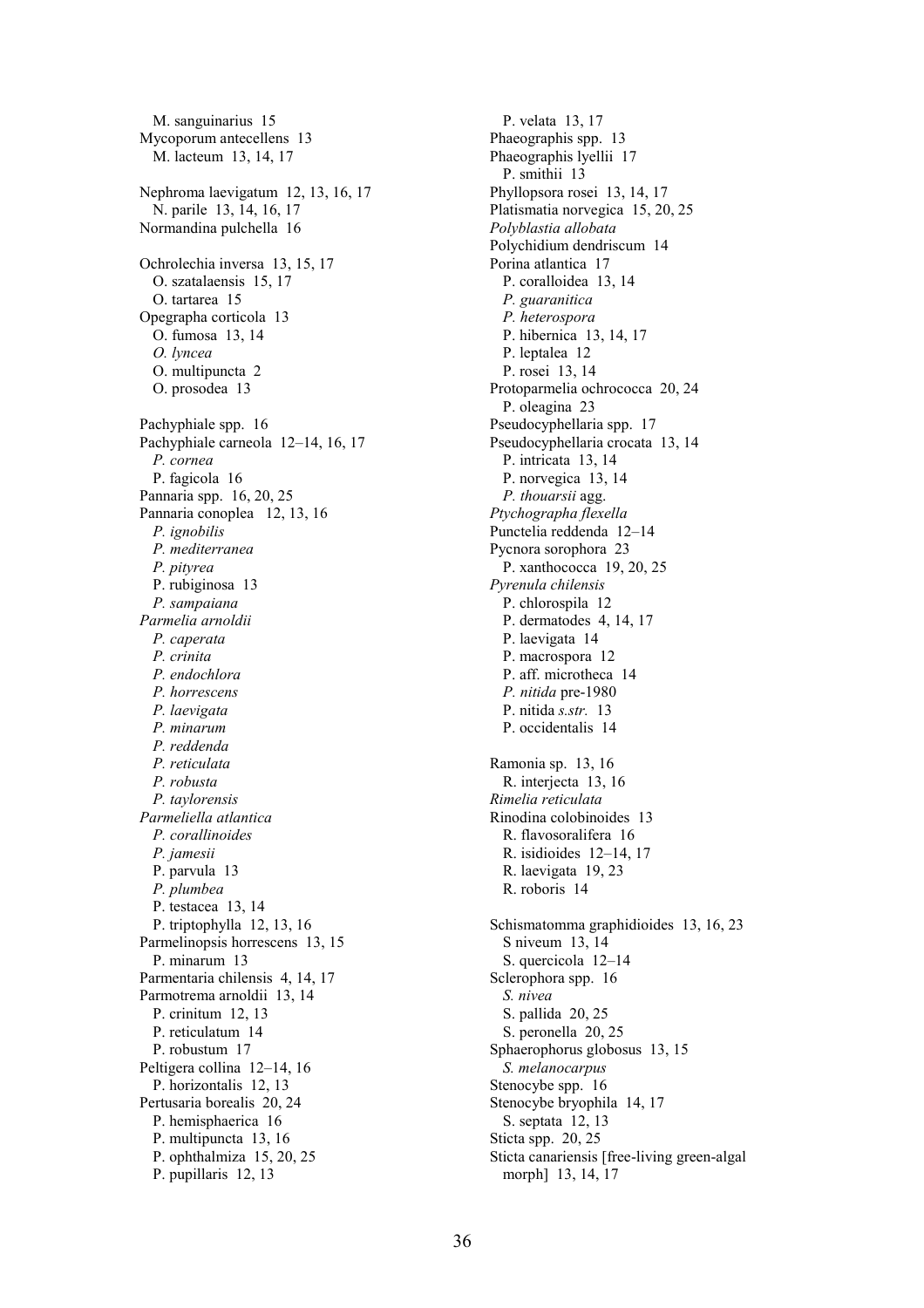M. sanguinarius 15 Mycoporum antecellens 13 M. lacteum 13, 14, 17 Nephroma laevigatum 12, 13, 16, 17 N. parile 13, 14, 16, 17 Normandina pulchella 16 Ochrolechia inversa 13, 15, 17 O. szatalaensis 15, 17 O. tartarea 15 Opegrapha corticola 13 O. fumosa 13, 14 O. lyncea O. multipuncta 2 O. prosodea 13 Pachyphiale spp. 16 Pachyphiale carneola 12–14, 16, 17 P. cornea P. fagicola 16 Pannaria spp. 16, 20, 25 Pannaria conoplea 12, 13, 16 P. ignobilis P. mediterranea P. pityrea P. rubiginosa 13 P. sampaiana Parmelia arnoldii P. caperata P. crinita P. endochlora P. horrescens P. laevigata P. minarum P. reddenda P. reticulata P. robusta P. taylorensis Parmeliella atlantica P. corallinoides P. jamesii P. parvula 13 P. plumbea P. testacea 13, 14 P. triptophylla 12, 13, 16 Parmelinopsis horrescens 13, 15 P. minarum 13 Parmentaria chilensis 4, 14, 17 Parmotrema arnoldii 13, 14 P. crinitum 12, 13 P. reticulatum 14 P. robustum 17 Peltigera collina 12–14, 16 P. horizontalis 12, 13 Pertusaria borealis 20, 24 P. hemisphaerica 16 P. multipuncta 13, 16 P. ophthalmiza 15, 20, 25 P. pupillaris 12, 13

P. velata 13, 17 Phaeographis spp. 13 Phaeographis lyellii 17 P. smithii 13 Phyllopsora rosei 13, 14, 17 Platismatia norvegica 15, 20, 25 Polyblastia allobata Polychidium dendriscum 14 Porina atlantica 17 P. coralloidea 13, 14 P. guaranitica P. heterospora P. hibernica 13, 14, 17 P. leptalea 12 P. rosei 13, 14 Protoparmelia ochrococca 20, 24 P. oleagina 23 Pseudocyphellaria spp. 17 Pseudocyphellaria crocata 13, 14 P. intricata 13, 14 P. norvegica 13, 14 P. thouarsii agg. Ptychographa flexella Punctelia reddenda 12–14 Pycnora sorophora 23 P. xanthococca 19, 20, 25 Pyrenula chilensis P. chlorospila 12 P. dermatodes 4, 14, 17 P. laevigata 14 P. macrospora 12 P. aff. microtheca 14 P. nitida pre-1980 P. nitida s.str. 13 P. occidentalis 14 Ramonia sp. 13, 16 R. interjecta 13, 16 Rimelia reticulata Rinodina colobinoides 13 R. flavosoralifera 16 R. isidioides 12–14, 17 R. laevigata 19, 23 R. roboris 14 Schismatomma graphidioides 13, 16, 23 S niveum 13, 14 S. quercicola 12–14 Sclerophora spp. 16 S. nivea S. pallida 20, 25 S. peronella 20, 25 Sphaerophorus globosus 13, 15 S. melanocarpus Stenocybe spp. 16 Stenocybe bryophila 14, 17 S. septata 12, 13 Sticta spp. 20, 25 Sticta canariensis [free-living green-algal morph] 13, 14, 17